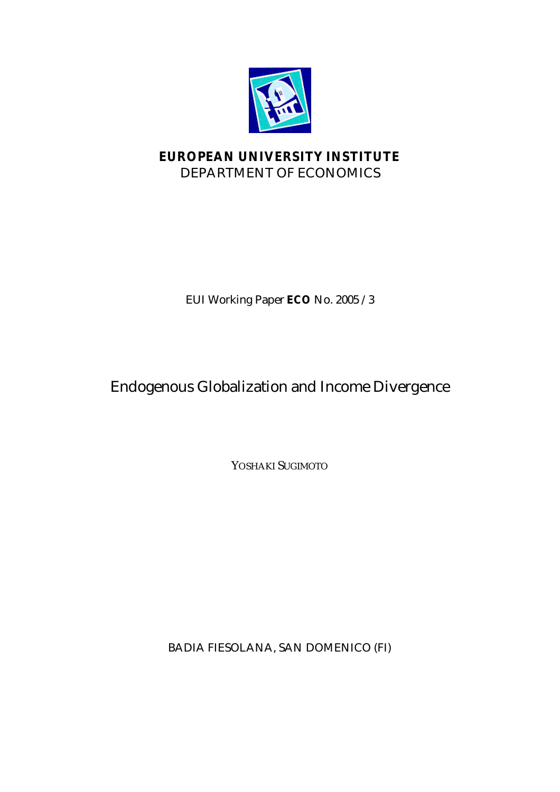

## **EUROPEAN UNIVERSITY INSTITUTE** DEPARTMENT OF ECONOMICS

EUI Working Paper **ECO** No. 2005 /3

# Endogenous Globalization and Income Divergence

YOSHAKI SUGIMOTO

BADIA FIESOLANA, SAN DOMENICO (FI)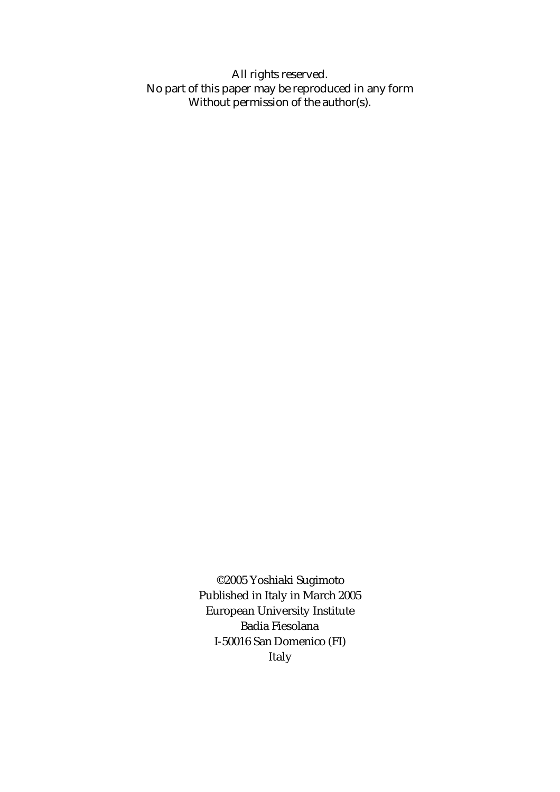All rights reserved. No part of this paper may be reproduced in any form Without permission of the author(s).

> ©2005 Yoshiaki Sugimoto Published in Italy in March 2005 European University Institute Badia Fiesolana I-50016 San Domenico (FI) Italy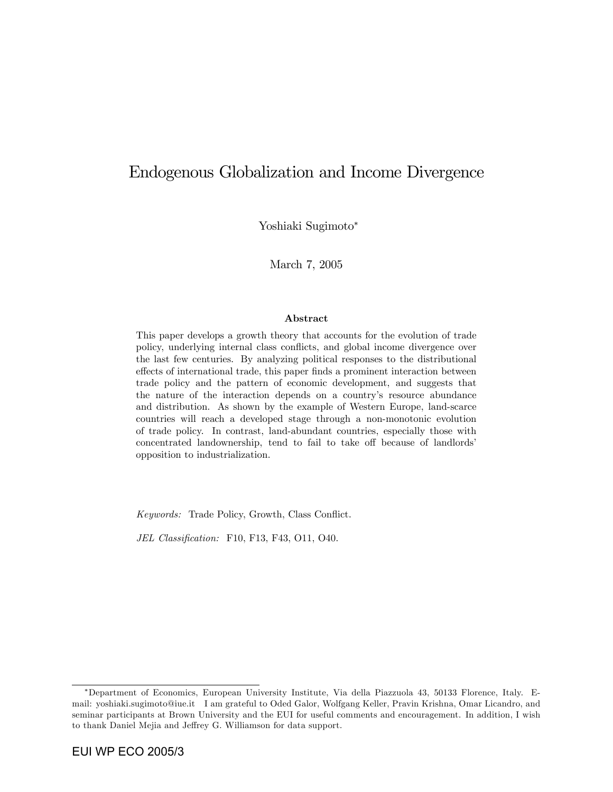## Endogenous Globalization and Income Divergence

Yoshiaki Sugimoto

March 7, 2005

#### Abstract

This paper develops a growth theory that accounts for the evolution of trade policy, underlying internal class conflicts, and global income divergence over the last few centuries. By analyzing political responses to the distributional effects of international trade, this paper finds a prominent interaction between trade policy and the pattern of economic development, and suggests that the nature of the interaction depends on a countryís resource abundance and distribution. As shown by the example of Western Europe, land-scarce countries will reach a developed stage through a non-monotonic evolution of trade policy. In contrast, land-abundant countries, especially those with concentrated landownership, tend to fail to take of because of landlords opposition to industrialization.

Keywords: Trade Policy, Growth, Class Conflict.

JEL Classification: F10, F13, F43, O11, O40.

Department of Economics, European University Institute, Via della Piazzuola 43, 50133 Florence, Italy. Email: yoshiaki.sugimoto@iue.it I am grateful to Oded Galor, Wolfgang Keller, Pravin Krishna, Omar Licandro, and seminar participants at Brown University and the EUI for useful comments and encouragement. In addition, I wish to thank Daniel Mejia and Jeffrey G. Williamson for data support.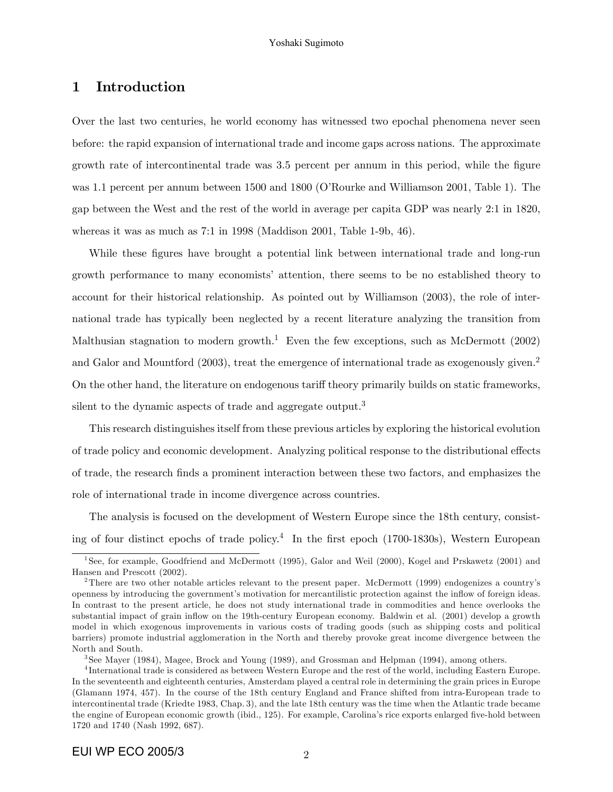## 1 Introduction

Over the last two centuries, he world economy has witnessed two epochal phenomena never seen before: the rapid expansion of international trade and income gaps across nations. The approximate growth rate of intercontinental trade was 3.5 percent per annum in this period, while the figure was 1.1 percent per annum between 1500 and 1800 (O'Rourke and Williamson 2001, Table 1). The gap between the West and the rest of the world in average per capita GDP was nearly 2:1 in 1820, whereas it was as much as 7:1 in 1998 (Maddison 2001, Table 1-9b, 46).

While these figures have brought a potential link between international trade and long-run growth performance to many economists' attention, there seems to be no established theory to account for their historical relationship. As pointed out by Williamson (2003), the role of international trade has typically been neglected by a recent literature analyzing the transition from Malthusian stagnation to modern growth.<sup>1</sup> Even the few exceptions, such as McDermott (2002) and Galor and Mountford (2003), treat the emergence of international trade as exogenously given.<sup>2</sup> On the other hand, the literature on endogenous tariff theory primarily builds on static frameworks, silent to the dynamic aspects of trade and aggregate output.<sup>3</sup>

This research distinguishes itself from these previous articles by exploring the historical evolution of trade policy and economic development. Analyzing political response to the distributional effects of trade, the research Önds a prominent interaction between these two factors, and emphasizes the role of international trade in income divergence across countries.

The analysis is focused on the development of Western Europe since the 18th century, consisting of four distinct epochs of trade policy.<sup>4</sup> In the first epoch (1700-1830s), Western European

<sup>&</sup>lt;sup>1</sup>See, for example, Goodfriend and McDermott (1995), Galor and Weil (2000), Kogel and Prskawetz (2001) and Hansen and Prescott (2002).

<sup>2</sup>There are two other notable articles relevant to the present paper. McDermott (1999) endogenizes a countryís openness by introducing the governmentís motivation for mercantilistic protection against the ináow of foreign ideas. In contrast to the present article, he does not study international trade in commodities and hence overlooks the substantial impact of grain inflow on the 19th-century European economy. Baldwin et al. (2001) develop a growth model in which exogenous improvements in various costs of trading goods (such as shipping costs and political barriers) promote industrial agglomeration in the North and thereby provoke great income divergence between the North and South.

<sup>3</sup> See Mayer (1984), Magee, Brock and Young (1989), and Grossman and Helpman (1994), among others.

<sup>4</sup> International trade is considered as between Western Europe and the rest of the world, including Eastern Europe. In the seventeenth and eighteenth centuries, Amsterdam played a central role in determining the grain prices in Europe (Glamann 1974, 457). In the course of the 18th century England and France shifted from intra-European trade to intercontinental trade (Kriedte 1983, Chap. 3), and the late 18th century was the time when the Atlantic trade became the engine of European economic growth (ibid., 125). For example, Carolina's rice exports enlarged five-hold between 1720 and 1740 (Nash 1992, 687).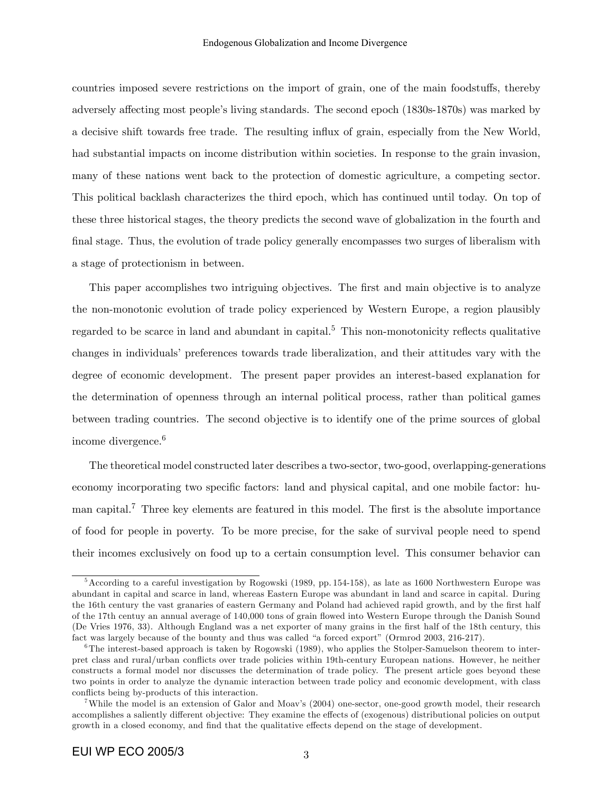countries imposed severe restrictions on the import of grain, one of the main foodstuffs, thereby adversely affecting most people's living standards. The second epoch (1830s-1870s) was marked by a decisive shift towards free trade. The resulting ináux of grain, especially from the New World, had substantial impacts on income distribution within societies. In response to the grain invasion, many of these nations went back to the protection of domestic agriculture, a competing sector. This political backlash characterizes the third epoch, which has continued until today. On top of these three historical stages, the theory predicts the second wave of globalization in the fourth and final stage. Thus, the evolution of trade policy generally encompasses two surges of liberalism with a stage of protectionism in between.

This paper accomplishes two intriguing objectives. The first and main objective is to analyze the non-monotonic evolution of trade policy experienced by Western Europe, a region plausibly regarded to be scarce in land and abundant in capital.<sup>5</sup> This non-monotonicity reflects qualitative changes in individuals' preferences towards trade liberalization, and their attitudes vary with the degree of economic development. The present paper provides an interest-based explanation for the determination of openness through an internal political process, rather than political games between trading countries. The second objective is to identify one of the prime sources of global income divergence.<sup>6</sup>

The theoretical model constructed later describes a two-sector, two-good, overlapping-generations economy incorporating two specific factors: land and physical capital, and one mobile factor: human capital.<sup>7</sup> Three key elements are featured in this model. The first is the absolute importance of food for people in poverty. To be more precise, for the sake of survival people need to spend their incomes exclusively on food up to a certain consumption level. This consumer behavior can

<sup>&</sup>lt;sup>5</sup> According to a careful investigation by Rogowski (1989, pp. 154-158), as late as 1600 Northwestern Europe was abundant in capital and scarce in land, whereas Eastern Europe was abundant in land and scarce in capital. During the 16th century the vast granaries of eastern Germany and Poland had achieved rapid growth, and by the first half of the 17th centuy an annual average of 140,000 tons of grain áowed into Western Europe through the Danish Sound (De Vries 1976, 33). Although England was a net exporter of many grains in the Örst half of the 18th century, this fact was largely because of the bounty and thus was called "a forced export" (Ormrod 2003, 216-217).

<sup>&</sup>lt;sup>6</sup>The interest-based approach is taken by Rogowski (1989), who applies the Stolper-Samuelson theorem to interpret class and rural/urban conflicts over trade policies within 19th-century European nations. However, he neither constructs a formal model nor discusses the determination of trade policy. The present article goes beyond these two points in order to analyze the dynamic interaction between trade policy and economic development, with class conflicts being by-products of this interaction.

<sup>&</sup>lt;sup>7</sup>While the model is an extension of Galor and Moav's (2004) one-sector, one-good growth model, their research accomplishes a saliently different objective: They examine the effects of (exogenous) distributional policies on output growth in a closed economy, and find that the qualitative effects depend on the stage of development.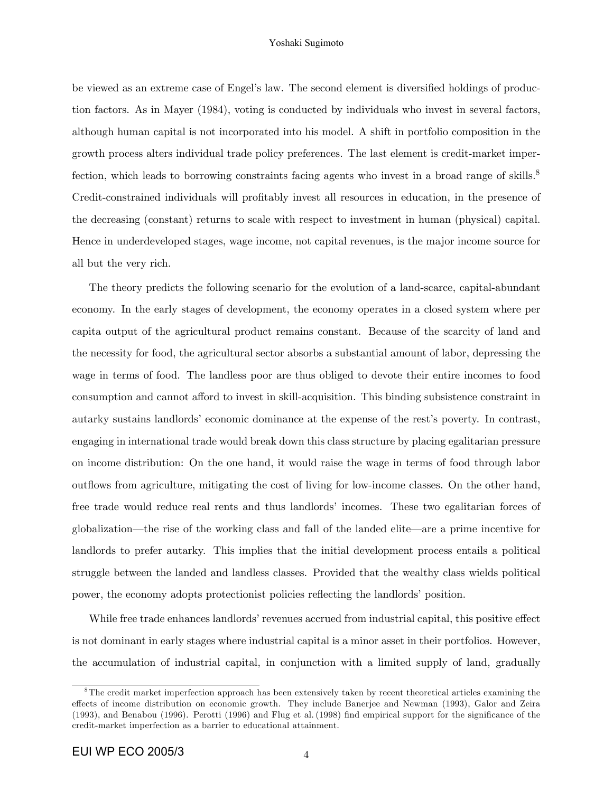#### Yoshaki Sugimoto

be viewed as an extreme case of Engel's law. The second element is diversified holdings of production factors. As in Mayer (1984), voting is conducted by individuals who invest in several factors, although human capital is not incorporated into his model. A shift in portfolio composition in the growth process alters individual trade policy preferences. The last element is credit-market imperfection, which leads to borrowing constraints facing agents who invest in a broad range of skills.<sup>8</sup> Credit-constrained individuals will profitably invest all resources in education, in the presence of the decreasing (constant) returns to scale with respect to investment in human (physical) capital. Hence in underdeveloped stages, wage income, not capital revenues, is the major income source for all but the very rich.

The theory predicts the following scenario for the evolution of a land-scarce, capital-abundant economy. In the early stages of development, the economy operates in a closed system where per capita output of the agricultural product remains constant. Because of the scarcity of land and the necessity for food, the agricultural sector absorbs a substantial amount of labor, depressing the wage in terms of food. The landless poor are thus obliged to devote their entire incomes to food consumption and cannot afford to invest in skill-acquisition. This binding subsistence constraint in autarky sustains landlords' economic dominance at the expense of the rest's poverty. In contrast, engaging in international trade would break down this class structure by placing egalitarian pressure on income distribution: On the one hand, it would raise the wage in terms of food through labor outflows from agriculture, mitigating the cost of living for low-income classes. On the other hand, free trade would reduce real rents and thus landlords' incomes. These two egalitarian forces of globalization—the rise of the working class and fall of the landed elite—are a prime incentive for landlords to prefer autarky. This implies that the initial development process entails a political struggle between the landed and landless classes. Provided that the wealthy class wields political power, the economy adopts protectionist policies reflecting the landlords' position.

While free trade enhances landlords' revenues accrued from industrial capital, this positive effect is not dominant in early stages where industrial capital is a minor asset in their portfolios. However, the accumulation of industrial capital, in conjunction with a limited supply of land, gradually

 $8$ The credit market imperfection approach has been extensively taken by recent theoretical articles examining the effects of income distribution on economic growth. They include Banerjee and Newman (1993), Galor and Zeira (1993), and Benabou (1996). Perotti (1996) and Flug et al. (1998) find empirical support for the significance of the credit-market imperfection as a barrier to educational attainment.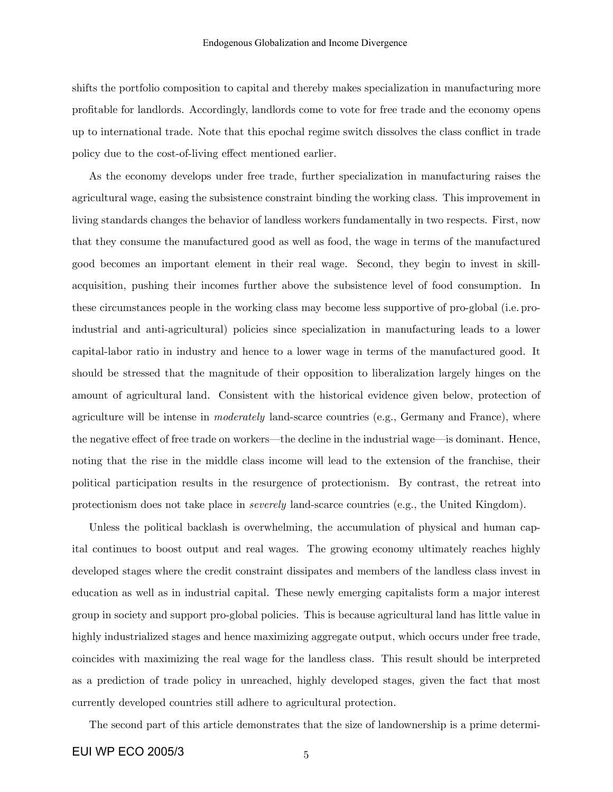shifts the portfolio composition to capital and thereby makes specialization in manufacturing more profitable for landlords. Accordingly, landlords come to vote for free trade and the economy opens up to international trade. Note that this epochal regime switch dissolves the class conáict in trade policy due to the cost-of-living effect mentioned earlier.

As the economy develops under free trade, further specialization in manufacturing raises the agricultural wage, easing the subsistence constraint binding the working class. This improvement in living standards changes the behavior of landless workers fundamentally in two respects. First, now that they consume the manufactured good as well as food, the wage in terms of the manufactured good becomes an important element in their real wage. Second, they begin to invest in skillacquisition, pushing their incomes further above the subsistence level of food consumption. In these circumstances people in the working class may become less supportive of pro-global (i.e. proindustrial and anti-agricultural) policies since specialization in manufacturing leads to a lower capital-labor ratio in industry and hence to a lower wage in terms of the manufactured good. It should be stressed that the magnitude of their opposition to liberalization largely hinges on the amount of agricultural land. Consistent with the historical evidence given below, protection of agriculture will be intense in *moderately* land-scarce countries (e.g., Germany and France), where the negative effect of free trade on workers—the decline in the industrial wage—is dominant. Hence, noting that the rise in the middle class income will lead to the extension of the franchise, their political participation results in the resurgence of protectionism. By contrast, the retreat into protectionism does not take place in severely land-scarce countries (e.g., the United Kingdom).

Unless the political backlash is overwhelming, the accumulation of physical and human capital continues to boost output and real wages. The growing economy ultimately reaches highly developed stages where the credit constraint dissipates and members of the landless class invest in education as well as in industrial capital. These newly emerging capitalists form a major interest group in society and support pro-global policies. This is because agricultural land has little value in highly industrialized stages and hence maximizing aggregate output, which occurs under free trade, coincides with maximizing the real wage for the landless class. This result should be interpreted as a prediction of trade policy in unreached, highly developed stages, given the fact that most currently developed countries still adhere to agricultural protection.

The second part of this article demonstrates that the size of landownership is a prime determi-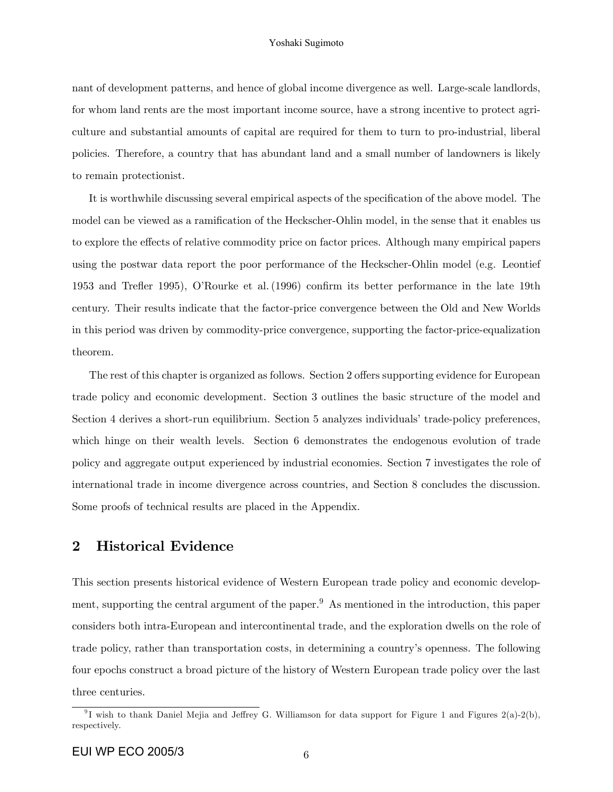nant of development patterns, and hence of global income divergence as well. Large-scale landlords, for whom land rents are the most important income source, have a strong incentive to protect agriculture and substantial amounts of capital are required for them to turn to pro-industrial, liberal policies. Therefore, a country that has abundant land and a small number of landowners is likely to remain protectionist.

It is worthwhile discussing several empirical aspects of the specification of the above model. The model can be viewed as a ramification of the Heckscher-Ohlin model, in the sense that it enables us to explore the effects of relative commodity price on factor prices. Although many empirical papers using the postwar data report the poor performance of the Heckscher-Ohlin model (e.g. Leontief 1953 and Trefler 1995), O'Rourke et al. (1996) confirm its better performance in the late 19th century. Their results indicate that the factor-price convergence between the Old and New Worlds in this period was driven by commodity-price convergence, supporting the factor-price-equalization theorem.

The rest of this chapter is organized as follows. Section 2 offers supporting evidence for European trade policy and economic development. Section 3 outlines the basic structure of the model and Section 4 derives a short-run equilibrium. Section 5 analyzes individuals' trade-policy preferences, which hinge on their wealth levels. Section 6 demonstrates the endogenous evolution of trade policy and aggregate output experienced by industrial economies. Section 7 investigates the role of international trade in income divergence across countries, and Section 8 concludes the discussion. Some proofs of technical results are placed in the Appendix.

## 2 Historical Evidence

This section presents historical evidence of Western European trade policy and economic development, supporting the central argument of the paper.<sup>9</sup> As mentioned in the introduction, this paper considers both intra-European and intercontinental trade, and the exploration dwells on the role of trade policy, rather than transportation costs, in determining a countryís openness. The following four epochs construct a broad picture of the history of Western European trade policy over the last three centuries.

<sup>&</sup>lt;sup>9</sup>I wish to thank Daniel Mejia and Jeffrey G. Williamson for data support for Figure 1 and Figures  $2(a)-2(b)$ , respectively.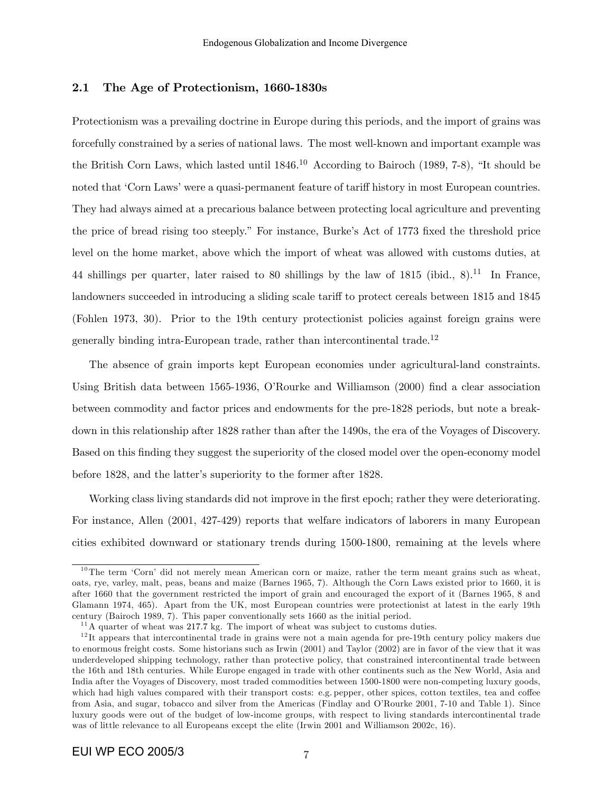## 2.1 The Age of Protectionism, 1660-1830s

Protectionism was a prevailing doctrine in Europe during this periods, and the import of grains was forcefully constrained by a series of national laws. The most well-known and important example was the British Corn Laws, which lasted until  $1846<sup>10</sup>$  According to Bairoch (1989, 7-8), "It should be noted that 'Corn Laws' were a quasi-permanent feature of tariff history in most European countries. They had always aimed at a precarious balance between protecting local agriculture and preventing the price of bread rising too steeply." For instance, Burke's Act of 1773 fixed the threshold price level on the home market, above which the import of wheat was allowed with customs duties, at 44 shillings per quarter, later raised to 80 shillings by the law of  $1815$  (ibid., 8).<sup>11</sup> In France, landowners succeeded in introducing a sliding scale tariff to protect cereals between 1815 and 1845 (Fohlen 1973, 30). Prior to the 19th century protectionist policies against foreign grains were generally binding intra-European trade, rather than intercontinental trade.<sup>12</sup>

The absence of grain imports kept European economies under agricultural-land constraints. Using British data between 1565-1936, O'Rourke and Williamson (2000) find a clear association between commodity and factor prices and endowments for the pre-1828 periods, but note a breakdown in this relationship after 1828 rather than after the 1490s, the era of the Voyages of Discovery. Based on this finding they suggest the superiority of the closed model over the open-economy model before 1828, and the latter's superiority to the former after 1828.

Working class living standards did not improve in the first epoch; rather they were deteriorating. For instance, Allen (2001, 427-429) reports that welfare indicators of laborers in many European cities exhibited downward or stationary trends during 1500-1800, remaining at the levels where

 $10$ The term 'Corn' did not merely mean American corn or maize, rather the term meant grains such as wheat, oats, rye, varley, malt, peas, beans and maize (Barnes 1965, 7). Although the Corn Laws existed prior to 1660, it is after 1660 that the government restricted the import of grain and encouraged the export of it (Barnes 1965, 8 and Glamann 1974, 465). Apart from the UK, most European countries were protectionist at latest in the early 19th century (Bairoch 1989, 7). This paper conventionally sets 1660 as the initial period.

 $11$ A quarter of wheat was 217.7 kg. The import of wheat was subject to customs duties.

 $12$ It appears that intercontinental trade in grains were not a main agenda for pre-19th century policy makers due to enormous freight costs. Some historians such as Irwin (2001) and Taylor (2002) are in favor of the view that it was underdeveloped shipping technology, rather than protective policy, that constrained intercontinental trade between the 16th and 18th centuries. While Europe engaged in trade with other continents such as the New World, Asia and India after the Voyages of Discovery, most traded commodities between 1500-1800 were non-competing luxury goods, which had high values compared with their transport costs: e.g. pepper, other spices, cotton textiles, tea and coffee from Asia, and sugar, tobacco and silver from the Americas (Findlay and OíRourke 2001, 7-10 and Table 1). Since luxury goods were out of the budget of low-income groups, with respect to living standards intercontinental trade was of little relevance to all Europeans except the elite (Irwin 2001 and Williamson 2002c, 16).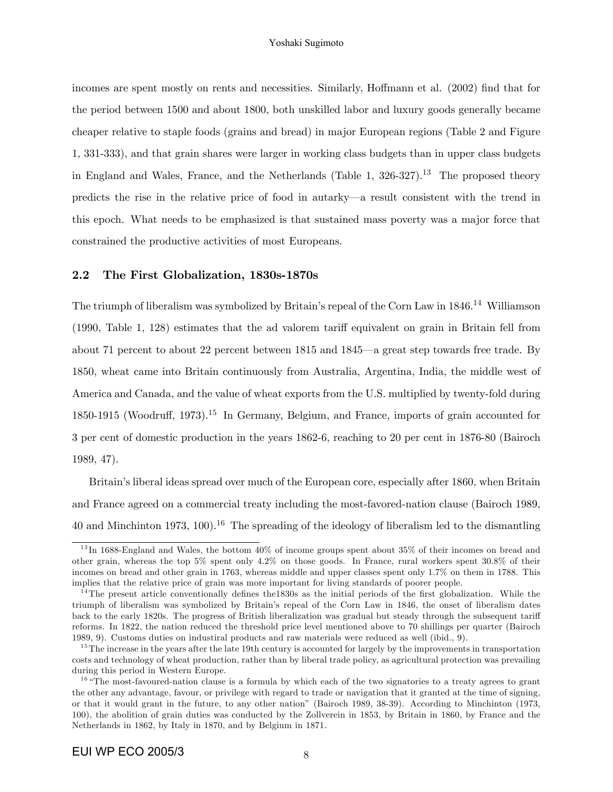incomes are spent mostly on rents and necessities. Similarly, Hoffmann et al. (2002) find that for the period between 1500 and about 1800, both unskilled labor and luxury goods generally became cheaper relative to staple foods (grains and bread) in major European regions (Table 2 and Figure 1, 331-333), and that grain shares were larger in working class budgets than in upper class budgets in England and Wales, France, and the Netherlands (Table 1,  $326-327$ ).<sup>13</sup> The proposed theory predicts the rise in the relative price of food in autarky—a result consistent with the trend in this epoch. What needs to be emphasized is that sustained mass poverty was a major force that constrained the productive activities of most Europeans.

## 2.2 The First Globalization, 1830s-1870s

The triumph of liberalism was symbolized by Britain's repeal of the Corn Law in 1846.<sup>14</sup> Williamson  $(1990, 128)$  estimates that the ad valorem tariff equivalent on grain in Britain fell from about 71 percent to about 22 percent between 1815 and 1845—a great step towards free trade. By 1850, wheat came into Britain continuously from Australia, Argentina, India, the middle west of America and Canada, and the value of wheat exports from the U.S. multiplied by twenty-fold during 1850-1915 (Woodruff, 1973).<sup>15</sup> In Germany, Belgium, and France, imports of grain accounted for 3 per cent of domestic production in the years 1862-6, reaching to 20 per cent in 1876-80 (Bairoch 1989, 47).

Britain's liberal ideas spread over much of the European core, especially after 1860, when Britain and France agreed on a commercial treaty including the most-favored-nation clause (Bairoch 1989, 40 and Minchinton 1973, 100).<sup>16</sup> The spreading of the ideology of liberalism led to the dismantling

 $13$  In 1688-England and Wales, the bottom 40% of income groups spent about 35% of their incomes on bread and other grain, whereas the top 5% spent only 4.2% on those goods. In France, rural workers spent 30.8% of their incomes on bread and other grain in 1763, whereas middle and upper classes spent only 1.7% on them in 1788. This implies that the relative price of grain was more important for living standards of poorer people.

<sup>&</sup>lt;sup>14</sup>The present article conventionally defines the 1830s as the initial periods of the first globalization. While the triumph of liberalism was symbolized by Britain's repeal of the Corn Law in 1846, the onset of liberalism dates back to the early 1820s. The progress of British liberalization was gradual but steady through the subsequent tariff reforms. In 1822, the nation reduced the threshold price level mentioned above to 70 shillings per quarter (Bairoch 1989, 9). Customs duties on industiral products and raw materials were reduced as well (ibid., 9).

 $15$ The increase in the years after the late 19th century is accounted for largely by the improvements in transportation costs and technology of wheat production, rather than by liberal trade policy, as agricultural protection was prevailing during this period in Western Europe.

 $16$ <sup>46</sup>The most-favoured-nation clause is a formula by which each of the two signatories to a treaty agrees to grant the other any advantage, favour, or privilege with regard to trade or navigation that it granted at the time of signing, or that it would grant in the future, to any other nationî (Bairoch 1989, 38-39). According to Minchinton (1973, 100), the abolition of grain duties was conducted by the Zollverein in 1853, by Britain in 1860, by France and the Netherlands in 1862, by Italy in 1870, and by Belgium in 1871.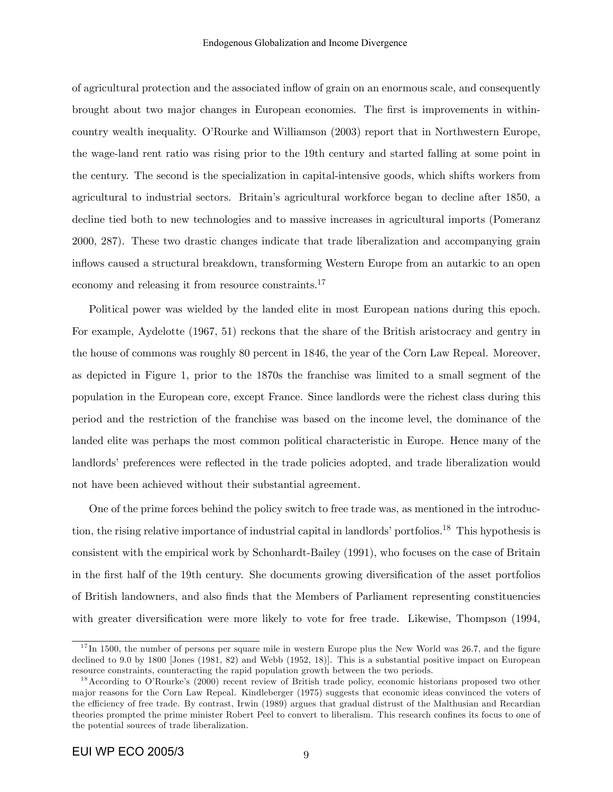of agricultural protection and the associated ináow of grain on an enormous scale, and consequently brought about two major changes in European economies. The first is improvements in withincountry wealth inequality. O'Rourke and Williamson (2003) report that in Northwestern Europe, the wage-land rent ratio was rising prior to the 19th century and started falling at some point in the century. The second is the specialization in capital-intensive goods, which shifts workers from agricultural to industrial sectors. Britain's agricultural workforce began to decline after 1850, a decline tied both to new technologies and to massive increases in agricultural imports (Pomeranz 2000, 287). These two drastic changes indicate that trade liberalization and accompanying grain inflows caused a structural breakdown, transforming Western Europe from an autarkic to an open economy and releasing it from resource constraints.<sup>17</sup>

Political power was wielded by the landed elite in most European nations during this epoch. For example, Aydelotte (1967, 51) reckons that the share of the British aristocracy and gentry in the house of commons was roughly 80 percent in 1846, the year of the Corn Law Repeal. Moreover, as depicted in Figure 1, prior to the 1870s the franchise was limited to a small segment of the population in the European core, except France. Since landlords were the richest class during this period and the restriction of the franchise was based on the income level, the dominance of the landed elite was perhaps the most common political characteristic in Europe. Hence many of the landlords' preferences were reflected in the trade policies adopted, and trade liberalization would not have been achieved without their substantial agreement.

One of the prime forces behind the policy switch to free trade was, as mentioned in the introduction, the rising relative importance of industrial capital in landlords' portfolios.<sup>18</sup> This hypothesis is consistent with the empirical work by Schonhardt-Bailey (1991), who focuses on the case of Britain in the first half of the 19th century. She documents growing diversification of the asset portfolios of British landowners, and also Önds that the Members of Parliament representing constituencies with greater diversification were more likely to vote for free trade. Likewise, Thompson (1994,

 $17$  In 1500, the number of persons per square mile in western Europe plus the New World was 26.7, and the figure declined to 9.0 by 1800 [Jones (1981, 82) and Webb (1952, 18)]. This is a substantial positive impact on European resource constraints, counteracting the rapid population growth between the two periods.

 $1<sup>8</sup>$  According to O'Rourke's (2000) recent review of British trade policy, economic historians proposed two other major reasons for the Corn Law Repeal. Kindleberger (1975) suggests that economic ideas convinced the voters of the efficiency of free trade. By contrast, Irwin (1989) argues that gradual distrust of the Malthusian and Recardian theories prompted the prime minister Robert Peel to convert to liberalism. This research confines its focus to one of the potential sources of trade liberalization.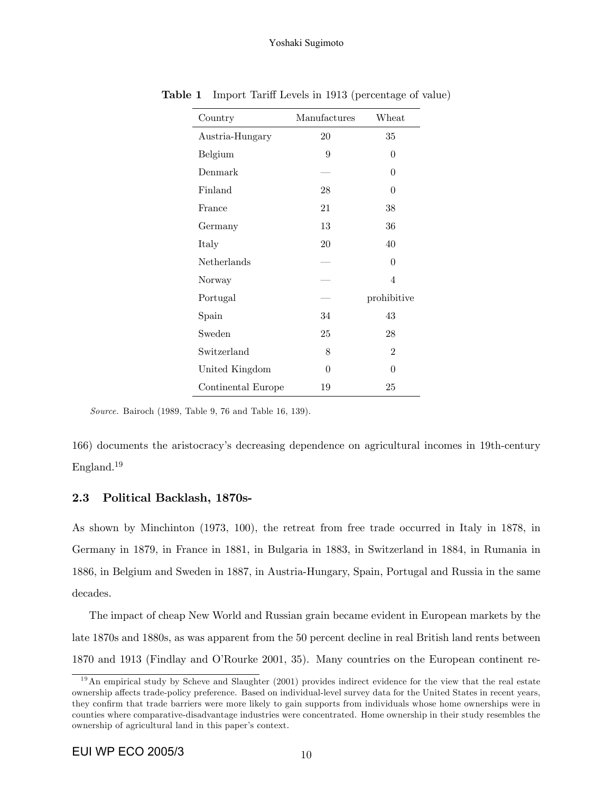| Country            | Manufactures   | Wheat       |
|--------------------|----------------|-------------|
| Austria-Hungary    | 20             | 35          |
| Belgium            | 9              | 0           |
| Denmark            |                | 0           |
| Finland            | 28             | 0           |
| France             | 21             | 38          |
| Germany            | 13             | 36          |
| Italy              | 20             | 40          |
| Netherlands        |                | 0           |
| Norway             |                | 4           |
| Portugal           |                | prohibitive |
| Spain              | 34             | 43          |
| Sweden             | 25             | 28          |
| Switzerland        | 8              | 2           |
| United Kingdom     | $\overline{0}$ | 0           |
| Continental Europe | 19             | 25          |

Table 1 Import Tariff Levels in 1913 (percentage of value)

Source. Bairoch (1989, Table 9, 76 and Table 16, 139).

166) documents the aristocracy's decreasing dependence on agricultural incomes in 19th-century England.<sup>19</sup>

## 2.3 Political Backlash, 1870s-

As shown by Minchinton (1973, 100), the retreat from free trade occurred in Italy in 1878, in Germany in 1879, in France in 1881, in Bulgaria in 1883, in Switzerland in 1884, in Rumania in 1886, in Belgium and Sweden in 1887, in Austria-Hungary, Spain, Portugal and Russia in the same decades.

The impact of cheap New World and Russian grain became evident in European markets by the late 1870s and 1880s, as was apparent from the 50 percent decline in real British land rents between 1870 and 1913 (Findlay and OíRourke 2001, 35). Many countries on the European continent re-

 $19$ An empirical study by Scheve and Slaughter (2001) provides indirect evidence for the view that the real estate ownership affects trade-policy preference. Based on individual-level survey data for the United States in recent years, they confirm that trade barriers were more likely to gain supports from individuals whose home ownerships were in counties where comparative-disadvantage industries were concentrated. Home ownership in their study resembles the ownership of agricultural land in this paper's context.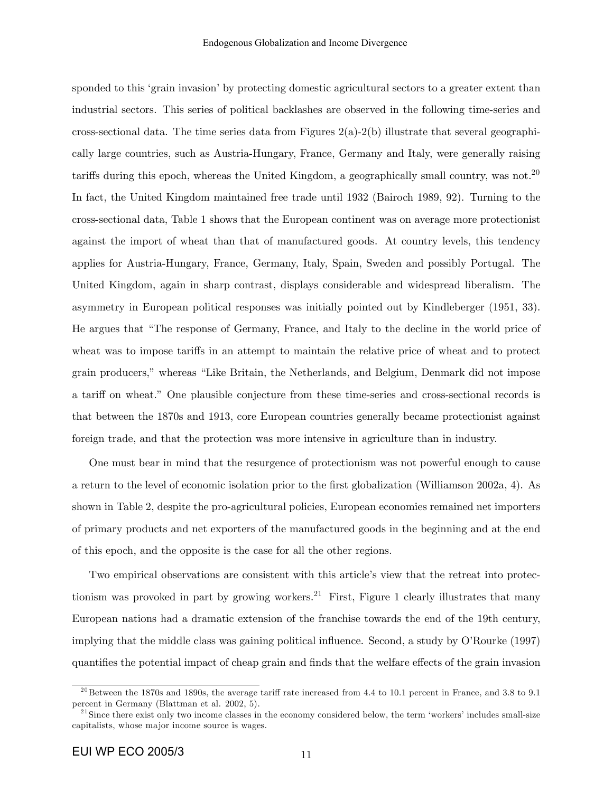sponded to this 'grain invasion' by protecting domestic agricultural sectors to a greater extent than industrial sectors. This series of political backlashes are observed in the following time-series and cross-sectional data. The time series data from Figures  $2(a)-2(b)$  illustrate that several geographically large countries, such as Austria-Hungary, France, Germany and Italy, were generally raising tariffs during this epoch, whereas the United Kingdom, a geographically small country, was not.<sup>20</sup> In fact, the United Kingdom maintained free trade until 1932 (Bairoch 1989, 92). Turning to the cross-sectional data, Table 1 shows that the European continent was on average more protectionist against the import of wheat than that of manufactured goods. At country levels, this tendency applies for Austria-Hungary, France, Germany, Italy, Spain, Sweden and possibly Portugal. The United Kingdom, again in sharp contrast, displays considerable and widespread liberalism. The asymmetry in European political responses was initially pointed out by Kindleberger (1951, 33). He argues that "The response of Germany, France, and Italy to the decline in the world price of wheat was to impose tariffs in an attempt to maintain the relative price of wheat and to protect grain producers," whereas "Like Britain, the Netherlands, and Belgium, Denmark did not impose a tariff on wheat." One plausible conjecture from these time-series and cross-sectional records is that between the 1870s and 1913, core European countries generally became protectionist against foreign trade, and that the protection was more intensive in agriculture than in industry.

One must bear in mind that the resurgence of protectionism was not powerful enough to cause a return to the level of economic isolation prior to the first globalization (Williamson 2002a, 4). As shown in Table 2, despite the pro-agricultural policies, European economies remained net importers of primary products and net exporters of the manufactured goods in the beginning and at the end of this epoch, and the opposite is the case for all the other regions.

Two empirical observations are consistent with this article's view that the retreat into protectionism was provoked in part by growing workers.<sup>21</sup> First, Figure 1 clearly illustrates that many European nations had a dramatic extension of the franchise towards the end of the 19th century, implying that the middle class was gaining political influence. Second, a study by O'Rourke (1997) quantifies the potential impact of cheap grain and finds that the welfare effects of the grain invasion

 $^{20}$ Between the 1870s and 1890s, the average tariff rate increased from 4.4 to 10.1 percent in France, and 3.8 to 9.1 percent in Germany (Blattman et al. 2002, 5).

 $^{21}$ Since there exist only two income classes in the economy considered below, the term 'workers' includes small-size capitalists, whose major income source is wages.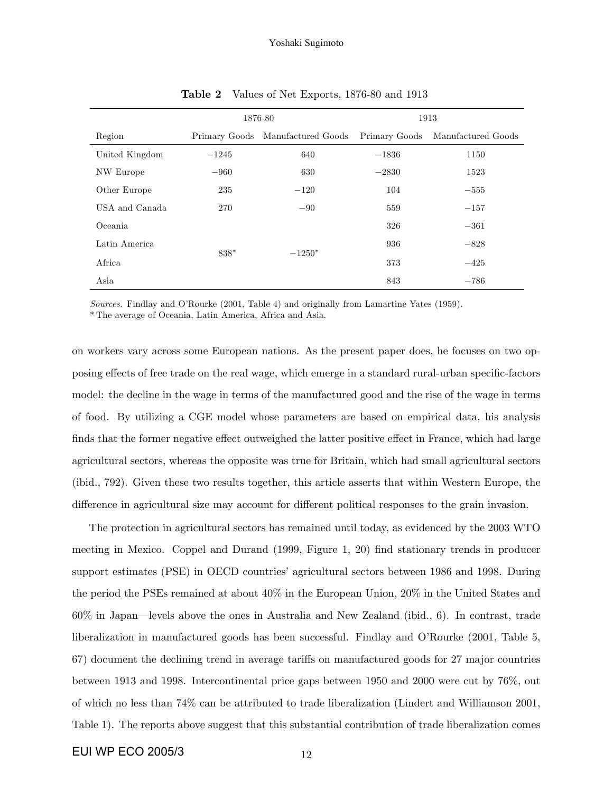|                | 1876-80 |                                  | 1913    |                                  |
|----------------|---------|----------------------------------|---------|----------------------------------|
| Region         |         | Primary Goods Manufactured Goods |         | Primary Goods Manufactured Goods |
| United Kingdom | $-1245$ | 640                              | $-1836$ | 1150                             |
| NW Europe      | $-960$  | 630                              | $-2830$ | 1523                             |
| Other Europe   | 235     | $-120$                           | 104     | $-555$                           |
| USA and Canada | 270     | $-90$                            | 559     | $-157$                           |
| Oceania        | $838*$  | $-1250*$                         | 326     | $-361$                           |
| Latin America  |         |                                  | 936     | $-828$                           |
| Africa         |         |                                  | 373     | $-425$                           |
| Asia           |         |                                  | 843     | $-786$                           |

Table 2 Values of Net Exports, 1876-80 and 1913

Sources. Findlay and OíRourke (2001, Table 4) and originally from Lamartine Yates (1959).

\* The average of Oceania, Latin America, Africa and Asia.

on workers vary across some European nations. As the present paper does, he focuses on two opposing effects of free trade on the real wage, which emerge in a standard rural-urban specific-factors model: the decline in the wage in terms of the manufactured good and the rise of the wage in terms of food. By utilizing a CGE model whose parameters are based on empirical data, his analysis finds that the former negative effect outweighed the latter positive effect in France, which had large agricultural sectors, whereas the opposite was true for Britain, which had small agricultural sectors (ibid., 792). Given these two results together, this article asserts that within Western Europe, the difference in agricultural size may account for different political responses to the grain invasion.

The protection in agricultural sectors has remained until today, as evidenced by the 2003 WTO meeting in Mexico. Coppel and Durand (1999, Figure 1, 20) find stationary trends in producer support estimates (PSE) in OECD countries' agricultural sectors between 1986 and 1998. During the period the PSEs remained at about 40% in the European Union, 20% in the United States and  $60\%$  in Japan—levels above the ones in Australia and New Zealand (ibid., 6). In contrast, trade liberalization in manufactured goods has been successful. Findlay and O'Rourke (2001, Table 5, 67) document the declining trend in average tariffs on manufactured goods for 27 major countries between 1913 and 1998. Intercontinental price gaps between 1950 and 2000 were cut by 76%, out of which no less than 74% can be attributed to trade liberalization (Lindert and Williamson 2001, Table 1). The reports above suggest that this substantial contribution of trade liberalization comes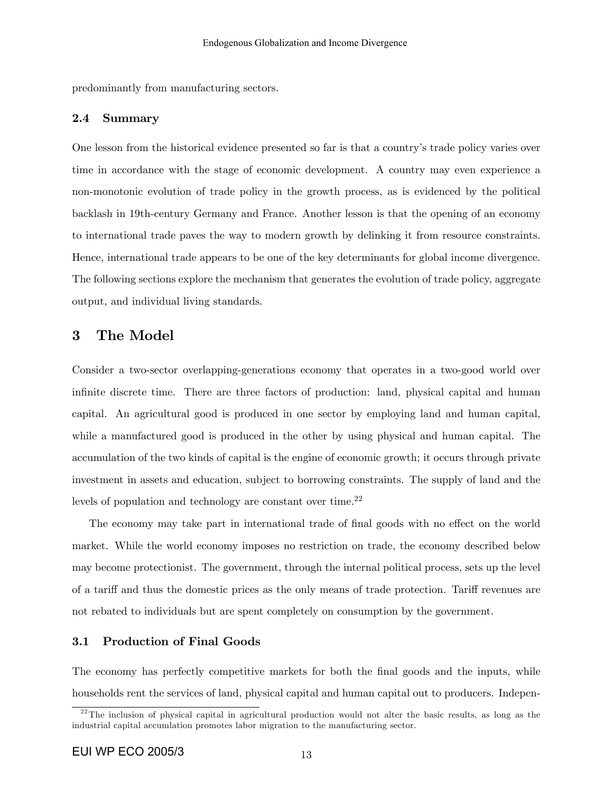predominantly from manufacturing sectors.

### 2.4 Summary

One lesson from the historical evidence presented so far is that a country's trade policy varies over time in accordance with the stage of economic development. A country may even experience a non-monotonic evolution of trade policy in the growth process, as is evidenced by the political backlash in 19th-century Germany and France. Another lesson is that the opening of an economy to international trade paves the way to modern growth by delinking it from resource constraints. Hence, international trade appears to be one of the key determinants for global income divergence. The following sections explore the mechanism that generates the evolution of trade policy, aggregate output, and individual living standards.

## 3 The Model

Consider a two-sector overlapping-generations economy that operates in a two-good world over infinite discrete time. There are three factors of production: land, physical capital and human capital. An agricultural good is produced in one sector by employing land and human capital, while a manufactured good is produced in the other by using physical and human capital. The accumulation of the two kinds of capital is the engine of economic growth; it occurs through private investment in assets and education, subject to borrowing constraints. The supply of land and the levels of population and technology are constant over time.<sup>22</sup>

The economy may take part in international trade of final goods with no effect on the world market. While the world economy imposes no restriction on trade, the economy described below may become protectionist. The government, through the internal political process, sets up the level of a tariff and thus the domestic prices as the only means of trade protection. Tariff revenues are not rebated to individuals but are spent completely on consumption by the government.

### 3.1 Production of Final Goods

The economy has perfectly competitive markets for both the final goods and the inputs, while households rent the services of land, physical capital and human capital out to producers. Indepen-

 $22$ <sup>22</sup>The inclusion of physical capital in agricultural production would not alter the basic results, as long as the industrial capital accumlation promotes labor migration to the manufacturing sector.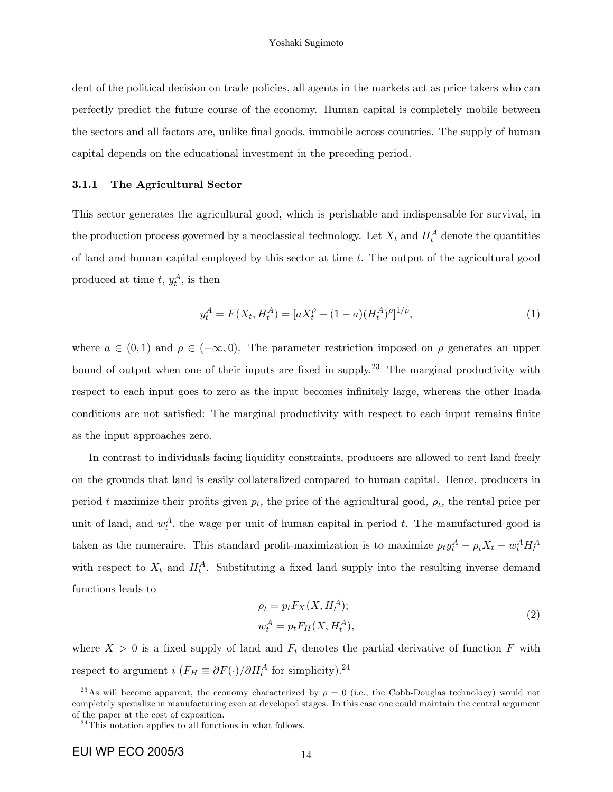dent of the political decision on trade policies, all agents in the markets act as price takers who can perfectly predict the future course of the economy. Human capital is completely mobile between the sectors and all factors are, unlike final goods, immobile across countries. The supply of human capital depends on the educational investment in the preceding period.

#### 3.1.1 The Agricultural Sector

This sector generates the agricultural good, which is perishable and indispensable for survival, in the production process governed by a neoclassical technology. Let  $X_t$  and  $H_t^A$  denote the quantities of land and human capital employed by this sector at time  $t$ . The output of the agricultural good produced at time  $t, y_t^A$ , is then

$$
y_t^A = F(X_t, H_t^A) = [aX_t^\rho + (1 - a)(H_t^A)^\rho]^{1/\rho},\tag{1}
$$

where  $a \in (0, 1)$  and  $\rho \in (-\infty, 0)$ . The parameter restriction imposed on  $\rho$  generates an upper bound of output when one of their inputs are fixed in supply.<sup>23</sup> The marginal productivity with respect to each input goes to zero as the input becomes infinitely large, whereas the other Inada conditions are not satisfied: The marginal productivity with respect to each input remains finite as the input approaches zero.

In contrast to individuals facing liquidity constraints, producers are allowed to rent land freely on the grounds that land is easily collateralized compared to human capital. Hence, producers in period t maximize their profits given  $p_t$ , the price of the agricultural good,  $\rho_t$ , the rental price per unit of land, and  $w_t^A$ , the wage per unit of human capital in period t. The manufactured good is taken as the numeraire. This standard profit-maximization is to maximize  $p_t y_t^A - \rho_t X_t - w_t^A H_t^A$ with respect to  $X_t$  and  $H_t^A$ . Substituting a fixed land supply into the resulting inverse demand functions leads to

$$
\rho_t = p_t F_X(X, H_t^A);
$$
  
\n
$$
w_t^A = p_t F_H(X, H_t^A),
$$
\n(2)

where  $X > 0$  is a fixed supply of land and  $F_i$  denotes the partial derivative of function F with respect to argument  $i$   $(F_H \equiv \partial F(\cdot)/\partial H_t^A$  for simplicity).<sup>24</sup>

<sup>&</sup>lt;sup>23</sup>As will become apparent, the economy characterized by  $\rho = 0$  (i.e., the Cobb-Douglas technolocy) would not completely specialize in manufacturing even at developed stages. In this case one could maintain the central argument of the paper at the cost of exposition.

 $24$ This notation applies to all functions in what follows.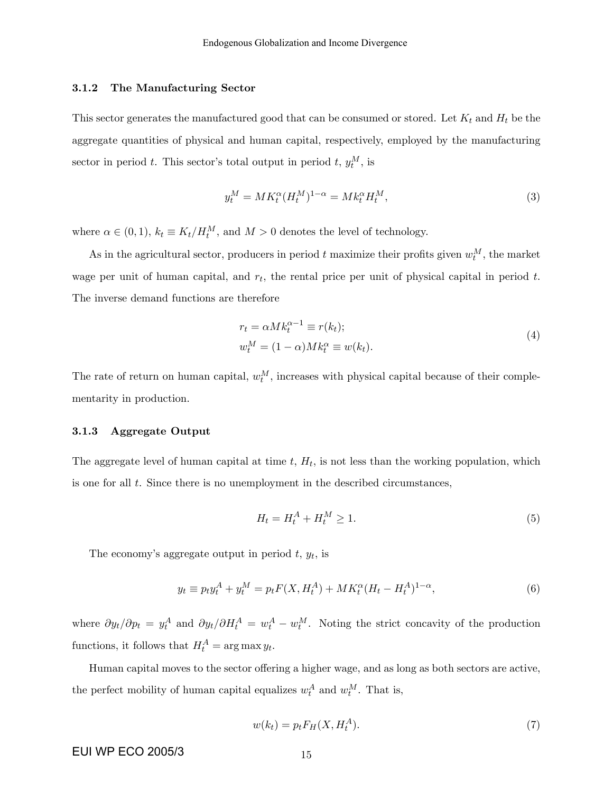#### 3.1.2 The Manufacturing Sector

This sector generates the manufactured good that can be consumed or stored. Let  $K_t$  and  $H_t$  be the aggregate quantities of physical and human capital, respectively, employed by the manufacturing sector in period t. This sector's total output in period t,  $y_t^M$ , is

$$
y_t^M = MK_t^{\alpha} (H_t^M)^{1-\alpha} = Mk_t^{\alpha} H_t^M,
$$
\n
$$
(3)
$$

where  $\alpha \in (0, 1)$ ,  $k_t \equiv K_t/H_t^M$ , and  $M > 0$  denotes the level of technology.

As in the agricultural sector, producers in period t maximize their profits given  $w_t^M$ , the market wage per unit of human capital, and  $r_t$ , the rental price per unit of physical capital in period t. The inverse demand functions are therefore

$$
r_t = \alpha M k_t^{\alpha - 1} \equiv r(k_t);
$$
  
\n
$$
w_t^M = (1 - \alpha) M k_t^{\alpha} \equiv w(k_t).
$$
\n(4)

The rate of return on human capital,  $w_t^M$ , increases with physical capital because of their complementarity in production.

## 3.1.3 Aggregate Output

The aggregate level of human capital at time  $t$ ,  $H_t$ , is not less than the working population, which is one for all  $t$ . Since there is no unemployment in the described circumstances,

$$
H_t = H_t^A + H_t^M \ge 1.
$$
\n<sup>(5)</sup>

The economy's aggregate output in period  $t, y_t$ , is

$$
y_t \equiv p_t y_t^A + y_t^M = p_t F(X, H_t^A) + M K_t^{\alpha} (H_t - H_t^A)^{1-\alpha}, \tag{6}
$$

where  $\partial y_t/\partial p_t = y_t^A$  and  $\partial y_t/\partial H_t^A = w_t^A - w_t^M$ . Noting the strict concavity of the production functions, it follows that  $H_t^A = \arg \max y_t$ .

Human capital moves to the sector offering a higher wage, and as long as both sectors are active, the perfect mobility of human capital equalizes  $w_t^A$  and  $w_t^M$ . That is,

$$
w(k_t) = p_t F_H(X, H_t^A). \tag{7}
$$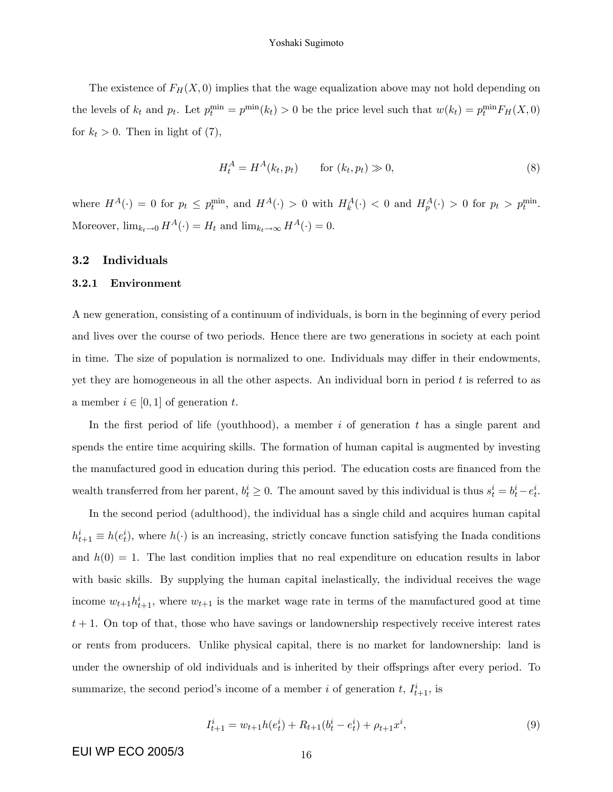#### Yoshaki Sugimoto

The existence of  $F_H(X, 0)$  implies that the wage equalization above may not hold depending on the levels of  $k_t$  and  $p_t$ . Let  $p_t^{\min} = p^{\min}(k_t) > 0$  be the price level such that  $w(k_t) = p_t^{\min} F_H(X, 0)$ for  $k_t > 0$ . Then in light of (7),

$$
H_t^A = H^A(k_t, p_t) \qquad \text{for } (k_t, p_t) \gg 0,
$$
\n
$$
(8)
$$

where  $H^A(\cdot) = 0$  for  $p_t \leq p_t^{\min}$ , and  $H^A(\cdot) > 0$  with  $H^A_k(\cdot) < 0$  and  $H^A_p(\cdot) > 0$  for  $p_t > p_t^{\min}$ . Moreover,  $\lim_{k_t \to 0} H^A(\cdot) = H_t$  and  $\lim_{k_t \to \infty} H^A(\cdot) = 0$ .

### 3.2 Individuals

#### 3.2.1 Environment

A new generation, consisting of a continuum of individuals, is born in the beginning of every period and lives over the course of two periods. Hence there are two generations in society at each point in time. The size of population is normalized to one. Individuals may differ in their endowments, yet they are homogeneous in all the other aspects. An individual born in period  $t$  is referred to as a member  $i \in [0, 1]$  of generation t.

In the first period of life (youthhood), a member i of generation t has a single parent and spends the entire time acquiring skills. The formation of human capital is augmented by investing the manufactured good in education during this period. The education costs are financed from the wealth transferred from her parent,  $b_t^i \geq 0$ . The amount saved by this individual is thus  $s_t^i = b_t^i - e_t^i$ .

In the second period (adulthood), the individual has a single child and acquires human capital  $h_{t+1}^i \equiv h(e_t^i)$ , where  $h(\cdot)$  is an increasing, strictly concave function satisfying the Inada conditions and  $h(0) = 1$ . The last condition implies that no real expenditure on education results in labor with basic skills. By supplying the human capital inelastically, the individual receives the wage income  $w_{t+1}h_{t+1}^i$ , where  $w_{t+1}$  is the market wage rate in terms of the manufactured good at time  $t + 1$ . On top of that, those who have savings or landownership respectively receive interest rates or rents from producers. Unlike physical capital, there is no market for landownership: land is under the ownership of old individuals and is inherited by their offsprings after every period. To summarize, the second period's income of a member i of generation  $t$ ,  $I_{t+1}^i$ , is

$$
I_{t+1}^i = w_{t+1}h(e_t^i) + R_{t+1}(b_t^i - e_t^i) + \rho_{t+1}x^i,
$$
\n(9)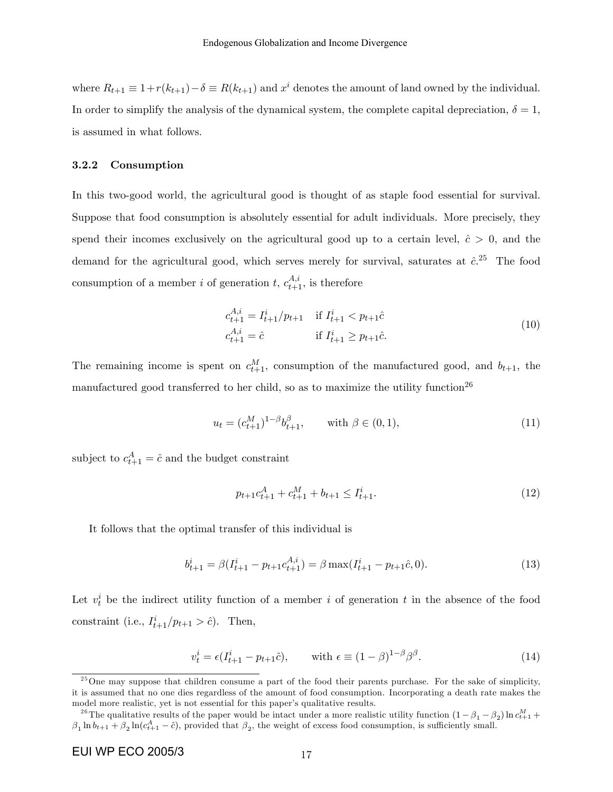where  $R_{t+1} \equiv 1+r(k_{t+1})-\delta \equiv R(k_{t+1})$  and  $x^i$  denotes the amount of land owned by the individual. In order to simplify the analysis of the dynamical system, the complete capital depreciation,  $\delta = 1$ , is assumed in what follows.

## 3.2.2 Consumption

In this two-good world, the agricultural good is thought of as staple food essential for survival. Suppose that food consumption is absolutely essential for adult individuals. More precisely, they spend their incomes exclusively on the agricultural good up to a certain level,  $\hat{c} > 0$ , and the demand for the agricultural good, which serves merely for survival, saturates at  $\hat{c}$ .<sup>25</sup> The food consumption of a member *i* of generation  $t, c_{t+1}^{A,i}$ , is therefore

$$
c_{t+1}^{A,i} = I_{t+1}^i / p_{t+1} \quad \text{if } I_{t+1}^i < p_{t+1}\hat{c}
$$
  
\n
$$
c_{t+1}^{A,i} = \hat{c} \qquad \text{if } I_{t+1}^i \ge p_{t+1}\hat{c}.
$$
\n(10)

The remaining income is spent on  $c_{t+1}^M$ , consumption of the manufactured good, and  $b_{t+1}$ , the manufactured good transferred to her child, so as to maximize the utility function<sup>26</sup>

$$
u_t = (c_{t+1}^M)^{1-\beta} b_{t+1}^{\beta}, \qquad \text{with } \beta \in (0,1), \tag{11}
$$

subject to  $c_{t+1}^A = \hat{c}$  and the budget constraint

$$
p_{t+1}c_{t+1}^A + c_{t+1}^M + b_{t+1} \le I_{t+1}^i. \tag{12}
$$

It follows that the optimal transfer of this individual is

$$
b_{t+1}^i = \beta(I_{t+1}^i - p_{t+1}c_{t+1}^{A,i}) = \beta \max(I_{t+1}^i - p_{t+1}\hat{c}, 0). \tag{13}
$$

Let  $v_t^i$  be the indirect utility function of a member i of generation t in the absence of the food constraint (i.e.,  $I_{t+1}^i/p_{t+1} > \hat{c}$ ). Then,

$$
v_t^i = \epsilon (I_{t+1}^i - p_{t+1}\hat{c}), \quad \text{with } \epsilon \equiv (1-\beta)^{1-\beta} \beta^{\beta}.
$$
 (14)

 $^{25}$ One may suppose that children consume a part of the food their parents purchase. For the sake of simplicity, it is assumed that no one dies regardless of the amount of food consumption. Incorporating a death rate makes the model more realistic, yet is not essential for this paper's qualitative results.

<sup>&</sup>lt;sup>26</sup> The qualitative results of the paper would be intact under a more realistic utility function  $(1 - \beta_1 - \beta_2) \ln c_{t+1}^M +$  $\beta_1 \ln b_{t+1} + \beta_2 \ln(c_{t+1}^A - \hat{c})$ , provided that  $\beta_2$ , the weight of excess food consumption, is sufficiently small.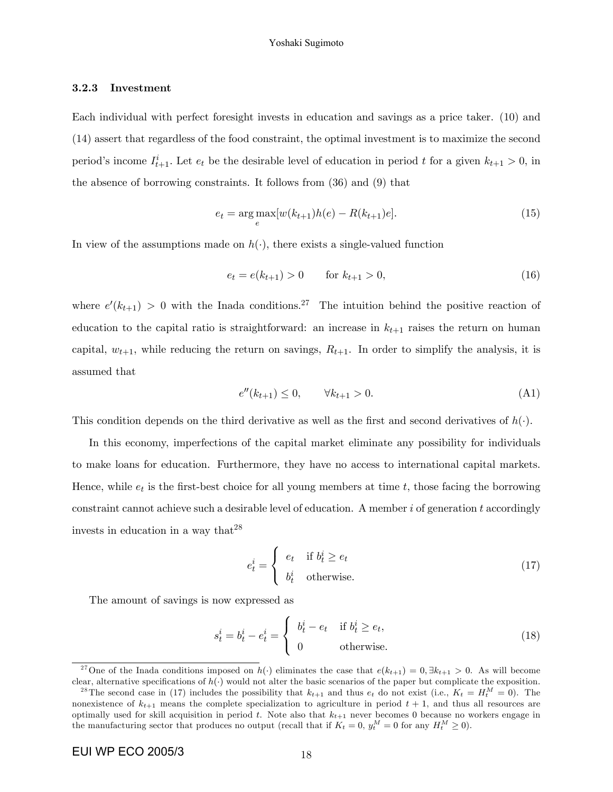### 3.2.3 Investment

Each individual with perfect foresight invests in education and savings as a price taker. (10) and (14) assert that regardless of the food constraint, the optimal investment is to maximize the second period's income  $I_{t+1}^i$ . Let  $e_t$  be the desirable level of education in period t for a given  $k_{t+1} > 0$ , in the absence of borrowing constraints. It follows from (36) and (9) that

$$
e_t = \arg\max_e[w(k_{t+1})h(e) - R(k_{t+1})e].
$$
\n(15)

In view of the assumptions made on  $h(\cdot)$ , there exists a single-valued function

$$
e_t = e(k_{t+1}) > 0 \qquad \text{for } k_{t+1} > 0,\tag{16}
$$

where  $e'(k_{t+1}) > 0$  with the Inada conditions.<sup>27</sup> The intuition behind the positive reaction of education to the capital ratio is straightforward: an increase in  $k_{t+1}$  raises the return on human capital,  $w_{t+1}$ , while reducing the return on savings,  $R_{t+1}$ . In order to simplify the analysis, it is assumed that

$$
e''(k_{t+1}) \le 0, \qquad \forall k_{t+1} > 0. \tag{A1}
$$

This condition depends on the third derivative as well as the first and second derivatives of  $h(\cdot)$ .

In this economy, imperfections of the capital market eliminate any possibility for individuals to make loans for education. Furthermore, they have no access to international capital markets. Hence, while  $e_t$  is the first-best choice for all young members at time  $t$ , those facing the borrowing constraint cannot achieve such a desirable level of education. A member  $i$  of generation t accordingly invests in education in a way that  $28$ 

$$
e_t^i = \begin{cases} e_t & \text{if } b_t^i \ge e_t \\ b_t^i & \text{otherwise.} \end{cases}
$$
 (17)

The amount of savings is now expressed as

$$
s_t^i = b_t^i - e_t^i = \begin{cases} b_t^i - e_t & \text{if } b_t^i \ge e_t, \\ 0 & \text{otherwise.} \end{cases}
$$
 (18)

<sup>&</sup>lt;sup>27</sup>One of the Inada conditions imposed on  $h(\cdot)$  eliminates the case that  $e(k_{t+1}) = 0, \exists k_{t+1} > 0$ . As will become clear, alternative specifications of  $h(\cdot)$  would not alter the basic scenarios of the paper but complicate the exposition.

<sup>&</sup>lt;sup>28</sup>The second case in (17) includes the possibility that  $k_{t+1}$  and thus  $e_t$  do not exist (i.e.,  $K_t = H_t^M = 0$ ). The nonexistence of  $k_{t+1}$  means the complete specialization to agriculture in period  $t + 1$ , and thus all resources are optimally used for skill acquisition in period t. Note also that  $k_{t+1}$  never becomes 0 because no workers engage in the manufacturing sector that produces no output (recall that if  $K_t = 0$ ,  $y_t^M = 0$  for any  $H_t^M \ge 0$ ).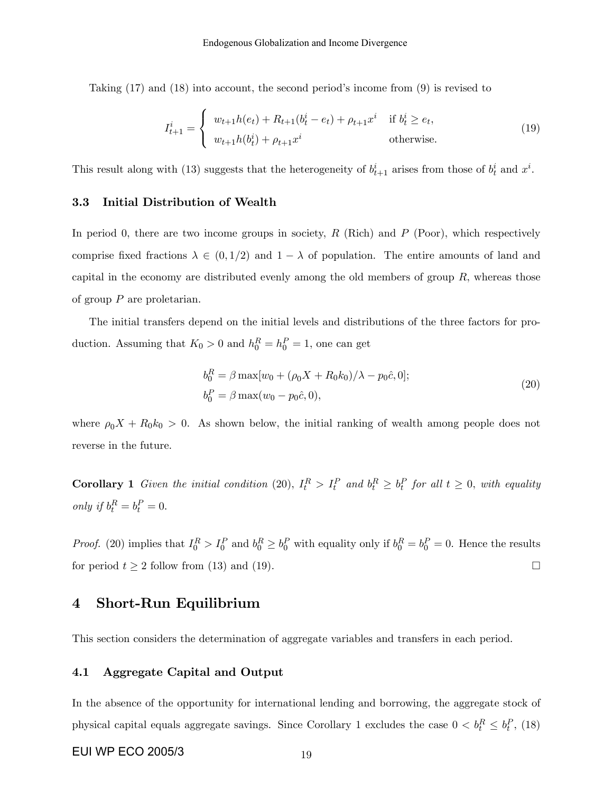Taking  $(17)$  and  $(18)$  into account, the second period's income from  $(9)$  is revised to

$$
I_{t+1}^{i} = \begin{cases} w_{t+1}h(e_t) + R_{t+1}(b_t^{i} - e_t) + \rho_{t+1}x^i & \text{if } b_t^{i} \ge e_t, \\ w_{t+1}h(b_t^{i}) + \rho_{t+1}x^i & \text{otherwise.} \end{cases}
$$
(19)

This result along with (13) suggests that the heterogeneity of  $b_{t+1}^i$  arises from those of  $b_t^i$  and  $x^i$ .

## 3.3 Initial Distribution of Wealth

In period 0, there are two income groups in society,  $R$  (Rich) and  $P$  (Poor), which respectively comprise fixed fractions  $\lambda \in (0, 1/2)$  and  $1 - \lambda$  of population. The entire amounts of land and capital in the economy are distributed evenly among the old members of group  $R$ , whereas those of group  $P$  are proletarian.

The initial transfers depend on the initial levels and distributions of the three factors for production. Assuming that  $K_0 > 0$  and  $h_0^R = h_0^P = 1$ , one can get

$$
b_0^R = \beta \max[w_0 + (\rho_0 X + R_0 k_0)/\lambda - p_0 \hat{c}, 0];
$$
  
\n
$$
b_0^P = \beta \max(w_0 - p_0 \hat{c}, 0),
$$
\n(20)

where  $\rho_0 X + R_0 k_0 > 0$ . As shown below, the initial ranking of wealth among people does not reverse in the future.

**Corollary 1** Given the initial condition (20),  $I_t^R > I_t^P$  and  $b_t^R \geq b_t^P$  for all  $t \geq 0$ , with equality only if  $b_t^R = b_t^P = 0$ .

*Proof.* (20) implies that  $I_0^R > I_0^P$  and  $b_0^R \ge b_0^P$  with equality only if  $b_0^R = b_0^P = 0$ . Hence the results for period  $t \ge 2$  follow from (13) and (19).

## 4 Short-Run Equilibrium

This section considers the determination of aggregate variables and transfers in each period.

## 4.1 Aggregate Capital and Output

In the absence of the opportunity for international lending and borrowing, the aggregate stock of physical capital equals aggregate savings. Since Corollary 1 excludes the case  $0 < b_t^R \leq b_t^P$ , (18)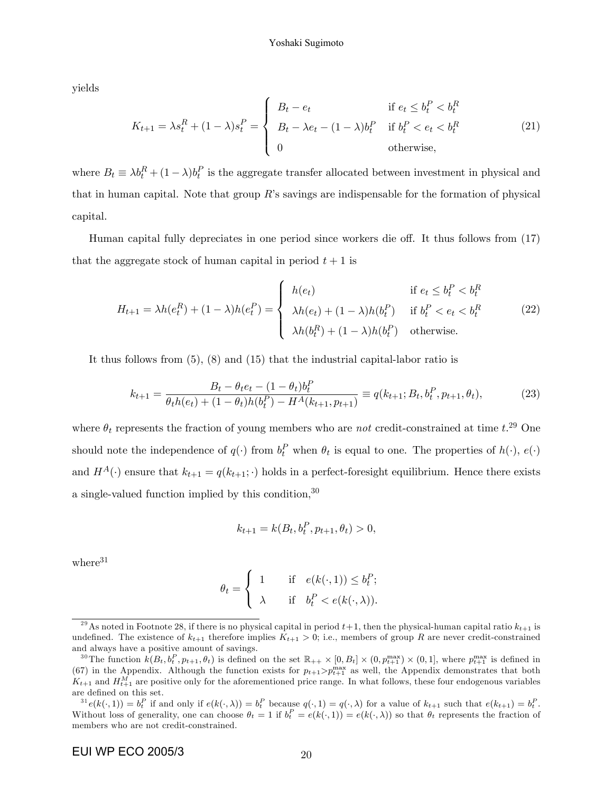yields

$$
K_{t+1} = \lambda s_t^R + (1 - \lambda)s_t^P = \begin{cases} B_t - e_t & \text{if } e_t \le b_t^P < b_t^R\\ B_t - \lambda e_t - (1 - \lambda)b_t^P & \text{if } b_t^P < e_t < b_t^R\\ 0 & \text{otherwise,} \end{cases} \tag{21}
$$

where  $B_t \equiv \lambda b_t^R + (1 - \lambda)b_t^P$  is the aggregate transfer allocated between investment in physical and that in human capital. Note that group  $R$ 's savings are indispensable for the formation of physical capital.

Human capital fully depreciates in one period since workers die off. It thus follows from  $(17)$ that the aggregate stock of human capital in period  $t + 1$  is

$$
H_{t+1} = \lambda h(e_t^R) + (1 - \lambda)h(e_t^P) = \begin{cases} h(e_t) & \text{if } e_t \le b_t^P < b_t^R\\ \lambda h(e_t) + (1 - \lambda)h(b_t^P) & \text{if } b_t^P < e_t < b_t^R\\ \lambda h(b_t^R) + (1 - \lambda)h(b_t^P) & \text{otherwise.} \end{cases} \tag{22}
$$

It thus follows from (5), (8) and (15) that the industrial capital-labor ratio is

$$
k_{t+1} = \frac{B_t - \theta_t e_t - (1 - \theta_t) b_t^P}{\theta_t h(e_t) + (1 - \theta_t) h(b_t^P) - H^A(k_{t+1}, p_{t+1})} \equiv q(k_{t+1}; B_t, b_t^P, p_{t+1}, \theta_t), \tag{23}
$$

where  $\theta_t$  represents the fraction of young members who are *not* credit-constrained at time t.<sup>29</sup> One should note the independence of  $q(\cdot)$  from  $b_t^P$  when  $\theta_t$  is equal to one. The properties of  $h(\cdot)$ ,  $e(\cdot)$ and  $H^{A}(\cdot)$  ensure that  $k_{t+1} = q(k_{t+1}; \cdot)$  holds in a perfect-foresight equilibrium. Hence there exists a single-valued function implied by this condition,  $30$ 

$$
k_{t+1} = k(B_t, b_t^P, p_{t+1}, \theta_t) > 0,
$$

where $31$ 

$$
\theta_t = \begin{cases} 1 & \text{if } e(k(\cdot, 1)) \le b_t^P; \\ \lambda & \text{if } b_t^P < e(k(\cdot, \lambda)). \end{cases}
$$

<sup>&</sup>lt;sup>29</sup>As noted in Footnote 28, if there is no physical capital in period  $t+1$ , then the physical-human capital ratio  $k_{t+1}$  is undefined. The existence of  $k_{t+1}$  therefore implies  $K_{t+1} > 0$ ; i.e., members of group R are never credit-constrained and always have a positive amount of savings.

<sup>&</sup>lt;sup>30</sup>The function  $k(B_t, b_t^P, p_{t+1}, \theta_t)$  is defined on the set  $\mathbb{R}_{++} \times [0, B_t] \times (0, p_{t+1}^{\max}) \times (0, 1]$ , where  $p_{t+1}^{\max}$  is defined in (67) in the Appendix. Although the function exists for  $p_{t+1} > p_{t+1}^{\max}$  as well, the Appendix demonstrates that both  $K_{t+1}$  and  $H_{t+1}^M$  are positive only for the aforementioned price range. In what follows, these four endogenous variables are defined on this set.

 $S^{31}e(k(\cdot,1)) = b_t^P$  if and only if  $e(k(\cdot,\lambda)) = b_t^P$  because  $q(\cdot,1) = q(\cdot,\lambda)$  for a value of  $k_{t+1}$  such that  $e(k_{t+1}) = b_t^P$ . Without loss of generality, one can choose  $\theta_t = 1$  if  $b_t^P = e(k(\cdot, 1)) = e(k(\cdot, \lambda))$  so that  $\theta_t$  represents the fraction of members who are not credit-constrained.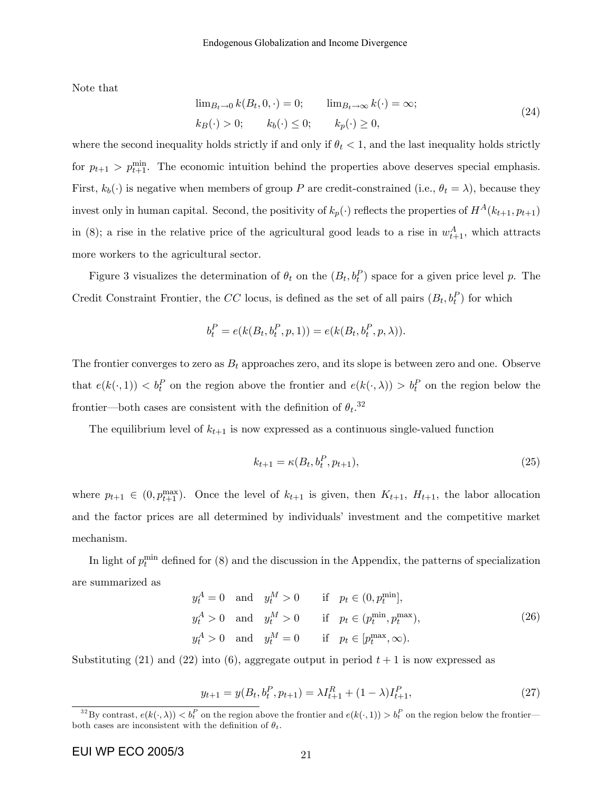Note that

$$
\lim_{B_t \to 0} k(B_t, 0, \cdot) = 0; \qquad \lim_{B_t \to \infty} k(\cdot) = \infty;
$$
\n
$$
k(\cdot) > 0; \qquad k_b(\cdot) \le 0; \qquad k_p(\cdot) \ge 0,
$$
\n
$$
\tag{24}
$$

where the second inequality holds strictly if and only if  $\theta_t < 1$ , and the last inequality holds strictly for  $p_{t+1} > p_{t+1}^{\min}$ . The economic intuition behind the properties above deserves special emphasis. First,  $k_b(\cdot)$  is negative when members of group P are credit-constrained (i.e.,  $\theta_t = \lambda$ ), because they invest only in human capital. Second, the positivity of  $k_p(\cdot)$  reflects the properties of  $H^A(k_{t+1}, p_{t+1})$ in (8); a rise in the relative price of the agricultural good leads to a rise in  $w_{t+1}^A$ , which attracts more workers to the agricultural sector.

Figure 3 visualizes the determination of  $\theta_t$  on the  $(B_t, b_t^P)$  space for a given price level p. The Credit Constraint Frontier, the CC locus, is defined as the set of all pairs  $(B_t, b_t^P)$  for which

$$
b_t^P = e(k(B_t, b_t^P, p, 1)) = e(k(B_t, b_t^P, p, \lambda)).
$$

The frontier converges to zero as  $B_t$  approaches zero, and its slope is between zero and one. Observe that  $e(k(\cdot,1)) < b_t^P$  on the region above the frontier and  $e(k(\cdot,\lambda)) > b_t^P$  on the region below the frontier—both cases are consistent with the definition of  $\theta_t$ .<sup>32</sup>

The equilibrium level of  $k_{t+1}$  is now expressed as a continuous single-valued function

$$
k_{t+1} = \kappa(B_t, b_t^P, p_{t+1}),
$$
\n(25)

where  $p_{t+1} \in (0, p_{t+1}^{\max})$ . Once the level of  $k_{t+1}$  is given, then  $K_{t+1}$ ,  $H_{t+1}$ , the labor allocation and the factor prices are all determined by individuals' investment and the competitive market mechanism.

In light of  $p_t^{\min}$  defined for (8) and the discussion in the Appendix, the patterns of specialization are summarized as

$$
y_t^A = 0 \quad \text{and} \quad y_t^M > 0 \qquad \text{if} \quad p_t \in (0, p_t^{\min}),
$$
\n
$$
y_t^A > 0 \quad \text{and} \quad y_t^M > 0 \qquad \text{if} \quad p_t \in (p_t^{\min}, p_t^{\max}),
$$
\n
$$
y_t^A > 0 \quad \text{and} \quad y_t^M = 0 \qquad \text{if} \quad p_t \in [p_t^{\max}, \infty).
$$
\n
$$
(26)
$$

Substituting (21) and (22) into (6), aggregate output in period  $t + 1$  is now expressed as

$$
y_{t+1} = y(B_t, b_t^P, p_{t+1}) = \lambda I_{t+1}^R + (1 - \lambda)I_{t+1}^P,
$$
\n(27)

<sup>&</sup>lt;sup>32</sup>By contrast,  $e(k(\cdot,\lambda)) < b_t^P$  on the region above the frontier and  $e(k(\cdot,1)) > b_t^P$  on the region below the frontier both cases are inconsistent with the definition of  $\theta_t$ .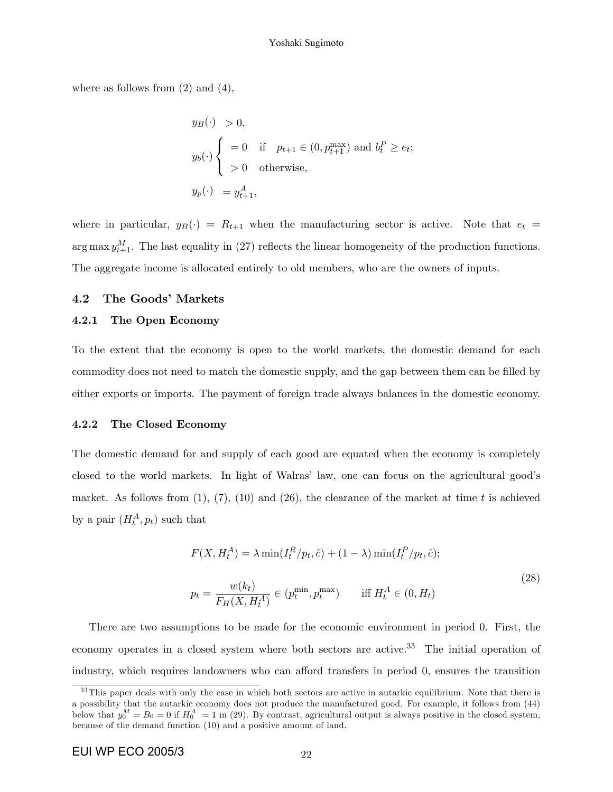where as follows from  $(2)$  and  $(4)$ ,

$$
y_B(\cdot) > 0,
$$
  
\n
$$
y_b(\cdot) \begin{cases}\n= 0 & \text{if } p_{t+1} \in (0, p_{t+1}^{\max}) \text{ and } b_t^P \ge e_t; \\
> 0 & \text{otherwise,} \n\end{cases}
$$
  
\n
$$
y_p(\cdot) = y_{t+1}^A,
$$

where in particular,  $y_B(\cdot) = R_{t+1}$  when the manufacturing sector is active. Note that  $e_t$  $\arg \max y_{t+1}^M$ . The last equality in (27) reflects the linear homogeneity of the production functions. The aggregate income is allocated entirely to old members, who are the owners of inputs.

#### 4.2 The Goods' Markets

#### 4.2.1 The Open Economy

To the extent that the economy is open to the world markets, the domestic demand for each commodity does not need to match the domestic supply, and the gap between them can be filled by either exports or imports. The payment of foreign trade always balances in the domestic economy.

### 4.2.2 The Closed Economy

The domestic demand for and supply of each good are equated when the economy is completely closed to the world markets. In light of Walras' law, one can focus on the agricultural good's market. As follows from  $(1)$ ,  $(7)$ ,  $(10)$  and  $(26)$ , the clearance of the market at time t is achieved by a pair  $(H_t^A, p_t)$  such that

$$
F(X, H_t^A) = \lambda \min(I_t^R / p_t, \hat{c}) + (1 - \lambda) \min(I_t^P / p_t, \hat{c});
$$
  

$$
p_t = \frac{w(k_t)}{F_H(X, H_t^A)} \in (p_t^{\min}, p_t^{\max}) \quad \text{iff } H_t^A \in (0, H_t)
$$
 (28)

There are two assumptions to be made for the economic environment in period 0. First, the economy operates in a closed system where both sectors are active.<sup>33</sup> The initial operation of industry, which requires landowners who can afford transfers in period 0, ensures the transition

 $33$ This paper deals with only the case in which both sectors are active in autarkic equilibrium. Note that there is a possibility that the autarkic economy does not produce the manufactured good. For example, it follows from (44) below that  $y_0^M = B_0 = 0$  if  $H_0^A = 1$  in (29). By contrast, agricultural output is always positive in the closed system, because of the demand function (10) and a positive amount of land.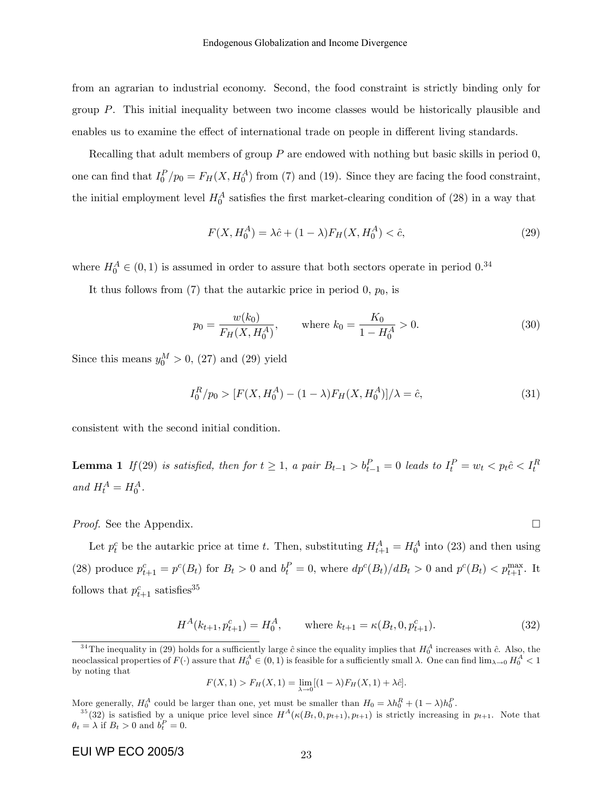from an agrarian to industrial economy. Second, the food constraint is strictly binding only for group  $P$ . This initial inequality between two income classes would be historically plausible and enables us to examine the effect of international trade on people in different living standards.

Recalling that adult members of group  $P$  are endowed with nothing but basic skills in period  $0$ , one can find that  $I_0^P/p_0 = F_H(X, H_0^A)$  from (7) and (19). Since they are facing the food constraint, the initial employment level  $H_0^A$  satisfies the first market-clearing condition of (28) in a way that

$$
F(X, H_0^A) = \lambda \hat{c} + (1 - \lambda) F_H(X, H_0^A) < \hat{c},\tag{29}
$$

where  $H_0^A \in (0, 1)$  is assumed in order to assure that both sectors operate in period  $0.34$ 

It thus follows from  $(7)$  that the autarkic price in period 0,  $p_0$ , is

$$
p_0 = \frac{w(k_0)}{F_H(X, H_0^A)}, \qquad \text{where } k_0 = \frac{K_0}{1 - H_0^A} > 0.
$$
 (30)

Since this means  $y_0^M > 0$ , (27) and (29) yield

$$
I_0^R/p_0 > [F(X, H_0^A) - (1 - \lambda)F_H(X, H_0^A)]/\lambda = \hat{c},\tag{31}
$$

consistent with the second initial condition.

**Lemma 1** If (29) is satisfied, then for  $t \ge 1$ , a pair  $B_{t-1} > b_{t-1}^P = 0$  leads to  $I_t^P = w_t < p_t \hat{c} < I_t^R$ and  $H_t^A = H_0^A$ .

*Proof.* See the Appendix.  $\square$ 

Let  $p_t^c$  be the autarkic price at time t. Then, substituting  $H_{t+1}^A = H_0^A$  into (23) and then using (28) produce  $p_{t+1}^c = p^c(B_t)$  for  $B_t > 0$  and  $b_t^P = 0$ , where  $dp^c(B_t)/dB_t > 0$  and  $p^c(B_t) < p_{t+1}^{\max}$ . It follows that  $p_{t+1}^c$  satisfies<sup>35</sup>

$$
H^{A}(k_{t+1}, p_{t+1}^{c}) = H_{0}^{A}, \qquad \text{where } k_{t+1} = \kappa(B_{t}, 0, p_{t+1}^{c}). \tag{32}
$$

$$
F(X, 1) > F_H(X, 1) = \lim_{\lambda \to 0} [(1 - \lambda) F_H(X, 1) + \lambda \hat{c}].
$$

More generally,  $H_0^A$  could be larger than one, yet must be smaller than  $H_0 = \lambda h_0^B + (1 - \lambda)h_0^P$ .

 $^{35}(32)$  is satisfied by a unique price level since  $H^{A}(\kappa(B_t, 0, p_{t+1}), p_{t+1})$  is strictly increasing in  $p_{t+1}$ . Note that  $\theta_t = \lambda$  if  $B_t > 0$  and  $b_t^P = 0$ .

<sup>&</sup>lt;sup>34</sup>The inequality in (29) holds for a sufficiently large  $\hat{c}$  since the equality implies that  $H_0^A$  increases with  $\hat{c}$ . Also, the neoclassical properties of  $F(\cdot)$  assure that  $H_0^A \in (0,1)$  is feasible for a sufficiently small  $\lambda$ . One can find  $\lim_{\lambda \to 0} H_0^A < 1$ by noting that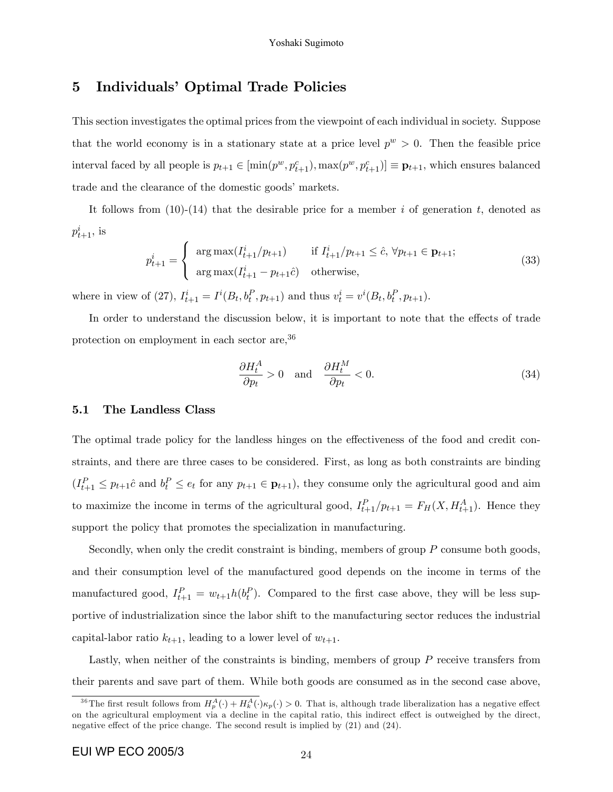## 5 Individuals' Optimal Trade Policies

This section investigates the optimal prices from the viewpoint of each individual in society. Suppose that the world economy is in a stationary state at a price level  $p^w > 0$ . Then the feasible price interval faced by all people is  $p_{t+1} \in [\min(p^w, p_{t+1}^c), \max(p^w, p_{t+1}^c)] \equiv \mathbf{p}_{t+1}$ , which ensures balanced trade and the clearance of the domestic goods' markets.

It follows from  $(10)-(14)$  that the desirable price for a member i of generation t, denoted as  $p_{t+1}^i$ , is

$$
p_{t+1}^{i} = \begin{cases} \arg \max(I_{t+1}^{i}/p_{t+1}) & \text{if } I_{t+1}^{i}/p_{t+1} \leq \hat{c}, \forall p_{t+1} \in \mathbf{p}_{t+1}; \\ \arg \max(I_{t+1}^{i} - p_{t+1}\hat{c}) & \text{otherwise}, \end{cases}
$$
(33)

where in view of (27),  $I_{t+1}^i = I^i(B_t, b_t^P, p_{t+1})$  and thus  $v_t^i = v^i(B_t, b_t^P, p_{t+1})$ .

In order to understand the discussion below, it is important to note that the effects of trade protection on employment in each sector are,<sup>36</sup>

$$
\frac{\partial H_t^A}{\partial p_t} > 0 \quad \text{and} \quad \frac{\partial H_t^M}{\partial p_t} < 0. \tag{34}
$$

#### 5.1 The Landless Class

The optimal trade policy for the landless hinges on the effectiveness of the food and credit constraints, and there are three cases to be considered. First, as long as both constraints are binding  $(I_{t+1}^P \leq p_{t+1}\hat{c}$  and  $b_t^P \leq e_t$  for any  $p_{t+1} \in \mathbf{p}_{t+1}$ , they consume only the agricultural good and aim to maximize the income in terms of the agricultural good,  $I_{t+1}^P/p_{t+1} = F_H(X, H_{t+1}^A)$ . Hence they support the policy that promotes the specialization in manufacturing.

Secondly, when only the credit constraint is binding, members of group P consume both goods, and their consumption level of the manufactured good depends on the income in terms of the manufactured good,  $I_{t+1}^P = w_{t+1}h(b_t^P)$ . Compared to the first case above, they will be less supportive of industrialization since the labor shift to the manufacturing sector reduces the industrial capital-labor ratio  $k_{t+1}$ , leading to a lower level of  $w_{t+1}$ .

Lastly, when neither of the constraints is binding, members of group  $P$  receive transfers from their parents and save part of them. While both goods are consumed as in the second case above,

<sup>&</sup>lt;sup>36</sup>The first result follows from  $H_p^A(\cdot) + H_k^A(\cdot)\kappa_p(\cdot) > 0$ . That is, although trade liberalization has a negative effect on the agricultural employment via a decline in the capital ratio, this indirect effect is outweighed by the direct, negative effect of the price change. The second result is implied by  $(21)$  and  $(24)$ .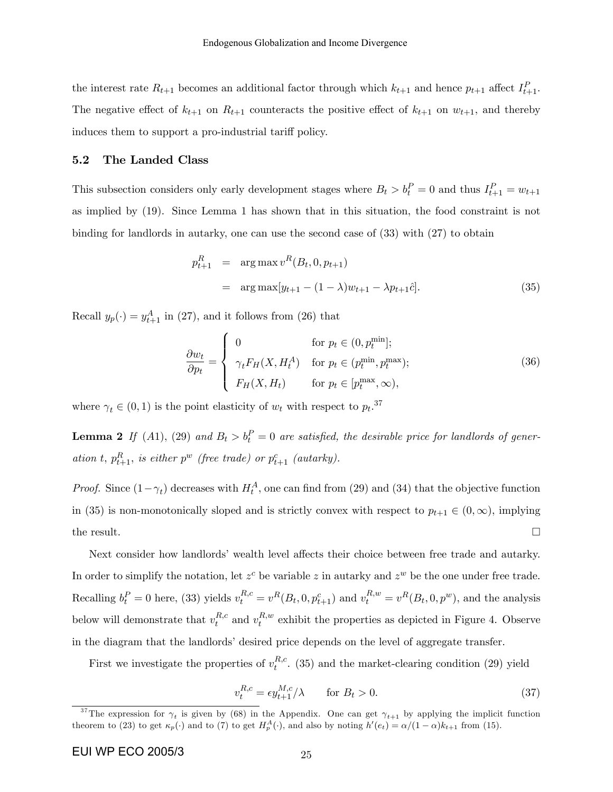the interest rate  $R_{t+1}$  becomes an additional factor through which  $k_{t+1}$  and hence  $p_{t+1}$  affect  $I_{t+1}^P$ . The negative effect of  $k_{t+1}$  on  $R_{t+1}$  counteracts the positive effect of  $k_{t+1}$  on  $w_{t+1}$ , and thereby induces them to support a pro-industrial tariff policy.

#### 5.2 The Landed Class

This subsection considers only early development stages where  $B_t > b_t^P = 0$  and thus  $I_{t+1}^P = w_{t+1}$ as implied by (19). Since Lemma 1 has shown that in this situation, the food constraint is not binding for landlords in autarky, one can use the second case of (33) with (27) to obtain

$$
p_{t+1}^{R} = \arg \max v^{R}(B_{t}, 0, p_{t+1})
$$
  
= 
$$
\arg \max [y_{t+1} - (1 - \lambda)w_{t+1} - \lambda p_{t+1} \hat{c}].
$$
 (35)

Recall  $y_p(\cdot) = y_{t+1}^A$  in (27), and it follows from (26) that

$$
\frac{\partial w_t}{\partial p_t} = \begin{cases}\n0 & \text{for } p_t \in (0, p_t^{\min}); \\
\gamma_t F_H(X, H_t^A) & \text{for } p_t \in (p_t^{\min}, p_t^{\max}); \\
F_H(X, H_t) & \text{for } p_t \in [p_t^{\max}, \infty),\n\end{cases}
$$
\n(36)

where  $\gamma_t \in (0, 1)$  is the point elasticity of  $w_t$  with respect to  $p_t$ .<sup>37</sup>

**Lemma 2** If (A1), (29) and  $B_t > b_t^P = 0$  are satisfied, the desirable price for landlords of generation t,  $p_{t+1}^R$ , is either  $p^w$  (free trade) or  $p_{t+1}^c$  (autarky).

*Proof.* Since  $(1 - \gamma_t)$  decreases with  $H_t^A$ , one can find from (29) and (34) that the objective function in (35) is non-monotonically sloped and is strictly convex with respect to  $p_{t+1} \in (0,\infty)$ , implying the result.  $\Box$ 

Next consider how landlords' wealth level affects their choice between free trade and autarky. In order to simplify the notation, let  $z^c$  be variable z in autarky and  $z^w$  be the one under free trade. Recalling  $b_t^P = 0$  here, (33) yields  $v_t^{R,c} = v^R(B_t, 0, p_{t+1}^c)$  and  $v_t^{R,w} = v^R(B_t, 0, p^w)$ , and the analysis below will demonstrate that  $v_t^{R,c}$  $t^{R,c}$  and  $v_t^{R,w}$  $t^{n,w}$  exhibit the properties as depicted in Figure 4. Observe in the diagram that the landlords' desired price depends on the level of aggregate transfer.

First we investigate the properties of  $v_t^{R,c}$  $t_t^{h,c}$ . (35) and the market-clearing condition (29) yield

$$
v_t^{R,c} = \epsilon y_{t+1}^{M,c}/\lambda \qquad \text{for } B_t > 0.
$$
 (37)

<sup>&</sup>lt;sup>37</sup>The expression for  $\gamma_t$  is given by (68) in the Appendix. One can get  $\gamma_{t+1}$  by applying the implicit function theorem to (23) to get  $\kappa_p(\cdot)$  and to (7) to get  $H_p^A(\cdot)$ , and also by noting  $h'(e_t) = \alpha/(1-\alpha)k_{t+1}$  from (15).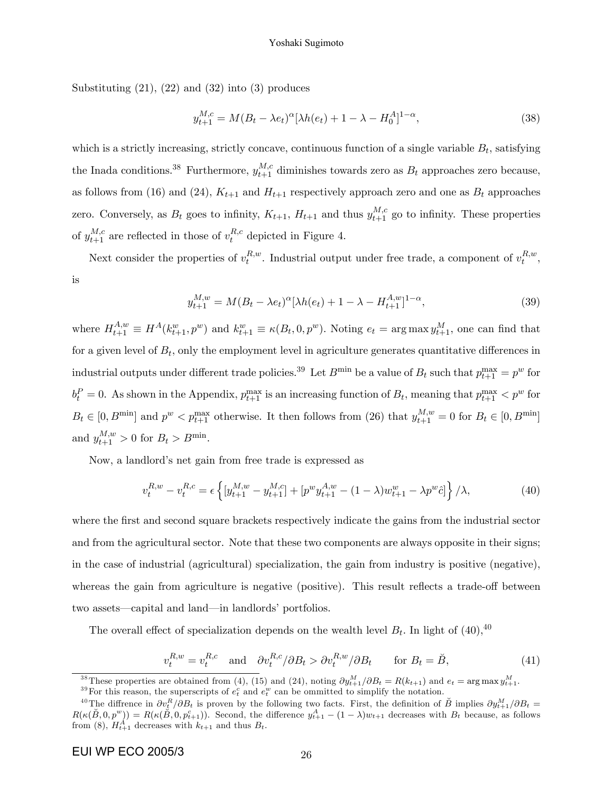Substituting  $(21)$ ,  $(22)$  and  $(32)$  into  $(3)$  produces

$$
y_{t+1}^{M,c} = M(B_t - \lambda e_t)^{\alpha} [\lambda h(e_t) + 1 - \lambda - H_0^A]^{1-\alpha},
$$
\n(38)

which is a strictly increasing, strictly concave, continuous function of a single variable  $B_t$ , satisfying the Inada conditions.<sup>38</sup> Furthermore,  $y_{t+1}^{M,c}$  diminishes towards zero as  $B_t$  approaches zero because, as follows from (16) and (24),  $K_{t+1}$  and  $H_{t+1}$  respectively approach zero and one as  $B_t$  approaches zero. Conversely, as  $B_t$  goes to infinity,  $K_{t+1}$ ,  $H_{t+1}$  and thus  $y_{t+1}^{M,c}$  go to infinity. These properties of  $y_{t+1}^{M,c}$  are reflected in those of  $v_t^{R,c}$  depicted in Figure 4.

Next consider the properties of  $v_t^{R,w}$  $t^{R,w}_{t}$ . Industrial output under free trade, a component of  $v^{R,w}_{t}$  $_{t}^{\mathit{r,w}},$ is

$$
y_{t+1}^{M,w} = M(B_t - \lambda e_t)^{\alpha} [\lambda h(e_t) + 1 - \lambda - H_{t+1}^{A,w}]^{1-\alpha},
$$
\n(39)

where  $H_{t+1}^{A,w} \equiv H^A(k_{t+1}^w, p^w)$  and  $k_{t+1}^w \equiv \kappa(B_t, 0, p^w)$ . Noting  $e_t = \arg \max y_{t+1}^M$ , one can find that for a given level of  $B_t$ , only the employment level in agriculture generates quantitative differences in industrial outputs under different trade policies.<sup>39</sup> Let  $B^{\min}$  be a value of  $B_t$  such that  $p_{t+1}^{\max} = p^w$  for  $b_t^P = 0$ . As shown in the Appendix,  $p_{t+1}^{\max}$  is an increasing function of  $B_t$ , meaning that  $p_{t+1}^{\max} < p^w$  for  $B_t \in [0, B^{\min}]$  and  $p^w < p_{t+1}^{\max}$  otherwise. It then follows from (26) that  $y_{t+1}^{M,w} = 0$  for  $B_t \in [0, B^{\min}]$ and  $y_{t+1}^{M,w} > 0$  for  $B_t > B^{\min}$ .

Now, a landlord's net gain from free trade is expressed as

$$
v_t^{R,w} - v_t^{R,c} = \epsilon \left\{ \left[ y_{t+1}^{M,w} - y_{t+1}^{M,c} \right] + \left[ p^w y_{t+1}^{A,w} - (1 - \lambda) w_{t+1}^w - \lambda p^w \hat{c} \right] \right\} / \lambda, \tag{40}
$$

where the first and second square brackets respectively indicate the gains from the industrial sector and from the agricultural sector. Note that these two components are always opposite in their signs; in the case of industrial (agricultural) specialization, the gain from industry is positive (negative), whereas the gain from agriculture is negative (positive). This result reflects a trade-off between two assets—capital and land—in landlords' portfolios.

The overall effect of specialization depends on the wealth level  $B_t$ . In light of  $(40)$ ,<sup>40</sup>

$$
v_t^{R,w} = v_t^{R,c} \quad \text{and} \quad \partial v_t^{R,c} / \partial B_t > \partial v_t^{R,w} / \partial B_t \qquad \text{for } B_t = \breve{B}, \tag{41}
$$

<sup>&</sup>lt;sup>38</sup>These properties are obtained from (4), (15) and (24), noting  $\partial y_{t+1}^M/\partial B_t = R(k_{t+1})$  and  $e_t = \arg \max y_{t+1}^M$ .

<sup>&</sup>lt;sup>39</sup>For this reason, the superscripts of  $e_t^c$  and  $e_t^w$  can be ommitted to simplify the notation.

<sup>&</sup>lt;sup>40</sup>The diffrence in  $\partial v_t^R/\partial B_t$  is proven by the following two facts. First, the definition of  $\check{B}$  implies  $\partial y_{t+1}^M/\partial B_t =$  $R(\kappa(\breve{B},0,p^w)) = R(\kappa(\breve{B},0,p_{t+1}^c))$ . Second, the difference  $y_{t+1}^A - (1-\lambda)w_{t+1}$  decreases with  $B_t$  because, as follows from (8),  $H_{t+1}^A$  decreases with  $k_{t+1}$  and thus  $B_t$ .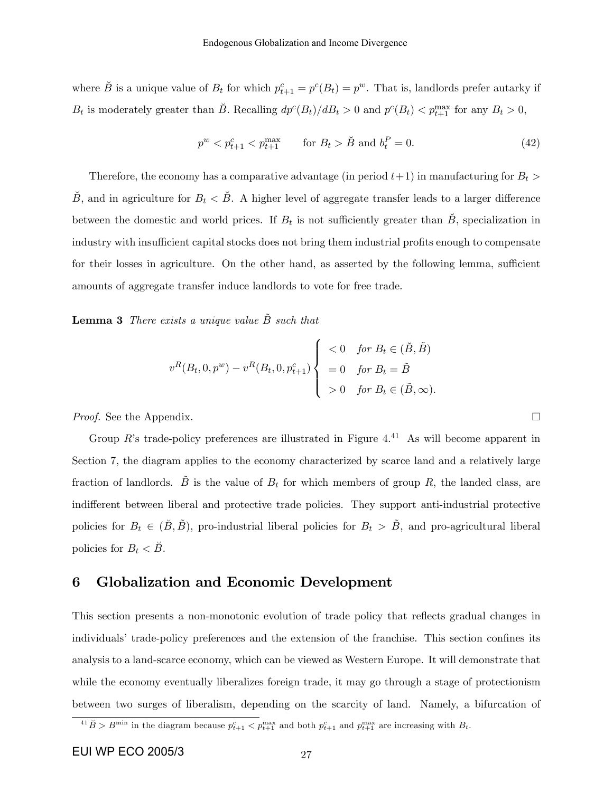where  $\check{B}$  is a unique value of  $B_t$  for which  $p_{t+1}^c = p^c(B_t) = p^w$ . That is, landlords prefer autarky if  $B_t$  is moderately greater than  $\check{B}$ . Recalling  $dp^c(B_t)/dB_t > 0$  and  $p^c(B_t) < p_{t+1}^{\max}$  for any  $B_t > 0$ ,

$$
p^{w} < p_{t+1}^{c} < p_{t+1}^{\max} \qquad \text{for } B_t > \check{B} \text{ and } b_t^P = 0. \tag{42}
$$

Therefore, the economy has a comparative advantage (in period  $t+1$ ) in manufacturing for  $B_t >$  $\check{B}$ , and in agriculture for  $B_t < \check{B}$ . A higher level of aggregate transfer leads to a larger difference between the domestic and world prices. If  $B_t$  is not sufficiently greater than  $\check{B}$ , specialization in industry with insufficient capital stocks does not bring them industrial profits enough to compensate for their losses in agriculture. On the other hand, as asserted by the following lemma, sufficient amounts of aggregate transfer induce landlords to vote for free trade.

## **Lemma 3** There exists a unique value  $\tilde{B}$  such that

$$
v^{R}(B_t, 0, p^{w}) - v^{R}(B_t, 0, p_{t+1}^{c}) \begin{cases} < 0 \quad \text{for } B_t \in (\check{B}, \check{B}) \\ < 0 \quad \text{for } B_t = \check{B} \\ > 0 \quad \text{for } B_t \in (\check{B}, \infty). \end{cases}
$$

*Proof.* See the Appendix.  $\square$ 

Group R's trade-policy preferences are illustrated in Figure  $4.41$  As will become apparent in Section 7, the diagram applies to the economy characterized by scarce land and a relatively large fraction of landlords. B~ is the value of  $B_t$  for which members of group R, the landed class, are indifferent between liberal and protective trade policies. They support anti-industrial protective policies for  $B_t \in (\check{B}, \check{B})$ , pro-industrial liberal policies for  $B_t > \check{B}$ , and pro-agricultural liberal policies for  $B_t < \check{B}$ .

## 6 Globalization and Economic Development

This section presents a non-monotonic evolution of trade policy that reflects gradual changes in individuals' trade-policy preferences and the extension of the franchise. This section confines its analysis to a land-scarce economy, which can be viewed as Western Europe. It will demonstrate that while the economy eventually liberalizes foreign trade, it may go through a stage of protectionism between two surges of liberalism, depending on the scarcity of land. Namely, a bifurcation of

 $^{41}$  $\breve{B}$  >  $B^{\min}$  in the diagram because  $p_{t+1}^c < p_{t+1}^{\max}$  and both  $p_{t+1}^c$  and  $p_{t+1}^{\max}$  are increasing with  $B_t$ .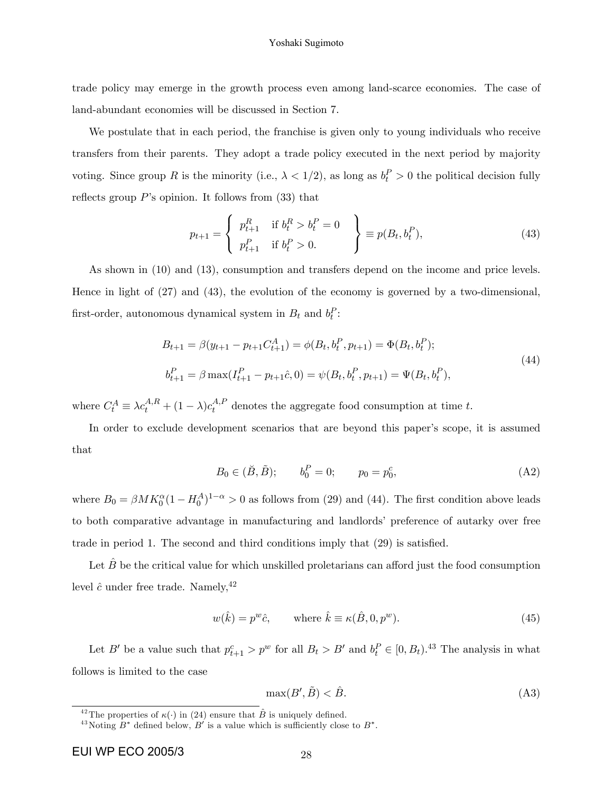trade policy may emerge in the growth process even among land-scarce economies. The case of land-abundant economies will be discussed in Section 7.

We postulate that in each period, the franchise is given only to young individuals who receive transfers from their parents. They adopt a trade policy executed in the next period by majority voting. Since group R is the minority (i.e.,  $\lambda < 1/2$ ), as long as  $b_t^P > 0$  the political decision fully reflects group  $P$ 's opinion. It follows from  $(33)$  that

$$
p_{t+1} = \begin{cases} p_{t+1}^R & \text{if } b_t^R > b_t^P = 0 \\ p_{t+1}^P & \text{if } b_t^P > 0. \end{cases} \equiv p(B_t, b_t^P), \tag{43}
$$

As shown in (10) and (13), consumption and transfers depend on the income and price levels. Hence in light of (27) and (43), the evolution of the economy is governed by a two-dimensional, first-order, autonomous dynamical system in  $B_t$  and  $b_t^P$ :

$$
B_{t+1} = \beta(y_{t+1} - p_{t+1}C_{t+1}^{A}) = \phi(B_t, b_t^P, p_{t+1}) = \Phi(B_t, b_t^P);
$$
  
\n
$$
b_{t+1}^P = \beta \max(I_{t+1}^P - p_{t+1}\hat{c}, 0) = \psi(B_t, b_t^P, p_{t+1}) = \Psi(B_t, b_t^P),
$$
\n(44)

where  $C_t^A \equiv \lambda c_t^{A,R} + (1 - \lambda)c_t^{A,P}$  denotes the aggregate food consumption at time t.

In order to exclude development scenarios that are beyond this paper's scope, it is assumed that

$$
B_0 \in (\check{B}, \tilde{B});
$$
  $b_0^P = 0;$   $p_0 = p_0^c,$  (A2)

where  $B_0 = \beta M K_0^{\alpha} (1 - H_0^A)^{1-\alpha} > 0$  as follows from (29) and (44). The first condition above leads to both comparative advantage in manufacturing and landlords' preference of autarky over free trade in period 1. The second and third conditions imply that  $(29)$  is satisfied.

Let  $B$  be the critical value for which unskilled proletarians can afford just the food consumption level  $\hat{c}$  under free trade. Namely,<sup>42</sup>

$$
w(\hat{k}) = p^w \hat{c}, \qquad \text{where } \hat{k} \equiv \kappa(\hat{B}, 0, p^w). \tag{45}
$$

Let B' be a value such that  $p_{t+1}^c > p^w$  for all  $B_t > B'$  and  $b_t^P \in [0, B_t)$ .<sup>43</sup> The analysis in what follows is limited to the case

$$
\max(B', \tilde{B}) < \hat{B}.\tag{A3}
$$

<sup>&</sup>lt;sup>42</sup>The properties of  $\kappa(\cdot)$  in (24) ensure that  $\hat{B}$  is uniquely defined.

<sup>&</sup>lt;sup>43</sup>Noting  $B^*$  defined below,  $B'$  is a value which is sufficiently close to  $B^*$ .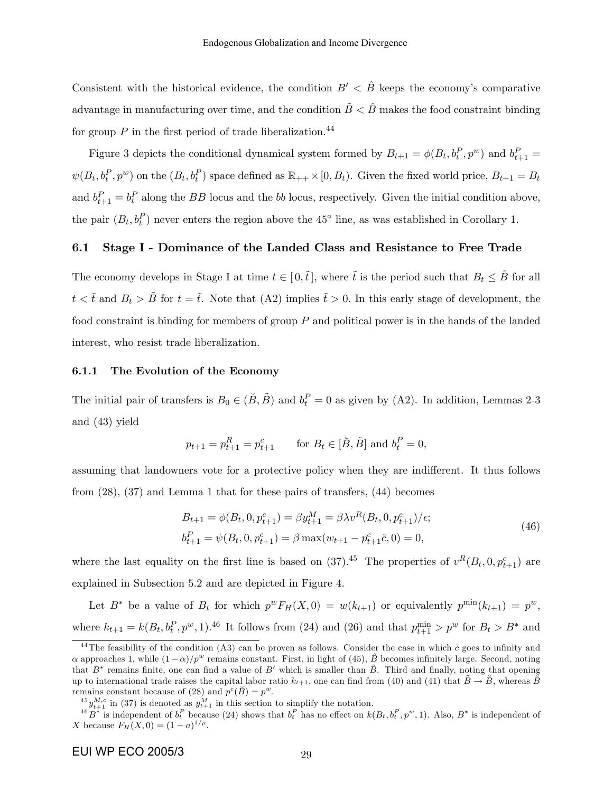Consistent with the historical evidence, the condition  $B' < \hat{B}$  keeps the economy's comparative advantage in manufacturing over time, and the condition  $\tilde{B} < \tilde{B}$  makes the food constraint binding for group  $P$  in the first period of trade liberalization.<sup>44</sup>

Figure 3 depicts the conditional dynamical system formed by  $B_{t+1} = \phi(B_t, b_t^P, p^w)$  and  $b_{t+1}^P = \phi(B_t, b_t^P, p^w)$  $\psi(B_t, b_t^P, p^w)$  on the  $(B_t, b_t^P)$  space defined as  $\mathbb{R}_{++} \times [0, B_t)$ . Given the fixed world price,  $B_{t+1} = B_t$ and  $b_{t+1}^P = b_t^P$  along the BB locus and the bb locus, respectively. Given the initial condition above, the pair  $(B_t, b_t^P)$  never enters the region above the 45<sup>°</sup> line, as was established in Corollary 1.

## 6.1 Stage I - Dominance of the Landed Class and Resistance to Free Trade

The economy develops in Stage I at time  $t \in [0, \tilde{t}].$  where  $\tilde{t}$  is the period such that  $B_t \leq \tilde{B}$  for all  $t < \tilde{t}$  and  $B_t > \tilde{B}$  for  $t = \tilde{t}$ . Note that (A2) implies  $\tilde{t} > 0$ . In this early stage of development, the food constraint is binding for members of group  $P$  and political power is in the hands of the landed interest, who resist trade liberalization.

#### 6.1.1 The Evolution of the Economy

The initial pair of transfers is  $B_0 \in (\check{B}, \check{B})$  and  $b_t^P = 0$  as given by (A2). In addition, Lemmas 2-3 and (43) yield

$$
p_{t+1} = p_{t+1}^R = p_{t+1}^c
$$
 for  $B_t \in [\check{B}, \check{B}]$  and  $b_t^P = 0$ ,

assuming that landowners vote for a protective policy when they are indifferent. It thus follows from (28), (37) and Lemma 1 that for these pairs of transfers, (44) becomes

$$
B_{t+1} = \phi(B_t, 0, p_{t+1}^c) = \beta y_{t+1}^M = \beta \lambda v^R(B_t, 0, p_{t+1}^c) / \epsilon;
$$
  
\n
$$
b_{t+1}^P = \psi(B_t, 0, p_{t+1}^c) = \beta \max(w_{t+1} - p_{t+1}^c \hat{c}, 0) = 0,
$$
\n(46)

where the last equality on the first line is based on  $(37).^{45}$  The properties of  $v^R(B_t, 0, p_{t+1}^c)$  are explained in Subsection 5.2 and are depicted in Figure 4.

Let  $B^*$  be a value of  $B_t$  for which  $p^w F_H(X,0) = w(k_{t+1})$  or equivalently  $p^{\min}(k_{t+1}) = p^w$ , where  $k_{t+1} = k(B_t, b_t^P, p^w, 1)$ .<sup>46</sup> It follows from (24) and (26) and that  $p_{t+1}^{\min} > p^w$  for  $B_t > B^*$  and

<sup>&</sup>lt;sup>44</sup>The feasibility of the condition (A3) can be proven as follows. Consider the case in which  $\tilde{c}$  goes to infinity and  $\alpha$  approaches 1, while  $(1-\alpha)/p^w$  remains constant. First, in light of (45),  $\hat{B}$  becomes infinitely large. Second, noting that  $B^*$  remains finite, one can find a value of  $B'$  which is smaller than  $\hat{B}$ . Third and finally, noting that opening up to international trade raises the capital labor ratio  $k_{t+1}$ , one can find from (40) and (41) that  $\tilde{B}\to \tilde{B}$ , whereas  $\tilde{B}$ remains constant because of (28) and  $p^{c}(\check{B}) = p^{w}$ .

 $\mathcal{L}_{t+1}^{45}$  in (37) is denoted as  $y_{t+1}^M$  in this section to simplify the notation.

 $^{46}B^*$  is independent of  $b_t^P$  because (24) shows that  $b_t^P$  has no effect on  $k(B_t, b_t^P, p^w, 1)$ . Also,  $B^*$  is independent of X because  $F_H(X, 0) = (1 - a)^{1/\rho}$ .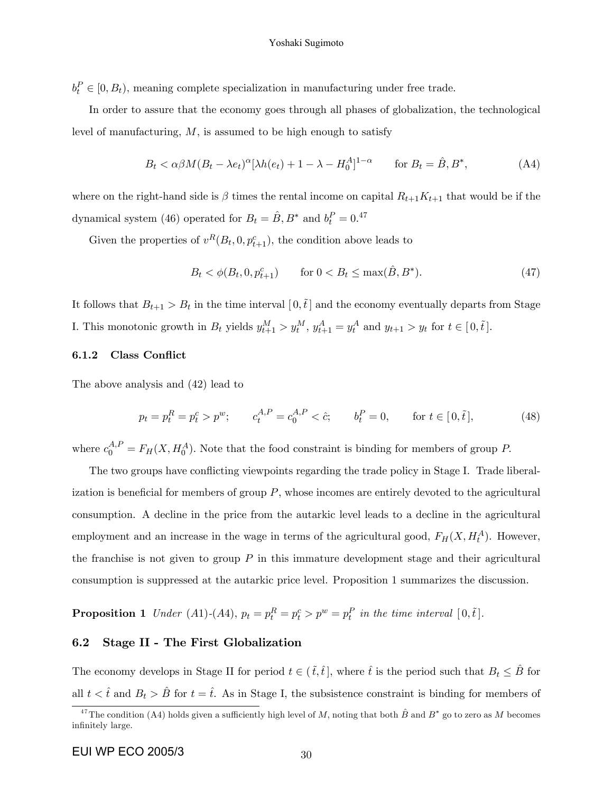$b_t^P \in [0, B_t)$ , meaning complete specialization in manufacturing under free trade.

In order to assure that the economy goes through all phases of globalization, the technological level of manufacturing,  $M$ , is assumed to be high enough to satisfy

$$
B_t < \alpha \beta M (B_t - \lambda e_t)^{\alpha} [\lambda h(e_t) + 1 - \lambda - H_0^A]^{1-\alpha} \qquad \text{for } B_t = \hat{B}, B^*, \tag{A4}
$$

where on the right-hand side is  $\beta$  times the rental income on capital  $R_{t+1}K_{t+1}$  that would be if the dynamical system (46) operated for  $B_t = \hat{B}, B^*$  and  $b_t^P = 0.^{47}$ 

Given the properties of  $v^R(B_t, 0, p_{t+1}^c)$ , the condition above leads to

$$
B_t < \phi(B_t, 0, p_{t+1}^c) \qquad \text{for } 0 < B_t \le \max(\hat{B}, B^*). \tag{47}
$$

It follows that  $B_{t+1} > B_t$  in the time interval  $[0, \tilde{t}]$  and the economy eventually departs from Stage I. This monotonic growth in  $B_t$  yields  $y_{t+1}^M > y_t^M$ ,  $y_{t+1}^A = y_t^A$  and  $y_{t+1} > y_t$  for  $t \in [0, \tilde{t}]$ .

#### 6.1.2 Class Conflict

The above analysis and (42) lead to

$$
p_t = p_t^R = p_t^c > p^w; \t c_t^{A,P} = c_0^{A,P} < \hat{c}; \t b_t^P = 0, \t \text{for } t \in [0, \tilde{t}],
$$
\n(48)

where  $c_0^{A,P} = F_H(X, H_0^A)$ . Note that the food constraint is binding for members of group P.

The two groups have conflicting viewpoints regarding the trade policy in Stage I. Trade liberalization is beneficial for members of group  $P$ , whose incomes are entirely devoted to the agricultural consumption. A decline in the price from the autarkic level leads to a decline in the agricultural employment and an increase in the wage in terms of the agricultural good,  $F_H(X, H_t^A)$ . However, the franchise is not given to group  $P$  in this immature development stage and their agricultural consumption is suppressed at the autarkic price level. Proposition 1 summarizes the discussion.

**Proposition 1** Under (A1)-(A4),  $p_t = p_t^R = p_t^c > p^w = p_t^P$  in the time interval  $[0, \tilde{t}]$ .

## 6.2 Stage II - The First Globalization

The economy develops in Stage II for period  $t \in (\tilde{t}, \hat{t})$ , where  $\hat{t}$  is the period such that  $B_t \leq \hat{B}$  for all  $t < \hat{t}$  and  $B_t > \hat{B}$  for  $t = \hat{t}$ . As in Stage I, the subsistence constraint is binding for members of

<sup>&</sup>lt;sup>47</sup>The condition (A4) holds given a sufficiently high level of M, noting that both  $\hat{B}$  and  $B^*$  go to zero as M becomes infinitely large.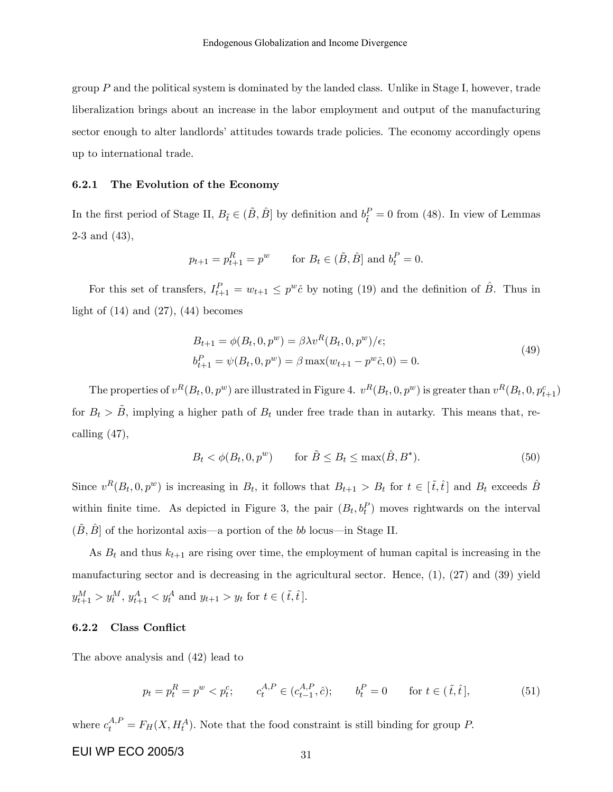group  $P$  and the political system is dominated by the landed class. Unlike in Stage I, however, trade liberalization brings about an increase in the labor employment and output of the manufacturing sector enough to alter landlords' attitudes towards trade policies. The economy accordingly opens up to international trade.

#### 6.2.1 The Evolution of the Economy

In the first period of Stage II,  $B_{\tilde{t}} \in (\tilde{B}, \hat{B}]$  by definition and  $b_{\tilde{t}}^P = 0$  from (48). In view of Lemmas 2-3 and (43),

$$
p_{t+1} = p_{t+1}^R = p^w
$$
 for  $B_t \in (\tilde{B}, \hat{B})$  and  $b_t^P = 0$ .

For this set of transfers,  $I_{t+1}^P = w_{t+1} \leq p^w \hat{c}$  by noting (19) and the definition of  $\hat{B}$ . Thus in light of  $(14)$  and  $(27)$ ,  $(44)$  becomes

$$
B_{t+1} = \phi(B_t, 0, p^w) = \beta \lambda v^R(B_t, 0, p^w) / \epsilon;
$$
  
\n
$$
b_{t+1}^P = \psi(B_t, 0, p^w) = \beta \max(w_{t+1} - p^w \hat{c}, 0) = 0.
$$
\n(49)

The properties of  $v^R(B_t, 0, p^w)$  are illustrated in Figure 4.  $v^R(B_t, 0, p^w)$  is greater than  $v^R(B_t, 0, p_{t+1}^c)$ for  $B_t > B$ , implying a higher path of  $B_t$  under free trade than in autarky. This means that, recalling (47),

$$
B_t < \phi(B_t, 0, p^w) \qquad \text{for } \tilde{B} \le B_t \le \max(\hat{B}, B^*). \tag{50}
$$

Since  $v^R(B_t, 0, p^w)$  is increasing in  $B_t$ , it follows that  $B_{t+1} > B_t$  for  $t \in [\tilde{t}, \tilde{t}]$  and  $B_t$  exceeds  $\tilde{B}$ within finite time. As depicted in Figure 3, the pair  $(B_t, b_t^P)$  moves rightwards on the interval  $(\tilde{B}, \tilde{B})$  of the horizontal axis—a portion of the bb locus—in Stage II.

As  $B_t$  and thus  $k_{t+1}$  are rising over time, the employment of human capital is increasing in the manufacturing sector and is decreasing in the agricultural sector. Hence, (1), (27) and (39) yield  $y_{t+1}^M > y_t^M$ ,  $y_{t+1}^A < y_t^A$  and  $y_{t+1} > y_t$  for  $t \in (\tilde{t}, \hat{t}).$ 

## 6.2.2 Class Conflict

The above analysis and (42) lead to

$$
p_t = p_t^R = p^w < p_t^c; \qquad c_t^{A,P} \in (c_{t-1}^{A,P}, \hat{c}); \qquad b_t^P = 0 \qquad \text{for } t \in (\tilde{t}, \hat{t}], \tag{51}
$$

where  $c_t^{A,P} = F_H(X, H_t^A)$ . Note that the food constraint is still binding for group P.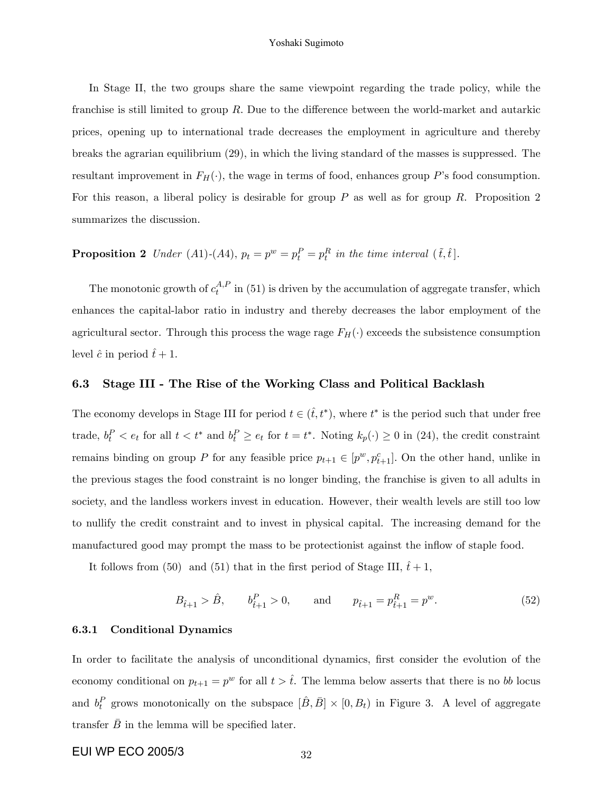#### Yoshaki Sugimoto

In Stage II, the two groups share the same viewpoint regarding the trade policy, while the franchise is still limited to group  $R$ . Due to the difference between the world-market and autarkic prices, opening up to international trade decreases the employment in agriculture and thereby breaks the agrarian equilibrium (29), in which the living standard of the masses is suppressed. The resultant improvement in  $F_H(\cdot)$ , the wage in terms of food, enhances group P's food consumption. For this reason, a liberal policy is desirable for group  $P$  as well as for group  $R$ . Proposition 2 summarizes the discussion.

## **Proposition 2** Under (A1)-(A4),  $p_t = p^w = p_t^P = p_t^R$  in the time interval  $(\tilde{t}, \hat{t})$ .

The monotonic growth of  $c_t^{A,F}$  $t_t^{A,P}$  in (51) is driven by the accumulation of aggregate transfer, which enhances the capital-labor ratio in industry and thereby decreases the labor employment of the agricultural sector. Through this process the wage rage  $F_H(\cdot)$  exceeds the subsistence consumption level  $\hat{c}$  in period  $\hat{t} + 1$ .

#### 6.3 Stage III - The Rise of the Working Class and Political Backlash

The economy develops in Stage III for period  $t \in (\hat{t}, t^*)$ , where  $t^*$  is the period such that under free trade,  $b_t^P < e_t$  for all  $t < t^*$  and  $b_t^P \ge e_t$  for  $t = t^*$ . Noting  $k_p(\cdot) \ge 0$  in (24), the credit constraint remains binding on group P for any feasible price  $p_{t+1} \in [p^w, p_{t+1}^c]$ . On the other hand, unlike in the previous stages the food constraint is no longer binding, the franchise is given to all adults in society, and the landless workers invest in education. However, their wealth levels are still too low to nullify the credit constraint and to invest in physical capital. The increasing demand for the manufactured good may prompt the mass to be protectionist against the inflow of staple food.

It follows from (50) and (51) that in the first period of Stage III,  $\hat{t} + 1$ ,

$$
B_{\hat{t}+1} > \hat{B}, \qquad b_{\hat{t}+1}^P > 0, \qquad \text{and} \qquad p_{\hat{t}+1} = p_{\hat{t}+1}^R = p^w.
$$
 (52)

#### 6.3.1 Conditional Dynamics

In order to facilitate the analysis of unconditional dynamics, first consider the evolution of the economy conditional on  $p_{t+1} = p^w$  for all  $t > \hat{t}$ . The lemma below asserts that there is no bb locus and  $b_t^P$  grows monotonically on the subspace  $[\hat{B}, \bar{B}] \times [0, B_t)$  in Figure 3. A level of aggregate transfer  $\bar{B}$  in the lemma will be specified later.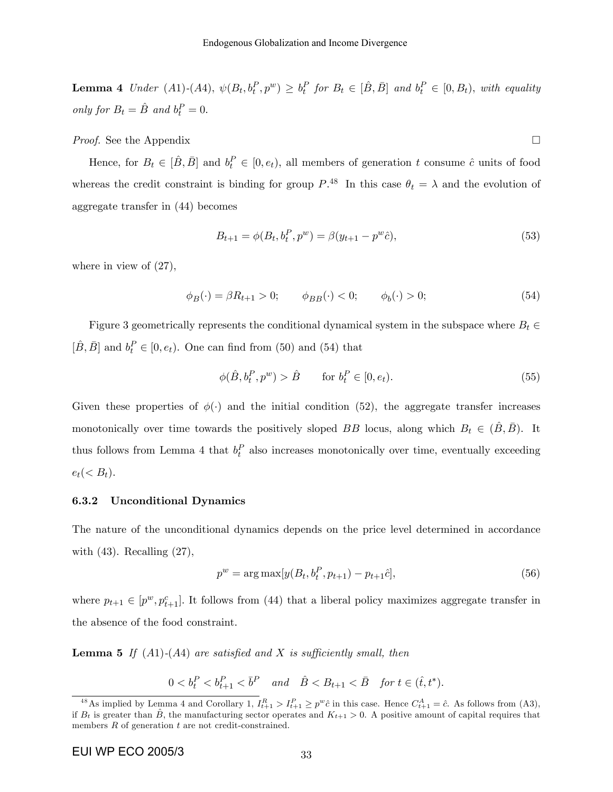**Lemma 4** Under (A1)-(A4),  $\psi(B_t, b_t^P, p^w) \geq b_t^P$  for  $B_t \in [\hat{B}, \bar{B}]$  and  $b_t^P \in [0, B_t)$ , with equality only for  $B_t = \hat{B}$  and  $b_t^P = 0$ .

*Proof.* See the Appendix  $\Box$ 

Hence, for  $B_t \in [\hat{B}, \bar{B}]$  and  $b_t^P \in [0, e_t)$ , all members of generation t consume  $\hat{c}$  units of food whereas the credit constraint is binding for group  $P^{48}$ . In this case  $\theta_t = \lambda$  and the evolution of aggregate transfer in (44) becomes

$$
B_{t+1} = \phi(B_t, b_t^P, p^w) = \beta(y_{t+1} - p^w \hat{c}), \tag{53}
$$

where in view of (27),

$$
\phi_B(\cdot) = \beta R_{t+1} > 0; \qquad \phi_{BB}(\cdot) < 0; \qquad \phi_b(\cdot) > 0; \tag{54}
$$

Figure 3 geometrically represents the conditional dynamical system in the subspace where  $B_t \in$  $[\hat{B}, \bar{B}]$  and  $b_t^P \in [0, e_t)$ . One can find from (50) and (54) that

$$
\phi(\hat{B}, b_t^P, p^w) > \hat{B} \qquad \text{for } b_t^P \in [0, e_t). \tag{55}
$$

Given these properties of  $\phi(\cdot)$  and the initial condition (52), the aggregate transfer increases monotonically over time towards the positively sloped BB locus, along which  $B_t \in (\hat{B}, \bar{B})$ . It thus follows from Lemma 4 that  $b_t^P$  also increases monotonically over time, eventually exceeding  $e_t$ (<  $B_t$ ).

## 6.3.2 Unconditional Dynamics

The nature of the unconditional dynamics depends on the price level determined in accordance with  $(43)$ . Recalling  $(27)$ ,

$$
p^{w} = \arg \max[y(B_t, b_t^P, p_{t+1}) - p_{t+1}\hat{c}], \qquad (56)
$$

where  $p_{t+1} \in [p^w, p_{t+1}^c]$ . It follows from (44) that a liberal policy maximizes aggregate transfer in the absence of the food constraint.

**Lemma 5** If  $(A1)-(A4)$  are satisfied and X is sufficiently small, then

$$
0 < b_t^P < b_{t+1}^P < \bar{b}^P \quad \text{and} \quad \hat{B} < B_{t+1} < \bar{B} \quad \text{for } t \in (\hat{t}, t^*).
$$

<sup>&</sup>lt;sup>48</sup>As implied by Lemma 4 and Corollary 1,  $I_{t+1}^R > I_{t+1}^P \geq p^w \hat{c}$  in this case. Hence  $C_{t+1}^A = \hat{c}$ . As follows from (A3), if  $B_t$  is greater than  $\hat{B}$ , the manufacturing sector operates and  $K_{t+1} > 0$ . A positive amount of capital requires that members  $R$  of generation  $t$  are not credit-constrained.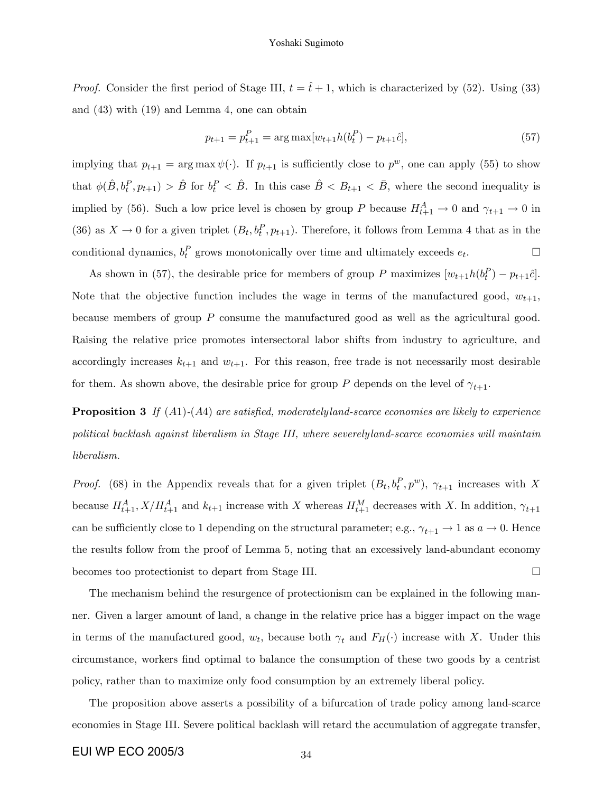*Proof.* Consider the first period of Stage III,  $t = \hat{t} + 1$ , which is characterized by (52). Using (33) and (43) with (19) and Lemma 4, one can obtain

$$
p_{t+1} = p_{t+1}^P = \arg \max[w_{t+1}h(b_t^P) - p_{t+1}\hat{c}], \tag{57}
$$

implying that  $p_{t+1} = \arg \max \psi(\cdot)$ . If  $p_{t+1}$  is sufficiently close to  $p^w$ , one can apply (55) to show that  $\phi(\hat{B}, b_t^P, p_{t+1}) > \hat{B}$  for  $b_t^P < \hat{B}$ . In this case  $\hat{B} < B_{t+1} < \bar{B}$ , where the second inequality is implied by (56). Such a low price level is chosen by group P because  $H_{t+1}^A \to 0$  and  $\gamma_{t+1} \to 0$  in (36) as  $X \to 0$  for a given triplet  $(B_t, b_t^P, p_{t+1})$ . Therefore, it follows from Lemma 4 that as in the conditional dynamics,  $b_t^P$  grows monotonically over time and ultimately exceeds  $e_t$  $\Box$ 

As shown in (57), the desirable price for members of group P maximizes  $[w_{t+1}h(b_t^P) - p_{t+1}\hat{c}]$ . Note that the objective function includes the wage in terms of the manufactured good,  $w_{t+1}$ . because members of group P consume the manufactured good as well as the agricultural good. Raising the relative price promotes intersectoral labor shifts from industry to agriculture, and accordingly increases  $k_{t+1}$  and  $w_{t+1}$ . For this reason, free trade is not necessarily most desirable for them. As shown above, the desirable price for group P depends on the level of  $\gamma_{t+1}$ .

**Proposition 3** If  $(A1)-(A4)$  are satisfied, moderatelyland-scarce economies are likely to experience political backlash against liberalism in Stage III, where severelyland-scarce economies will maintain liberalism.

*Proof.* (68) in the Appendix reveals that for a given triplet  $(B_t, b_t^P, p^w)$ ,  $\gamma_{t+1}$  increases with X because  $H_{t+1}^A$ ,  $X/H_{t+1}^A$  and  $k_{t+1}$  increase with X whereas  $H_{t+1}^M$  decreases with X. In addition,  $\gamma_{t+1}$ can be sufficiently close to 1 depending on the structural parameter; e.g.,  $\gamma_{t+1} \to 1$  as  $a \to 0$ . Hence the results follow from the proof of Lemma 5, noting that an excessively land-abundant economy becomes too protectionist to depart from Stage III.

The mechanism behind the resurgence of protectionism can be explained in the following manner. Given a larger amount of land, a change in the relative price has a bigger impact on the wage in terms of the manufactured good,  $w_t$ , because both  $\gamma_t$  and  $F_H(\cdot)$  increase with X. Under this circumstance, workers Önd optimal to balance the consumption of these two goods by a centrist policy, rather than to maximize only food consumption by an extremely liberal policy.

The proposition above asserts a possibility of a bifurcation of trade policy among land-scarce economies in Stage III. Severe political backlash will retard the accumulation of aggregate transfer,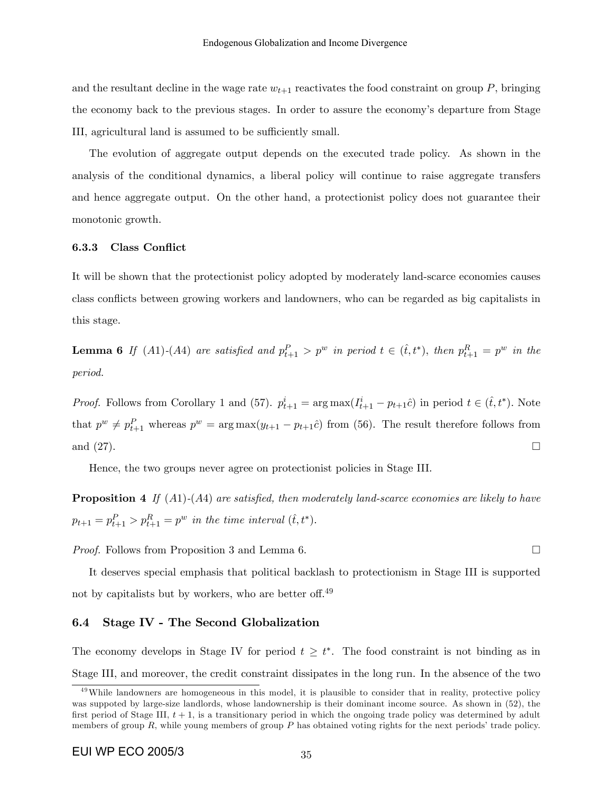and the resultant decline in the wage rate  $w_{t+1}$  reactivates the food constraint on group P, bringing the economy back to the previous stages. In order to assure the economy's departure from Stage III, agricultural land is assumed to be sufficiently small.

The evolution of aggregate output depends on the executed trade policy. As shown in the analysis of the conditional dynamics, a liberal policy will continue to raise aggregate transfers and hence aggregate output. On the other hand, a protectionist policy does not guarantee their monotonic growth.

#### 6.3.3 Class Conflict

It will be shown that the protectionist policy adopted by moderately land-scarce economies causes class conflicts between growing workers and landowners, who can be regarded as big capitalists in this stage.

**Lemma 6** If (A1)-(A4) are satisfied and  $p_{t+1}^P > p^w$  in period  $t \in (\hat{t}, t^*)$ , then  $p_{t+1}^R = p^w$  in the period.

*Proof.* Follows from Corollary 1 and (57).  $p_{t+1}^i = \arg \max (I_{t+1}^i - p_{t+1}\hat{c})$  in period  $t \in (\hat{t}, t^*)$ . Note that  $p^w \neq p_{t+1}^P$  whereas  $p^w = \arg \max(y_{t+1} - p_{t+1}\hat{c})$  from (56). The result therefore follows from and  $(27)$ .

Hence, the two groups never agree on protectionist policies in Stage III.

**Proposition 4** If  $(A1)$ - $(A4)$  are satisfied, then moderately land-scarce economies are likely to have  $p_{t+1} = p_{t+1}^P > p_{t+1}^R = p^w$  in the time interval  $(\hat{t}, t^*)$ .

*Proof.* Follows from Proposition 3 and Lemma 6.

It deserves special emphasis that political backlash to protectionism in Stage III is supported not by capitalists but by workers, who are better off.<sup>49</sup>

### 6.4 Stage IV - The Second Globalization

The economy develops in Stage IV for period  $t \geq t^*$ . The food constraint is not binding as in Stage III, and moreover, the credit constraint dissipates in the long run. In the absence of the two

<sup>&</sup>lt;sup>49</sup>While landowners are homogeneous in this model, it is plausible to consider that in reality, protective policy was suppoted by large-size landlords, whose landownership is their dominant income source. As shown in (52), the first period of Stage III,  $t + 1$ , is a transitionary period in which the ongoing trade policy was determined by adult members of group  $R$ , while young members of group  $P$  has obtained voting rights for the next periods' trade policy.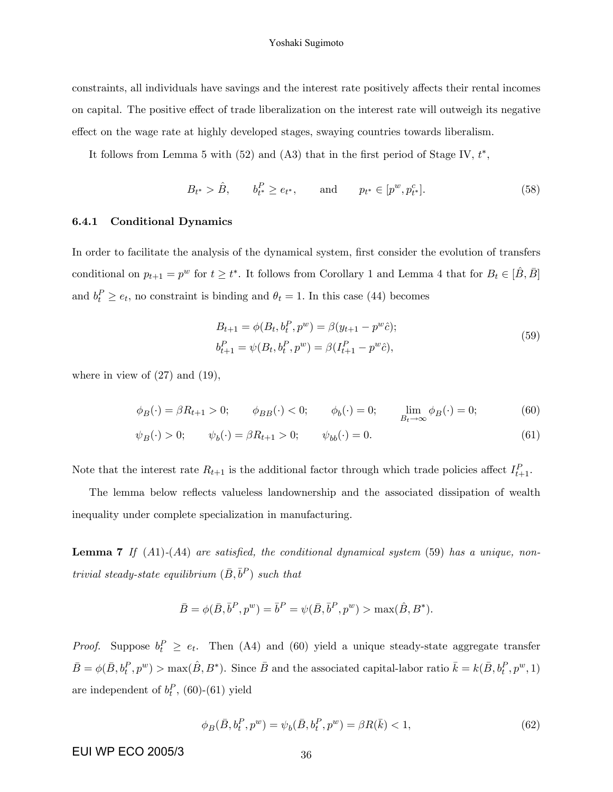constraints, all individuals have savings and the interest rate positively affects their rental incomes on capital. The positive effect of trade liberalization on the interest rate will outweigh its negative effect on the wage rate at highly developed stages, swaying countries towards liberalism.

It follows from Lemma 5 with  $(52)$  and  $(A3)$  that in the first period of Stage IV,  $t^*$ ,

$$
B_{t^*} > \hat{B}, \qquad b_{t^*}^P \ge e_{t^*}, \qquad \text{and} \qquad p_{t^*} \in [p^w, p_{t^*}^c].
$$
 (58)

#### 6.4.1 Conditional Dynamics

In order to facilitate the analysis of the dynamical system, first consider the evolution of transfers conditional on  $p_{t+1} = p^w$  for  $t \geq t^*$ . It follows from Corollary 1 and Lemma 4 that for  $B_t \in [\hat{B}, \bar{B}]$ and  $b_t^P \ge e_t$ , no constraint is binding and  $\theta_t = 1$ . In this case (44) becomes

$$
B_{t+1} = \phi(B_t, b_t^P, p^w) = \beta(y_{t+1} - p^w \hat{c});
$$
  
\n
$$
b_{t+1}^P = \psi(B_t, b_t^P, p^w) = \beta(I_{t+1}^P - p^w \hat{c}),
$$
\n(59)

where in view of  $(27)$  and  $(19)$ ,

$$
\phi_B(\cdot) = \beta R_{t+1} > 0; \qquad \phi_{BB}(\cdot) < 0; \qquad \phi_b(\cdot) = 0; \qquad \lim_{B_t \to \infty} \phi_B(\cdot) = 0; \tag{60}
$$

$$
\psi_B(\cdot) > 0;
$$
  $\psi_b(\cdot) = \beta R_{t+1} > 0;$   $\psi_{bb}(\cdot) = 0.$  (61)

Note that the interest rate  $R_{t+1}$  is the additional factor through which trade policies affect  $I_{t+1}^P$ .

The lemma below reflects valueless landownership and the associated dissipation of wealth inequality under complete specialization in manufacturing.

**Lemma 7** If  $(A1)-(A4)$  are satisfied, the conditional dynamical system  $(59)$  has a unique, nontrivial steady-state equilibrium  $(\bar{B}, \bar{b}^P)$  such that

$$
\bar{B} = \phi(\bar{B}, \bar{b}^P, p^w) = \bar{b}^P = \psi(\bar{B}, \bar{b}^P, p^w) > \max(\hat{B}, B^*).
$$

*Proof.* Suppose  $b_t^P \ge e_t$ . Then (A4) and (60) yield a unique steady-state aggregate transfer  $\bar{B} = \phi(\bar{B}, b_t^P, p^w) > \max(\hat{B}, B^*)$ . Since  $\bar{B}$  and the associated capital-labor ratio  $\bar{k} = k(\bar{B}, b_t^P, p^w, 1)$ are independent of  $b_t^P$ , (60)-(61) yield

$$
\phi_B(\bar{B}, b_t^P, p^w) = \psi_b(\bar{B}, b_t^P, p^w) = \beta R(\bar{k}) < 1,\tag{62}
$$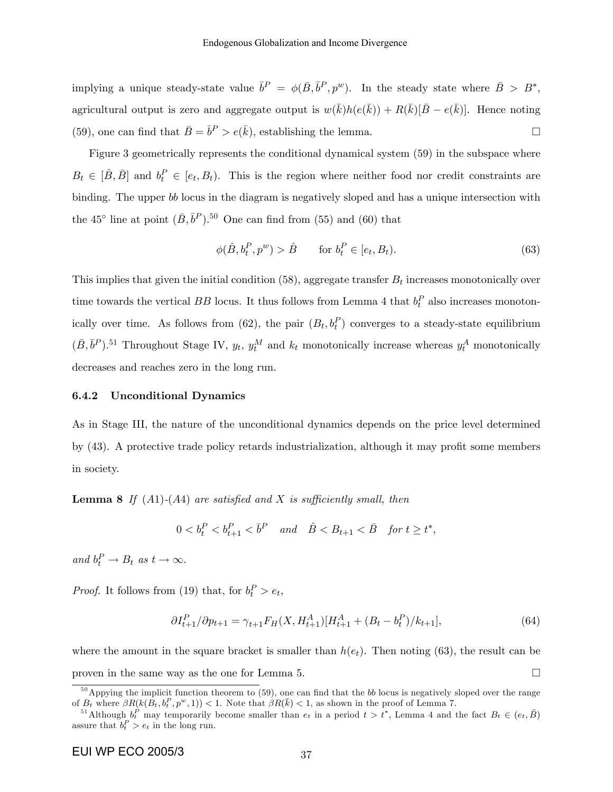implying a unique steady-state value  $\bar{b}^P = \phi(\bar{B}, \bar{b}^P, p^w)$ . In the steady state where  $\bar{B} > B^*$ , agricultural output is zero and aggregate output is  $w(\bar{k})h(e(\bar{k})) + R(\bar{k})[\bar{B} - e(\bar{k})]$ . Hence noting (59), one can find that  $\bar{B} = \bar{b}^P > e(\bar{k})$ , establishing the lemma.

Figure 3 geometrically represents the conditional dynamical system (59) in the subspace where  $B_t \in [\hat{B}, \bar{B}]$  and  $b_t^P \in [e_t, B_t)$ . This is the region where neither food nor credit constraints are binding. The upper bb locus in the diagram is negatively sloped and has a unique intersection with the 45<sup>°</sup> line at point  $(\bar{B}, \bar{b}^P)$ .<sup>50</sup> One can find from (55) and (60) that

$$
\phi(\hat{B}, b_t^P, p^w) > \hat{B} \qquad \text{for } b_t^P \in [e_t, B_t). \tag{63}
$$

This implies that given the initial condition (58), aggregate transfer  $B_t$  increases monotonically over time towards the vertical  $BB$  locus. It thus follows from Lemma 4 that  $b_t^P$  also increases monotonically over time. As follows from (62), the pair  $(B_t, b_t^P)$  converges to a steady-state equilibrium  $(\bar{B}, \bar{b}^P)$ <sup>51</sup> Throughout Stage IV,  $y_t$ ,  $y_t^M$  and  $k_t$  monotonically increase whereas  $y_t^A$  monotonically decreases and reaches zero in the long run.

#### 6.4.2 Unconditional Dynamics

As in Stage III, the nature of the unconditional dynamics depends on the price level determined by  $(43)$ . A protective trade policy retards industrialization, although it may profit some members in society.

**Lemma 8** If  $(A1)-(A4)$  are satisfied and X is sufficiently small, then

$$
0 < b_t^P < b_{t+1}^P < \bar{b}^P \quad and \quad \hat{B} < B_{t+1} < \bar{B} \quad \text{for } t \ge t^*,
$$

and  $b_t^P \to B_t$  as  $t \to \infty$ .

*Proof.* It follows from (19) that, for  $b_t^P > e_t$ ,

$$
\partial I_{t+1}^P / \partial p_{t+1} = \gamma_{t+1} F_H(X, H_{t+1}^A) [H_{t+1}^A + (B_t - b_t^P)/k_{t+1}], \tag{64}
$$

where the amount in the square bracket is smaller than  $h(e_t)$ . Then noting (63), the result can be proven in the same way as the one for Lemma 5.

 $50$  Appying the implicit function theorem to (59), one can find that the bb locus is negatively sloped over the range of  $B_t$  where  $\beta R(k(B_t, b_t^P, p^w, 1)) < 1$ . Note that  $\beta R(\bar{k}) < 1$ , as shown in the proof of Lemma 7.

<sup>&</sup>lt;sup>51</sup>Although  $b_t^{\tilde{P}}$  may temporarily become smaller than  $e_t$  in a period  $t > t^*$ , Lemma 4 and the fact  $B_t \in (e_t, \bar{B})$ assure that  $b_t^P > e_t$  in the long run.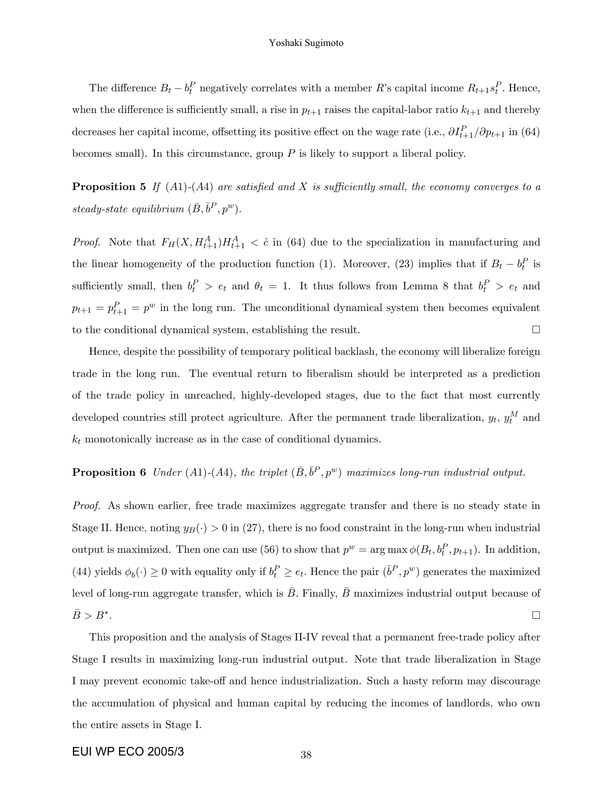#### Yoshaki Sugimoto

The difference  $B_t - b_t^P$  negatively correlates with a member R's capital income  $R_{t+1} s_t^P$ . Hence, when the difference is sufficiently small, a rise in  $p_{t+1}$  raises the capital-labor ratio  $k_{t+1}$  and thereby decreases her capital income, offsetting its positive effect on the wage rate (i.e.,  $\partial I_{t+1}^P/\partial p_{t+1}$  in (64) becomes small). In this circumstance, group  $P$  is likely to support a liberal policy.

**Proposition 5** If  $(A1)-(A4)$  are satisfied and X is sufficiently small, the economy converges to a steady-state equilibrium  $(\bar{B}, \bar{b}^P, p^w)$ .

*Proof.* Note that  $F_H(X, H_{t+1}^A)H_{t+1}^A < \hat{c}$  in (64) due to the specialization in manufacturing and the linear homogeneity of the production function (1). Moreover, (23) implies that if  $B_t - b_t^P$  is sufficiently small, then  $b_t^P > e_t$  and  $\theta_t = 1$ . It thus follows from Lemma 8 that  $b_t^P > e_t$  and  $p_{t+1} = p_{t+1}^P = p^w$  in the long run. The unconditional dynamical system then becomes equivalent to the conditional dynamical system, establishing the result.

Hence, despite the possibility of temporary political backlash, the economy will liberalize foreign trade in the long run. The eventual return to liberalism should be interpreted as a prediction of the trade policy in unreached, highly-developed stages, due to the fact that most currently developed countries still protect agriculture. After the permanent trade liberalization,  $y_t$ ,  $y_t^M$  and  $k_t$  monotonically increase as in the case of conditional dynamics.

## **Proposition 6** Under (A1)-(A4), the triplet  $(\bar{B}, \bar{b}^P, p^w)$  maximizes long-run industrial output.

Proof. As shown earlier, free trade maximizes aggregate transfer and there is no steady state in Stage II. Hence, noting  $y_B(\cdot) > 0$  in (27), there is no food constraint in the long-run when industrial output is maximized. Then one can use (56) to show that  $p^w = \arg \max \phi(B_t, b_t^P, p_{t+1})$ . In addition, (44) yields  $\phi_b(\cdot) \ge 0$  with equality only if  $b_t^P \ge e_t$ . Hence the pair  $(\bar{b}^P, p^w)$  generates the maximized level of long-run aggregate transfer, which is  $\bar{B}$ . Finally,  $\bar{B}$  maximizes industrial output because of  $\bar{B} > B^*$ .  $\blacksquare$  . The contract of the contract of the contract of the contract of the contract of the contract of the contract of the contract of the contract of the contract of the contract of the contract of the contract of the

This proposition and the analysis of Stages II-IV reveal that a permanent free-trade policy after Stage I results in maximizing long-run industrial output. Note that trade liberalization in Stage I may prevent economic take-off and hence industrialization. Such a hasty reform may discourage the accumulation of physical and human capital by reducing the incomes of landlords, who own the entire assets in Stage I.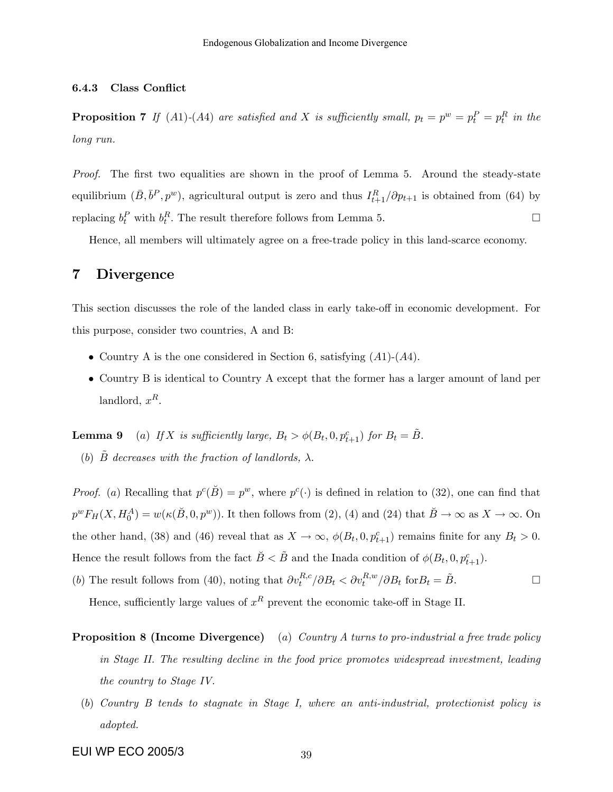#### 6.4.3 Class Conflict

**Proposition 7** If (A1)-(A4) are satisfied and X is sufficiently small,  $p_t = p^w = p_t^P = p_t^R$  in the long run.

Proof. The first two equalities are shown in the proof of Lemma 5. Around the steady-state equilibrium  $(\bar{B}, \bar{b}^P, p^w)$ , agricultural output is zero and thus  $I_{t+1}^R/\partial p_{t+1}$  is obtained from (64) by replacing  $b_t^P$  with  $b_t^R$ . The result therefore follows from Lemma 5.

Hence, all members will ultimately agree on a free-trade policy in this land-scarce economy.

## 7 Divergence

This section discusses the role of the landed class in early take-off in economic development. For this purpose, consider two countries, A and B:

- Country A is the one considered in Section 6, satisfying  $(A1)$ - $(A4)$ .
- Country B is identical to Country A except that the former has a larger amount of land per landlord,  $x^R$ .

**Lemma 9** (a) If X is sufficiently large,  $B_t > \phi(B_t, 0, p_{t+1}^c)$  for  $B_t = \tilde{B}$ .

(b) B decreases with the fraction of landlords,  $\lambda$ .

*Proof.* (a) Recalling that  $p^{c}(\check{B}) = p^{w}$ , where  $p^{c}(\cdot)$  is defined in relation to (32), one can find that  $p^w F_H(X, H_0^A) = w(\kappa(\check{B}, 0, p^w))$ . It then follows from (2), (4) and (24) that  $\check{B} \to \infty$  as  $X \to \infty$ . On the other hand, (38) and (46) reveal that as  $X \to \infty$ ,  $\phi(B_t, 0, p_{t+1}^c)$  remains finite for any  $B_t > 0$ . Hence the result follows from the fact  $\check{B} < \tilde{B}$  and the Inada condition of  $\phi(B_t, 0, p_{t+1}^c)$ .

(b) The result follows from (40), noting that  $\partial v_t^{R,c}/\partial B_t < \partial v_t^{R,w}/\partial B_t$  for  $B_t = \tilde{B}$ .

Hence, sufficiently large values of  $x^R$  prevent the economic take-off in Stage II.

- Proposition 8 (Income Divergence) (a) Country A turns to pro-industrial a free trade policy in Stage II. The resulting decline in the food price promotes widespread investment, leading the country to Stage IV.
	- (b) Country B tends to stagnate in Stage I, where an anti-industrial, protectionist policy is adopted.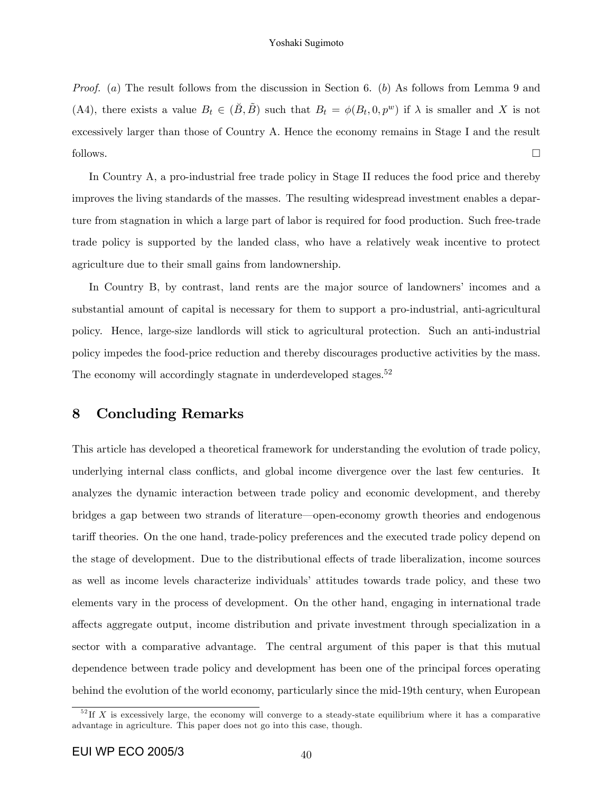*Proof.* (a) The result follows from the discussion in Section 6. (b) As follows from Lemma 9 and (A4), there exists a value  $B_t \in (\check{B}, \check{B})$  such that  $B_t = \phi(B_t, 0, p^w)$  if  $\lambda$  is smaller and X is not excessively larger than those of Country A. Hence the economy remains in Stage I and the result follows.  $\Box$ 

In Country A, a pro-industrial free trade policy in Stage II reduces the food price and thereby improves the living standards of the masses. The resulting widespread investment enables a departure from stagnation in which a large part of labor is required for food production. Such free-trade trade policy is supported by the landed class, who have a relatively weak incentive to protect agriculture due to their small gains from landownership.

In Country B, by contrast, land rents are the major source of landowners' incomes and a substantial amount of capital is necessary for them to support a pro-industrial, anti-agricultural policy. Hence, large-size landlords will stick to agricultural protection. Such an anti-industrial policy impedes the food-price reduction and thereby discourages productive activities by the mass. The economy will accordingly stagnate in underdeveloped stages.<sup>52</sup>

## 8 Concluding Remarks

This article has developed a theoretical framework for understanding the evolution of trade policy, underlying internal class conflicts, and global income divergence over the last few centuries. It analyzes the dynamic interaction between trade policy and economic development, and thereby bridges a gap between two strands of literature—open-economy growth theories and endogenous tariff theories. On the one hand, trade-policy preferences and the executed trade policy depend on the stage of development. Due to the distributional effects of trade liberalization, income sources as well as income levels characterize individuals' attitudes towards trade policy, and these two elements vary in the process of development. On the other hand, engaging in international trade a§ects aggregate output, income distribution and private investment through specialization in a sector with a comparative advantage. The central argument of this paper is that this mutual dependence between trade policy and development has been one of the principal forces operating behind the evolution of the world economy, particularly since the mid-19th century, when European

 $5<sup>52</sup>$ If X is excessively large, the economy will converge to a steady-state equilibrium where it has a comparative advantage in agriculture. This paper does not go into this case, though.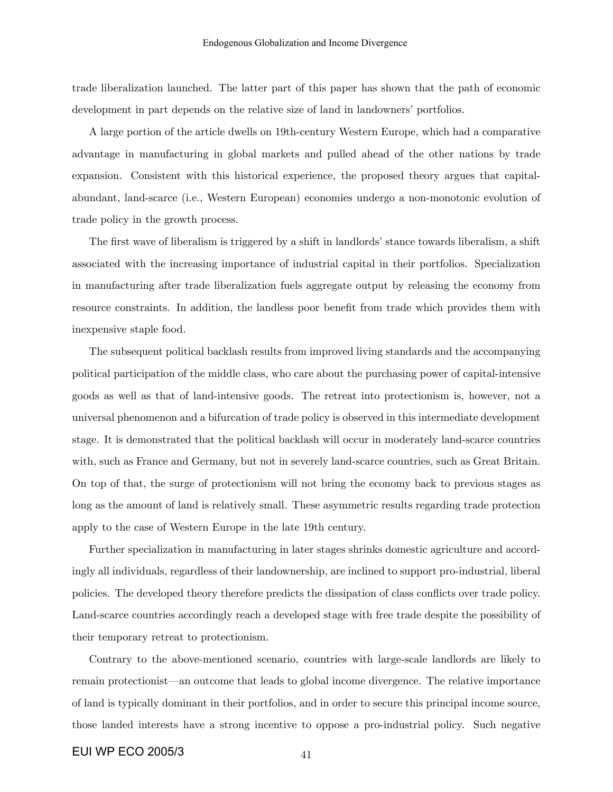trade liberalization launched. The latter part of this paper has shown that the path of economic development in part depends on the relative size of land in landowners' portfolios.

A large portion of the article dwells on 19th-century Western Europe, which had a comparative advantage in manufacturing in global markets and pulled ahead of the other nations by trade expansion. Consistent with this historical experience, the proposed theory argues that capitalabundant, land-scarce (i.e., Western European) economies undergo a non-monotonic evolution of trade policy in the growth process.

The first wave of liberalism is triggered by a shift in landlords' stance towards liberalism, a shift associated with the increasing importance of industrial capital in their portfolios. Specialization in manufacturing after trade liberalization fuels aggregate output by releasing the economy from resource constraints. In addition, the landless poor benefit from trade which provides them with inexpensive staple food.

The subsequent political backlash results from improved living standards and the accompanying political participation of the middle class, who care about the purchasing power of capital-intensive goods as well as that of land-intensive goods. The retreat into protectionism is, however, not a universal phenomenon and a bifurcation of trade policy is observed in this intermediate development stage. It is demonstrated that the political backlash will occur in moderately land-scarce countries with, such as France and Germany, but not in severely land-scarce countries, such as Great Britain. On top of that, the surge of protectionism will not bring the economy back to previous stages as long as the amount of land is relatively small. These asymmetric results regarding trade protection apply to the case of Western Europe in the late 19th century.

Further specialization in manufacturing in later stages shrinks domestic agriculture and accordingly all individuals, regardless of their landownership, are inclined to support pro-industrial, liberal policies. The developed theory therefore predicts the dissipation of class conáicts over trade policy. Land-scarce countries accordingly reach a developed stage with free trade despite the possibility of their temporary retreat to protectionism.

Contrary to the above-mentioned scenario, countries with large-scale landlords are likely to remain protectionist—an outcome that leads to global income divergence. The relative importance of land is typically dominant in their portfolios, and in order to secure this principal income source, those landed interests have a strong incentive to oppose a pro-industrial policy. Such negative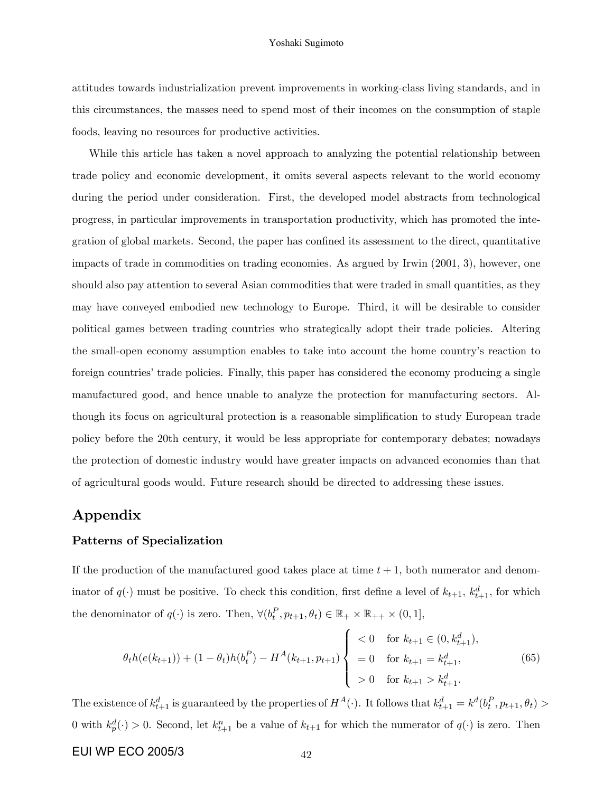attitudes towards industrialization prevent improvements in working-class living standards, and in this circumstances, the masses need to spend most of their incomes on the consumption of staple foods, leaving no resources for productive activities.

While this article has taken a novel approach to analyzing the potential relationship between trade policy and economic development, it omits several aspects relevant to the world economy during the period under consideration. First, the developed model abstracts from technological progress, in particular improvements in transportation productivity, which has promoted the integration of global markets. Second, the paper has confined its assessment to the direct, quantitative impacts of trade in commodities on trading economies. As argued by Irwin (2001, 3), however, one should also pay attention to several Asian commodities that were traded in small quantities, as they may have conveyed embodied new technology to Europe. Third, it will be desirable to consider political games between trading countries who strategically adopt their trade policies. Altering the small-open economy assumption enables to take into account the home countryís reaction to foreign countries' trade policies. Finally, this paper has considered the economy producing a single manufactured good, and hence unable to analyze the protection for manufacturing sectors. Although its focus on agricultural protection is a reasonable simplification to study European trade policy before the 20th century, it would be less appropriate for contemporary debates; nowadays the protection of domestic industry would have greater impacts on advanced economies than that of agricultural goods would. Future research should be directed to addressing these issues.

## Appendix

#### Patterns of Specialization

If the production of the manufactured good takes place at time  $t + 1$ , both numerator and denominator of  $q(.)$  must be positive. To check this condition, first define a level of  $k_{t+1}$ ,  $k_{t+1}^d$ , for which the denominator of  $q(\cdot)$  is zero. Then,  $\forall (b_t^P, p_{t+1}, \theta_t) \in \mathbb{R}_+ \times \mathbb{R}_{++} \times (0, 1],$ 

$$
\theta_t h(e(k_{t+1})) + (1 - \theta_t)h(b_t^P) - H^A(k_{t+1}, p_{t+1}) \begin{cases} < 0 \quad \text{for } k_{t+1} \in (0, k_{t+1}^d), \\ < 0 \quad \text{for } k_{t+1} = k_{t+1}^d, \\ > 0 \quad \text{for } k_{t+1} > k_{t+1}^d. \end{cases} \tag{65}
$$

The existence of  $k_{t+1}^d$  is guaranteed by the properties of  $H^A(\cdot)$ . It follows that  $k_{t+1}^d = k^d(b_t^P, p_{t+1}, \theta_t) >$ 0 with  $k_p^d(\cdot) > 0$ . Second, let  $k_{t+1}^n$  be a value of  $k_{t+1}$  for which the numerator of  $q(\cdot)$  is zero. Then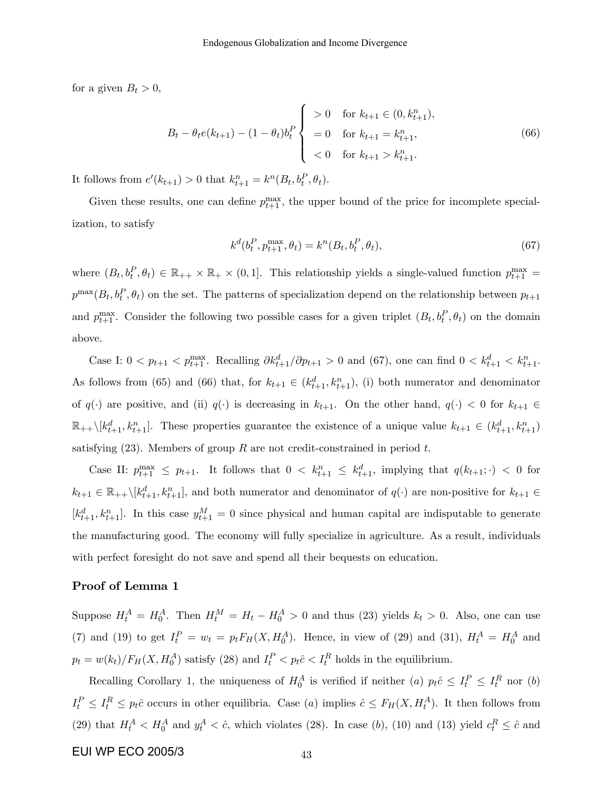for a given  $B_t > 0$ ,

$$
B_t - \theta_t e(k_{t+1}) - (1 - \theta_t) b_t^P \begin{cases} > 0 \quad \text{for } k_{t+1} \in (0, k_{t+1}^n), \\ > 0 \quad \text{for } k_{t+1} = k_{t+1}^n, \\ < 0 \quad \text{for } k_{t+1} > k_{t+1}^n. \end{cases} \tag{66}
$$

It follows from  $e'(k_{t+1}) > 0$  that  $k_{t+1}^n = k^n(B_t, b_t^P, \theta_t)$ .

Given these results, one can define  $p_{t+1}^{\max}$ , the upper bound of the price for incomplete specialization, to satisfy

$$
k^{d}(b_{t}^{P}, p_{t+1}^{\max}, \theta_{t}) = k^{n}(B_{t}, b_{t}^{P}, \theta_{t}),
$$
\n(67)

where  $(B_t, b_t^P, \theta_t) \in \mathbb{R}_{++} \times \mathbb{R}_{+} \times (0, 1]$ . This relationship yields a single-valued function  $p_{t+1}^{\max}$  $p^{\max}(B_t, b_t^P, \theta_t)$  on the set. The patterns of specialization depend on the relationship between  $p_{t+1}$ and  $p_{t+1}^{\max}$ . Consider the following two possible cases for a given triplet  $(B_t, b_t^P, \theta_t)$  on the domain above:

Case I:  $0 < p_{t+1} < p_{t+1}^{\max}$ . Recalling  $\partial k_{t+1}^d / \partial p_{t+1} > 0$  and (67), one can find  $0 < k_{t+1}^d < k_{t+1}^n$ . As follows from (65) and (66) that, for  $k_{t+1} \in (k_{t+1}^d, k_{t+1}^n)$ , (i) both numerator and denominator of  $q(\cdot)$  are positive, and (ii)  $q(\cdot)$  is decreasing in  $k_{t+1}$ . On the other hand,  $q(\cdot) < 0$  for  $k_{t+1} \in$  $\mathbb{R}_{++}\setminus [k_{t+1}^d, k_{t+1}^n]$ . These properties guarantee the existence of a unique value  $k_{t+1} \in (k_{t+1}^d, k_{t+1}^n)$ satisfying  $(23)$ . Members of group R are not credit-constrained in period t.

Case II:  $p_{t+1}^{\max} \leq p_{t+1}$ . It follows that  $0 \leq k_{t+1}^n \leq k_{t+1}^d$ , implying that  $q(k_{t+1}; \cdot) < 0$  for  $k_{t+1} \in \mathbb{R}_{++}\setminus [k_{t+1}^d, k_{t+1}^n]$ , and both numerator and denominator of  $q(\cdot)$  are non-positive for  $k_{t+1} \in$  $[k_{t+1}^d, k_{t+1}^n]$ . In this case  $y_{t+1}^M = 0$  since physical and human capital are indisputable to generate the manufacturing good. The economy will fully specialize in agriculture. As a result, individuals with perfect foresight do not save and spend all their bequests on education.

## Proof of Lemma 1

Suppose  $H_t^A = H_0^A$ . Then  $H_t^M = H_t - H_0^A > 0$  and thus (23) yields  $k_t > 0$ . Also, one can use (7) and (19) to get  $I_t^P = w_t = p_t F_H(X, H_0^A)$ . Hence, in view of (29) and (31),  $H_t^A = H_0^A$  and  $p_t = w(k_t)/F_H(X, H_0^A)$  satisfy (28) and  $I_t^P < p_t\hat{c} < I_t^R$  holds in the equilibrium.

Recalling Corollary 1, the uniqueness of  $H_0^A$  is verified if neither (a)  $p_t\hat{c} \leq I_t^P \leq I_t^R$  nor (b)  $I_t^P \leq I_t^R \leq p_t\hat{c}$  occurs in other equilibria. Case (a) implies  $\hat{c} \leq F_H(X, H_t^A)$ . It then follows from (29) that  $H_t^A < H_0^A$  and  $y_t^A < \hat{c}$ , which violates (28). In case (b), (10) and (13) yield  $c_t^R \leq \hat{c}$  and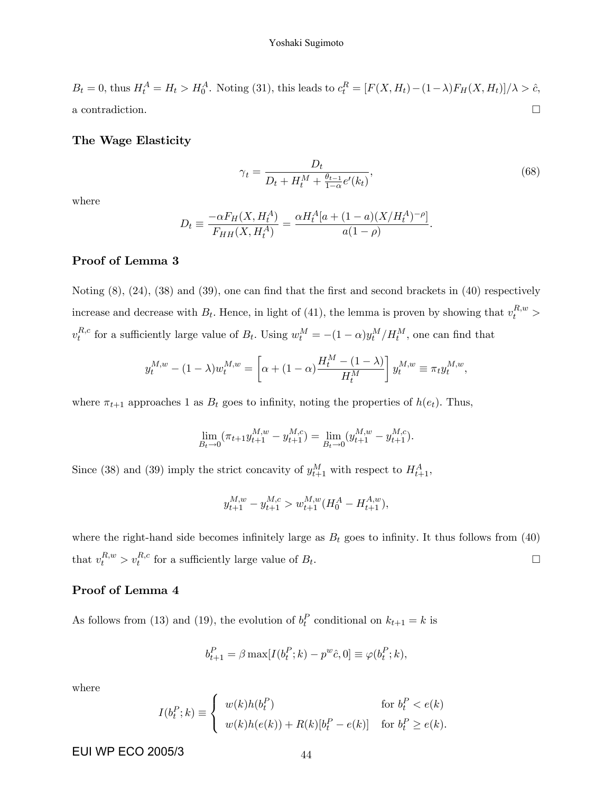$B_t = 0$ , thus  $H_t^A = H_t > H_0^A$ . Noting (31), this leads to  $c_t^R = [F(X, H_t) - (1 - \lambda)F_H(X, H_t)]/\lambda > \hat{c}$ , a contradiction.  $\Box$ 

### The Wage Elasticity

$$
\gamma_t = \frac{D_t}{D_t + H_t^M + \frac{\theta_{t-1}}{1-\alpha} e'(k_t)},
$$
\n(68)

where

$$
D_t \equiv \frac{-\alpha F_H(X, H_t^A)}{F_{HH}(X, H_t^A)} = \frac{\alpha H_t^A[a + (1 - a)(X/H_t^A)^{-\rho}]}{a(1 - \rho)}.
$$

## Proof of Lemma 3

Noting  $(8)$ ,  $(24)$ ,  $(38)$  and  $(39)$ , one can find that the first and second brackets in  $(40)$  respectively increase and decrease with  $B_t$ . Hence, in light of (41), the lemma is proven by showing that  $v_t^{R,w}$  $v_t^{R,c}$  $t^{R,c}$  for a sufficiently large value of  $B_t$ . Using  $w_t^M = -(1-\alpha)y_t^M / H_t^M$ , one can find that

$$
y_t^{M,w} - (1 - \lambda) w_t^{M,w} = \left[ \alpha + (1 - \alpha) \frac{H_t^M - (1 - \lambda)}{H_t^M} \right] y_t^{M,w} \equiv \pi_t y_t^{M,w},
$$

where  $\pi_{t+1}$  approaches 1 as  $B_t$  goes to infinity, noting the properties of  $h(e_t)$ . Thus,

$$
\lim_{B_t \to 0} (\pi_{t+1} y_{t+1}^{M,w} - y_{t+1}^{M,c}) = \lim_{B_t \to 0} (y_{t+1}^{M,w} - y_{t+1}^{M,c}).
$$

Since (38) and (39) imply the strict concavity of  $y_{t+1}^M$  with respect to  $H_{t+1}^A$ ,

$$
y^{M,w}_{t+1} - y^{M,c}_{t+1} > w^{M,w}_{t+1}(H^A_0 - H^{A,w}_{t+1}), \label{eq:optimal}
$$

where the right-hand side becomes infinitely large as  $B_t$  goes to infinity. It thus follows from (40) that  $v_t^{R,w} > v_t^{R,c}$  for a sufficiently large value of  $B_t$ . <u>Design the set of the set of the set of the set of the set of the set of the set of the set of the set of th</u>

## Proof of Lemma 4

As follows from (13) and (19), the evolution of  $b_t^P$  conditional on  $k_{t+1} = k$  is

$$
b_{t+1}^{P} = \beta \max[I(b_{t}^{P}; k) - p^{w}\hat{c}, 0] \equiv \varphi(b_{t}^{P}; k),
$$

where

$$
I(b_t^P; k) \equiv \begin{cases} w(k)h(b_t^P) & \text{for } b_t^P < e(k) \\ w(k)h(e(k)) + R(k)[b_t^P - e(k)] & \text{for } b_t^P \ge e(k). \end{cases}
$$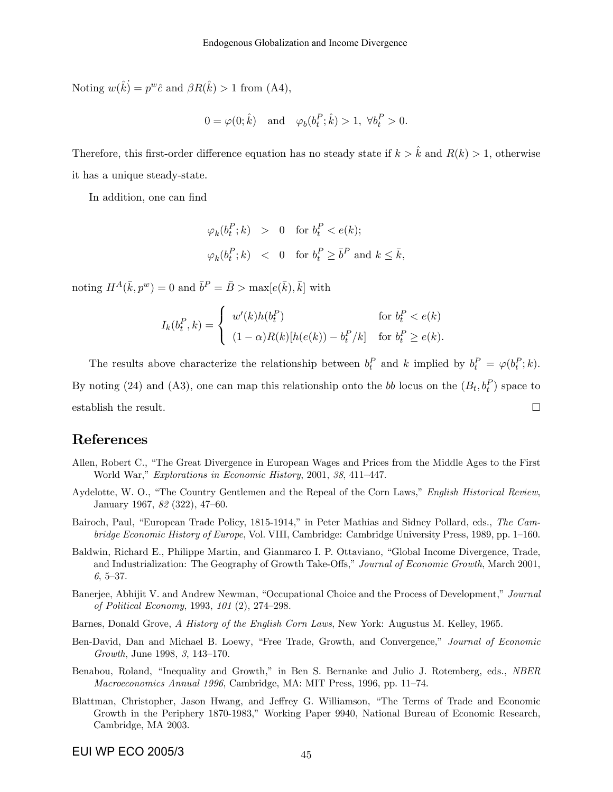Noting  $w(\hat{k}) = p^w \hat{c}$  and  $\beta R(\hat{k}) > 1$  from (A4),

$$
0 = \varphi(0; \hat{k}) \quad \text{and} \quad \varphi_b(b_t^P; \hat{k}) > 1, \ \forall b_t^P > 0.
$$

Therefore, this first-order difference equation has no steady state if  $k > \hat{k}$  and  $R(k) > 1$ , otherwise it has a unique steady-state.

In addition, one can find

$$
\begin{array}{lcl} \varphi_k(b^P_t; k) & > & 0 \quad \mbox{for $b^P_t < e(k)$;} \\ & & \\ \varphi_k(b^P_t; k) & < & 0 \quad \mbox{for $b^P_t \geq \bar{b}^P$ and $k \leq \bar{k}$,} \end{array}
$$

noting  $H^A(\bar{k}, p^w) = 0$  and  $\bar{b}^P = \bar{B} > \max[e(\bar{k}), \bar{k}]$  with

$$
I_k(b_t^P, k) = \begin{cases} w'(k)h(b_t^P) & \text{for } b_t^P < e(k) \\ (1 - \alpha)R(k)[h(e(k)) - b_t^P/k] & \text{for } b_t^P \ge e(k). \end{cases}
$$

The results above characterize the relationship between  $b_t^P$  and k implied by  $b_t^P = \varphi(b_t^P; k)$ . By noting (24) and (A3), one can map this relationship onto the bb locus on the  $(B_t, b_t^P)$  space to establish the result.  $\Box$ 

## References

- Allen, Robert C., "The Great Divergence in European Wages and Prices from the Middle Ages to the First World War," Explorations in Economic History, 2001, 38, 411-447.
- Aydelotte, W. O., "The Country Gentlemen and the Repeal of the Corn Laws," English Historical Review, January 1967, 82 (322), 47-60.
- Bairoch, Paul, "European Trade Policy, 1815-1914," in Peter Mathias and Sidney Pollard, eds., The Cambridge Economic History of Europe, Vol. VIII, Cambridge: Cambridge University Press, 1989, pp. 1-160.
- Baldwin, Richard E., Philippe Martin, and Gianmarco I. P. Ottaviano, "Global Income Divergence, Trade, and Industrialization: The Geography of Growth Take-Offs," Journal of Economic Growth, March 2001,  $6, 5-37.$
- Banerjee, Abhijit V. and Andrew Newman, "Occupational Choice and the Process of Development," Journal of Political Economy, 1993,  $101$   $(2)$ ,  $274-298$ .
- Barnes, Donald Grove, A History of the English Corn Laws, New York: Augustus M. Kelley, 1965.
- Ben-David, Dan and Michael B. Loewy, "Free Trade, Growth, and Convergence," Journal of Economic Growth, June 1998,  $3, 143-170$ .
- Benabou, Roland, "Inequality and Growth," in Ben S. Bernanke and Julio J. Rotemberg, eds., NBER Macroeconomics Annual 1996, Cambridge, MA: MIT Press, 1996, pp. 11-74.
- Blattman, Christopher, Jason Hwang, and Jeffrey G. Williamson, "The Terms of Trade and Economic Growth in the Periphery 1870-1983," Working Paper 9940, National Bureau of Economic Research, Cambridge, MA 2003.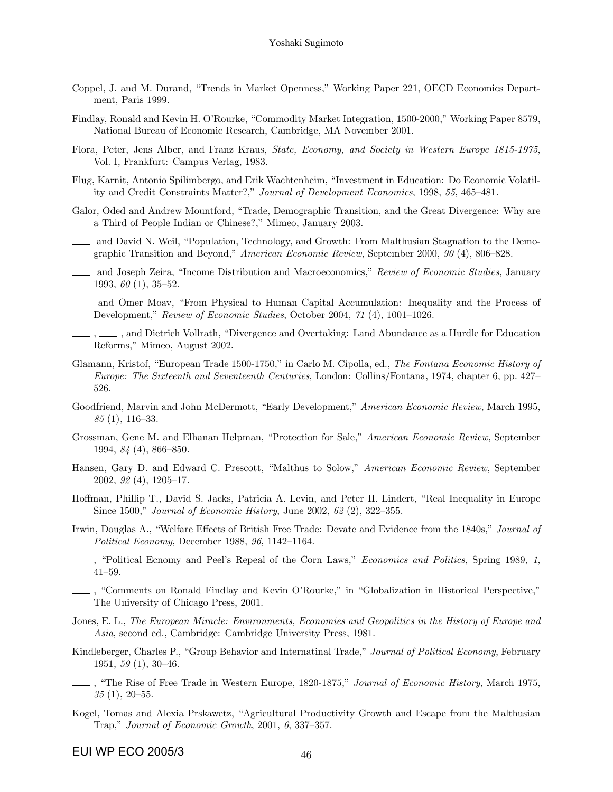- Coppel, J. and M. Durand, "Trends in Market Openness," Working Paper 221, OECD Economics Department, Paris 1999.
- Findlay, Ronald and Kevin H. O'Rourke, "Commodity Market Integration, 1500-2000," Working Paper 8579, National Bureau of Economic Research, Cambridge, MA November 2001.
- Flora, Peter, Jens Alber, and Franz Kraus, State, Economy, and Society in Western Europe 1815-1975, Vol. I, Frankfurt: Campus Verlag, 1983.
- Flug, Karnit, Antonio Spilimbergo, and Erik Wachtenheim, "Investment in Education: Do Economic Volatility and Credit Constraints Matter?," Journal of Development Economics, 1998, 55, 465–481.
- Galor, Oded and Andrew Mountford, "Trade, Demographic Transition, and the Great Divergence: Why are a Third of People Indian or Chinese?," Mimeo, January 2003.
- <sup>1</sup> and David N. Weil, "Population, Technology, and Growth: From Malthusian Stagnation to the Demographic Transition and Beyond," American Economic Review, September 2000,  $90(4)$ , 806–828.
- and Joseph Zeira, "Income Distribution and Macroeconomics," Review of Economic Studies, January 1993,  $60$  (1), 35–52.
- <sub>1</sub> and Omer Moav, "From Physical to Human Capital Accumulation: Inequality and the Process of Development," Review of Economic Studies, October 2004,  $71$  (4), 1001-1026.
- , and Dietrich Vollrath, "Divergence and Overtaking: Land Abundance as a Hurdle for Education Reforms," Mimeo, August 2002.
- Glamann, Kristof, "European Trade 1500-1750," in Carlo M. Cipolla, ed., The Fontana Economic History of Europe: The Sixteenth and Seventeenth Centuries, London: Collins/Fontana, 1974, chapter 6, pp. 427– 526.
- Goodfriend, Marvin and John McDermott, "Early Development," American Economic Review, March 1995,  $85(1), 116-33.$
- Grossman, Gene M. and Elhanan Helpman, "Protection for Sale," American Economic Review, September 1994, 84 (4), 866-850.
- Hansen, Gary D. and Edward C. Prescott, "Malthus to Solow," American Economic Review, September  $2002, 92(4), 1205-17.$
- Hoffman, Phillip T., David S. Jacks, Patricia A. Levin, and Peter H. Lindert, "Real Inequality in Europe Since 1500," Journal of Economic History, June 2002, 62 $(2)$ , 322-355.
- Irwin, Douglas A., "Welfare Effects of British Free Trade: Devate and Evidence from the 1840s," Journal of Political Economy, December 1988,  $96, 1142-1164$ .
- Folitical Ecnomy and Peel's Repeal of the Corn Laws," Economics and Politics, Spring 1989, 1,  $41 - 59.$
- , "Comments on Ronald Findlay and Kevin O'Rourke," in "Globalization in Historical Perspective," The University of Chicago Press, 2001.
- Jones, E. L., The European Miracle: Environments, Economies and Geopolitics in the History of Europe and Asia, second ed., Cambridge: Cambridge University Press, 1981.
- Kindleberger, Charles P., "Group Behavior and Internatinal Trade," Journal of Political Economy, February 1951, 59  $(1)$ , 30–46.
- $\ldots$ , "The Rise of Free Trade in Western Europe, 1820-1875," Journal of Economic History, March 1975,  $35(1), 20-55.$
- Kogel, Tomas and Alexia Prskawetz, "Agricultural Productivity Growth and Escape from the Malthusian Trap," Journal of Economic Growth,  $2001, 6, 337-357$ .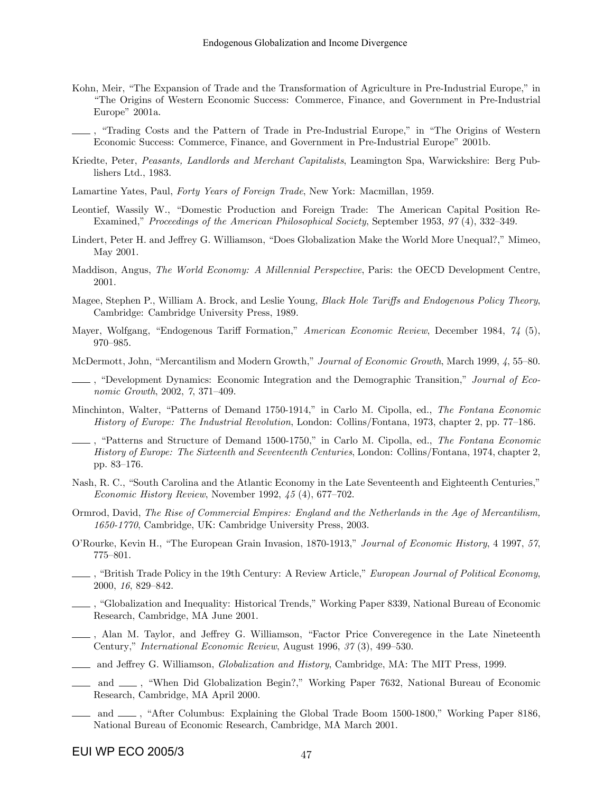- Kohn, Meir, "The Expansion of Trade and the Transformation of Agriculture in Pre-Industrial Europe," in ìThe Origins of Western Economic Success: Commerce, Finance, and Government in Pre-Industrial Europe" 2001a.
- <sub>-</sub>, "Trading Costs and the Pattern of Trade in Pre-Industrial Europe," in "The Origins of Western Economic Success: Commerce, Finance, and Government in Pre-Industrial Europeî 2001b.
- Kriedte, Peter, Peasants, Landlords and Merchant Capitalists, Leamington Spa, Warwickshire: Berg Publishers Ltd., 1983.
- Lamartine Yates, Paul, Forty Years of Foreign Trade, New York: Macmillan, 1959.
- Leontief, Wassily W., "Domestic Production and Foreign Trade: The American Capital Position Re-Examined," Proceedings of the American Philosophical Society, September 1953, 97 (4), 332–349.
- Lindert, Peter H. and Jeffrey G. Williamson, "Does Globalization Make the World More Unequal?," Mimeo, May 2001.
- Maddison, Angus, The World Economy: A Millennial Perspective, Paris: the OECD Development Centre, 2001.
- Magee, Stephen P., William A. Brock, and Leslie Young, *Black Hole Tariffs and Endogenous Policy Theory*, Cambridge: Cambridge University Press, 1989.
- Mayer, Wolfgang, "Endogenous Tariff Formation," American Economic Review, December 1984, 74 (5), 970-985.
- McDermott, John, "Mercantilism and Modern Growth," Journal of Economic Growth, March 1999, 4, 55–80.
- , ìDevelopment Dynamics: Economic Integration and the Demographic Transition,î Journal of Economic Growth,  $2002, 7, 371-409$ .
- Minchinton, Walter, "Patterns of Demand 1750-1914," in Carlo M. Cipolla, ed., The Fontana Economic History of Europe: The Industrial Revolution, London: Collins/Fontana, 1973, chapter 2, pp. 77–186.
- <sup>-</sup>Patterns and Structure of Demand 1500-1750," in Carlo M. Cipolla, ed., *The Fontana Economic* History of Europe: The Sixteenth and Seventeenth Centuries, London: Collins/Fontana, 1974, chapter 2, pp. 83–176.
- Nash, R. C., "South Carolina and the Atlantic Economy in the Late Seventeenth and Eighteenth Centuries," Economic History Review, November 1992,  $45(4)$ , 677–702.
- Ormrod, David, The Rise of Commercial Empires: England and the Netherlands in the Age of Mercantilism, 1650-1770, Cambridge, UK: Cambridge University Press, 2003.
- O'Rourke, Kevin H., "The European Grain Invasion, 1870-1913," Journal of Economic History, 4 1997, 57, 775-801.
- , "British Trade Policy in the 19th Century: A Review Article," European Journal of Political Economy,  $2000, 16, 829 - 842.$
- Globalization and Inequality: Historical Trends," Working Paper 8339, National Bureau of Economic Research, Cambridge, MA June 2001.
- (a) Alan M. Taylor, and Jeffrey G. Williamson, "Factor Price Converegence in the Late Nineteenth Century," International Economic Review, August 1996,  $37(3)$ , 499–530.
- and Jeffrey G. Williamson, *Globalization and History*, Cambridge, MA: The MIT Press, 1999.
- and  $\mu$ , "When Did Globalization Begin?," Working Paper 7632, National Bureau of Economic Research, Cambridge, MA April 2000.
- and  $\mu$ , "After Columbus: Explaining the Global Trade Boom 1500-1800," Working Paper 8186, National Bureau of Economic Research, Cambridge, MA March 2001.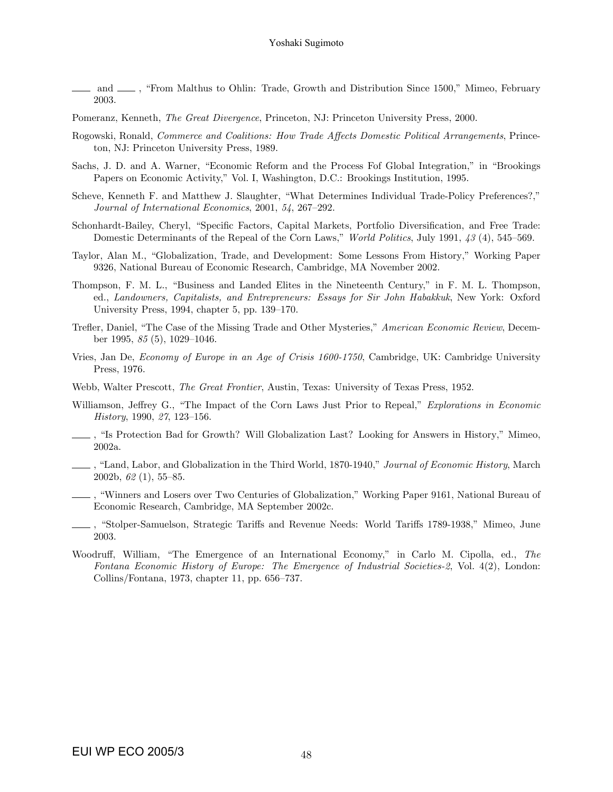and  $\mu$ , "From Malthus to Ohlin: Trade, Growth and Distribution Since 1500," Mimeo, February 2003.

Pomeranz, Kenneth, The Great Divergence, Princeton, NJ: Princeton University Press, 2000.

- Rogowski, Ronald, Commerce and Coalitions: How Trade Affects Domestic Political Arrangements, Princeton, NJ: Princeton University Press, 1989.
- Sachs, J. D. and A. Warner, "Economic Reform and the Process Fof Global Integration," in "Brookings" Papers on Economic Activity," Vol. I, Washington, D.C.: Brookings Institution, 1995.
- Scheve, Kenneth F. and Matthew J. Slaughter, "What Determines Individual Trade-Policy Preferences?," Journal of International Economics, 2001,  $54$ , 267–292.
- Schonhardt-Bailey, Cheryl, "Specific Factors, Capital Markets, Portfolio Diversification, and Free Trade: Domestic Determinants of the Repeal of the Corn Laws," World Politics, July 1991,  $43$  (4), 545–569.
- Taylor, Alan M., "Globalization, Trade, and Development: Some Lessons From History," Working Paper 9326, National Bureau of Economic Research, Cambridge, MA November 2002.
- Thompson, F. M. L., "Business and Landed Elites in the Nineteenth Century," in F. M. L. Thompson, ed., Landowners, Capitalists, and Entrepreneurs: Essays for Sir John Habakkuk, New York: Oxford University Press,  $1994$ , chapter 5, pp.  $139-170$ .
- Trefler, Daniel, "The Case of the Missing Trade and Other Mysteries," American Economic Review, December 1995,  $85(5)$ , 1029–1046.
- Vries, Jan De, Economy of Europe in an Age of Crisis 1600-1750, Cambridge, UK: Cambridge University Press, 1976.
- Webb, Walter Prescott, *The Great Frontier*, Austin, Texas: University of Texas Press, 1952.
- Williamson, Jeffrey G., "The Impact of the Corn Laws Just Prior to Repeal," Explorations in Economic  $History, 1990, 27, 123–156.$
- $\frac{1}{1}$ , "Is Protection Bad for Growth? Will Globalization Last? Looking for Answers in History," Mimeo, 2002a.
- , "Land, Labor, and Globalization in the Third World, 1870-1940," Journal of Economic History, March 2002b,  $62(1)$ , 55-85.
- <sub>-</sub>, "Winners and Losers over Two Centuries of Globalization," Working Paper 9161, National Bureau of Economic Research, Cambridge, MA September 2002c.
- , "Stolper-Samuelson, Strategic Tariffs and Revenue Needs: World Tariffs 1789-1938," Mimeo, June 2003.
- Woodruff, William, "The Emergence of an International Economy," in Carlo M. Cipolla, ed., The Fontana Economic History of Europe: The Emergence of Industrial Societies-2, Vol. 4(2), London:  $Collins/Fontana, 1973, chapter 11, pp. 656–737.$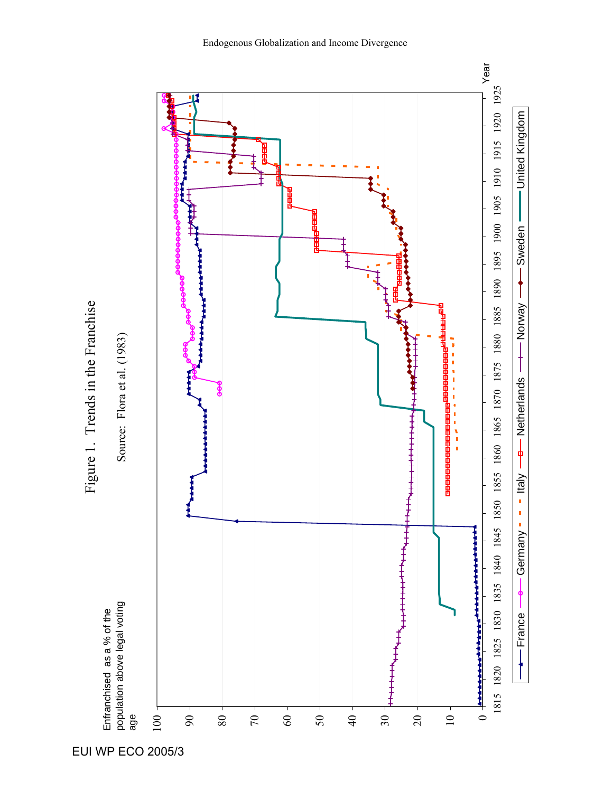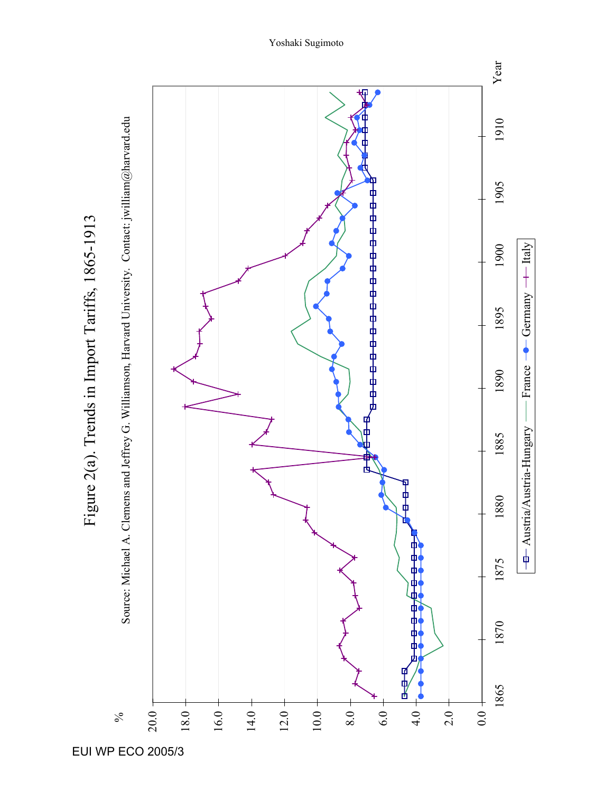Figure 2(a). Trends in Import Tariffs, 1865-1913 Figure 2(a). Trends in Import Tariffs, 1865-1913



## Yoshaki Sugimoto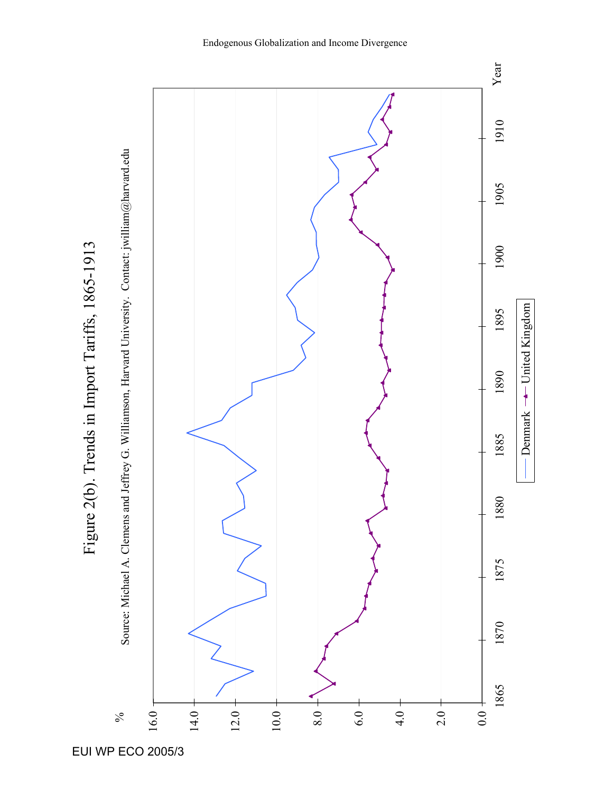Figure 2(b). Trends in Import Tariffs, 1865-1913 Figure 2(b). Trends in Import Tariffs, 1865-1913



### Endogenous Globalization and Income Divergence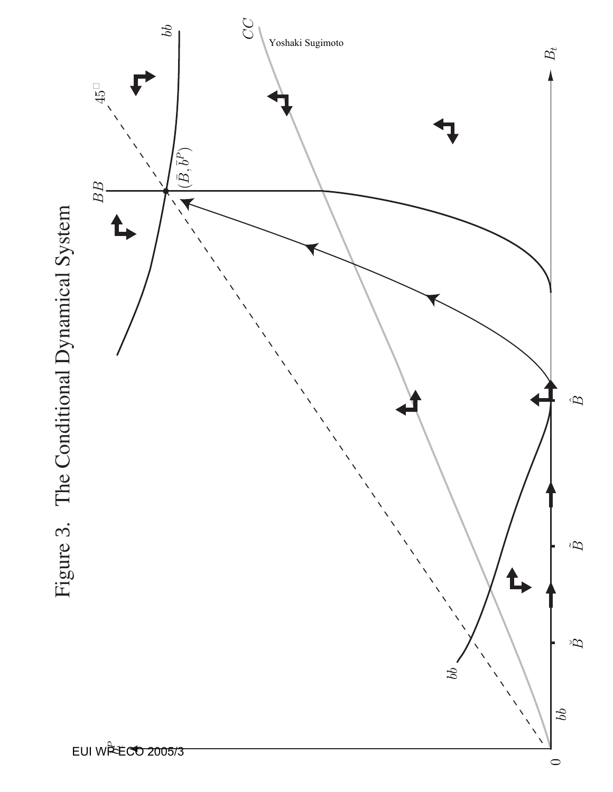

 $\tilde{B}$